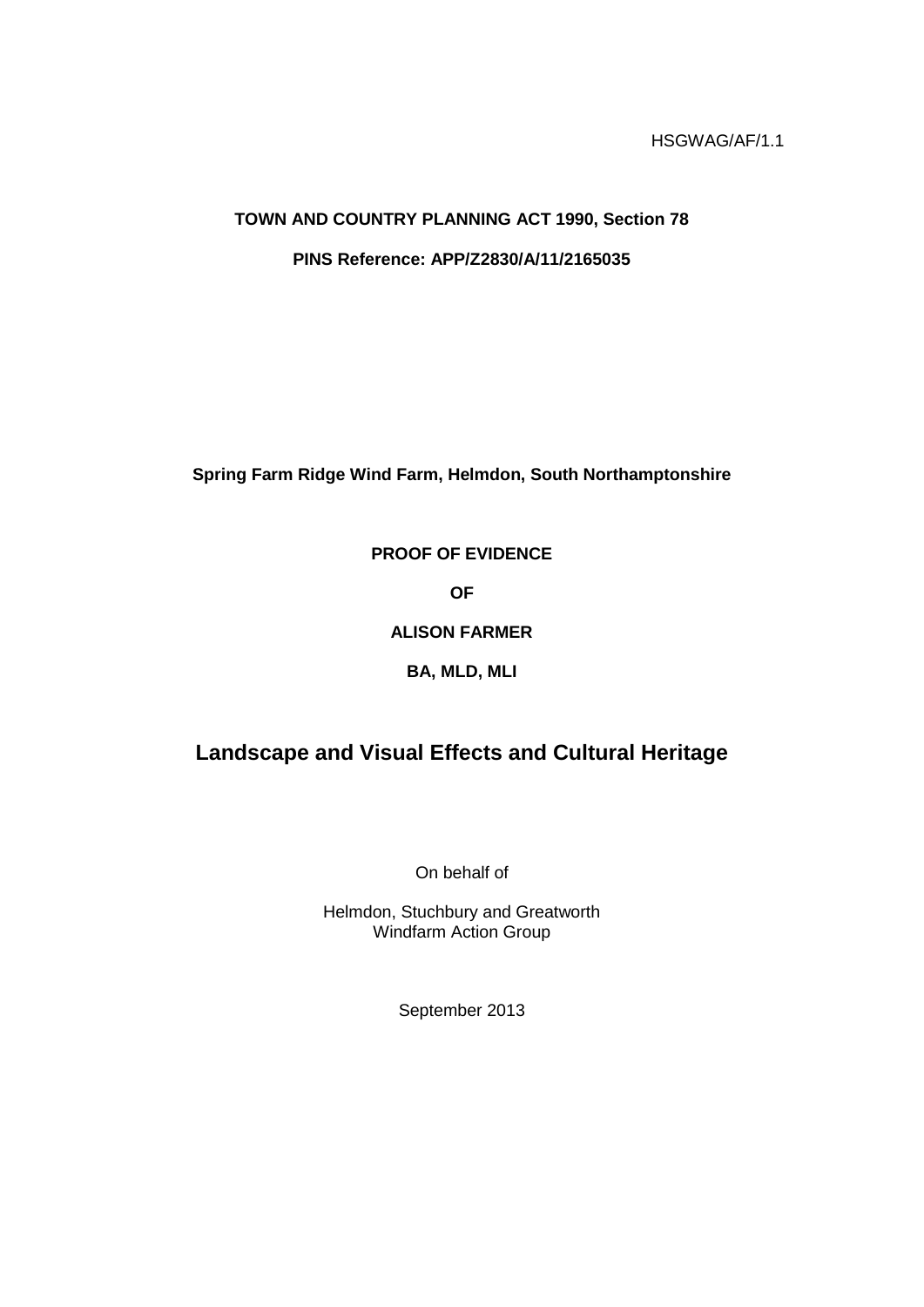# **TOWN AND COUNTRY PLANNING ACT 1990, Section 78 PINS Reference: APP/Z2830/A/11/2165035**

**Spring Farm Ridge Wind Farm, Helmdon, South Northamptonshire**

## **PROOF OF EVIDENCE**

**OF**

### **ALISON FARMER**

## **BA, MLD, MLI**

## **Landscape and Visual Effects and Cultural Heritage**

On behalf of

Helmdon, Stuchbury and Greatworth Windfarm Action Group

September 2013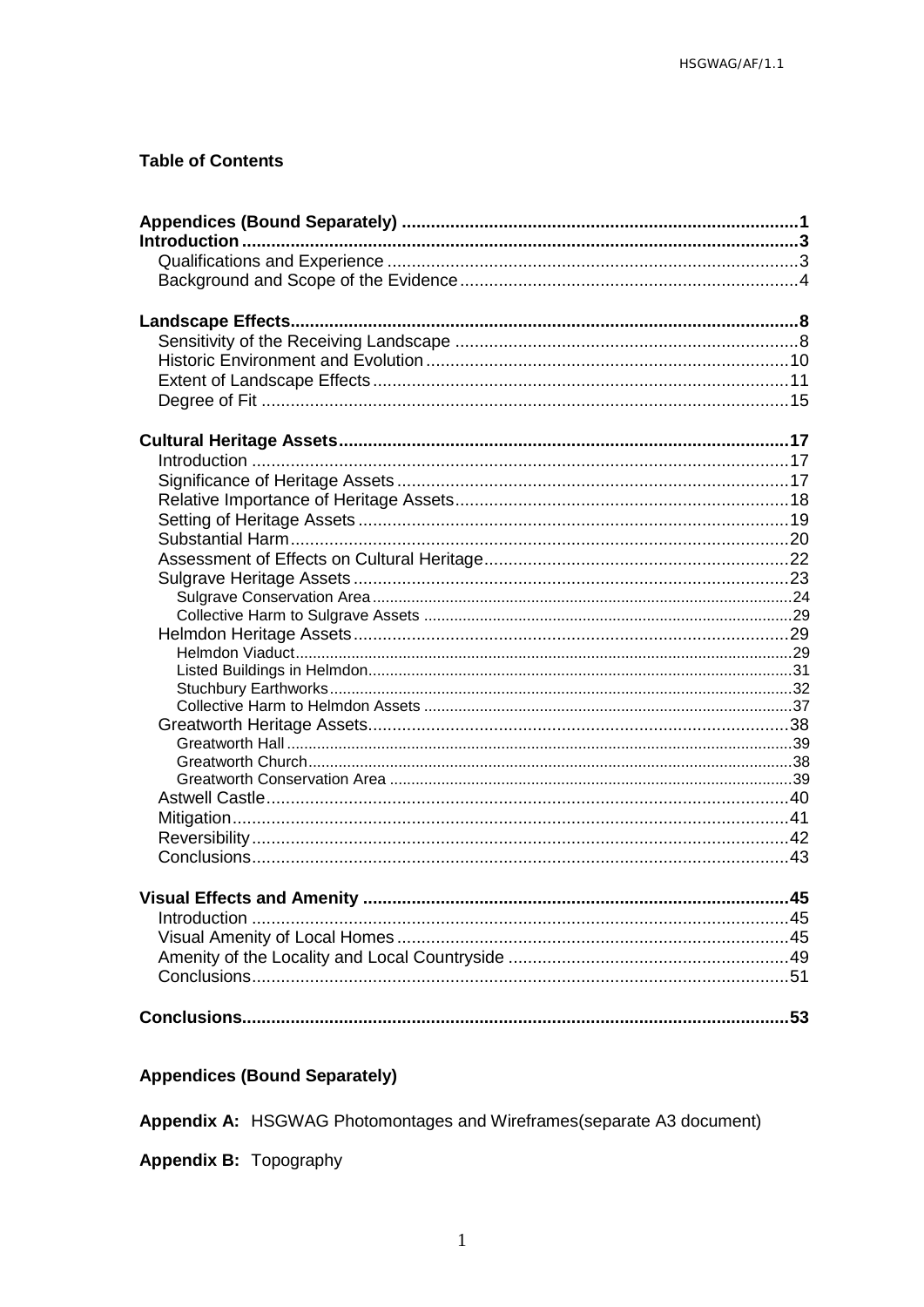## **Table of Contents**

## <span id="page-2-0"></span>**Appendices (Bound Separately)**

Appendix A: HSGWAG Photomontages and Wireframes(separate A3 document)

Appendix B: Topography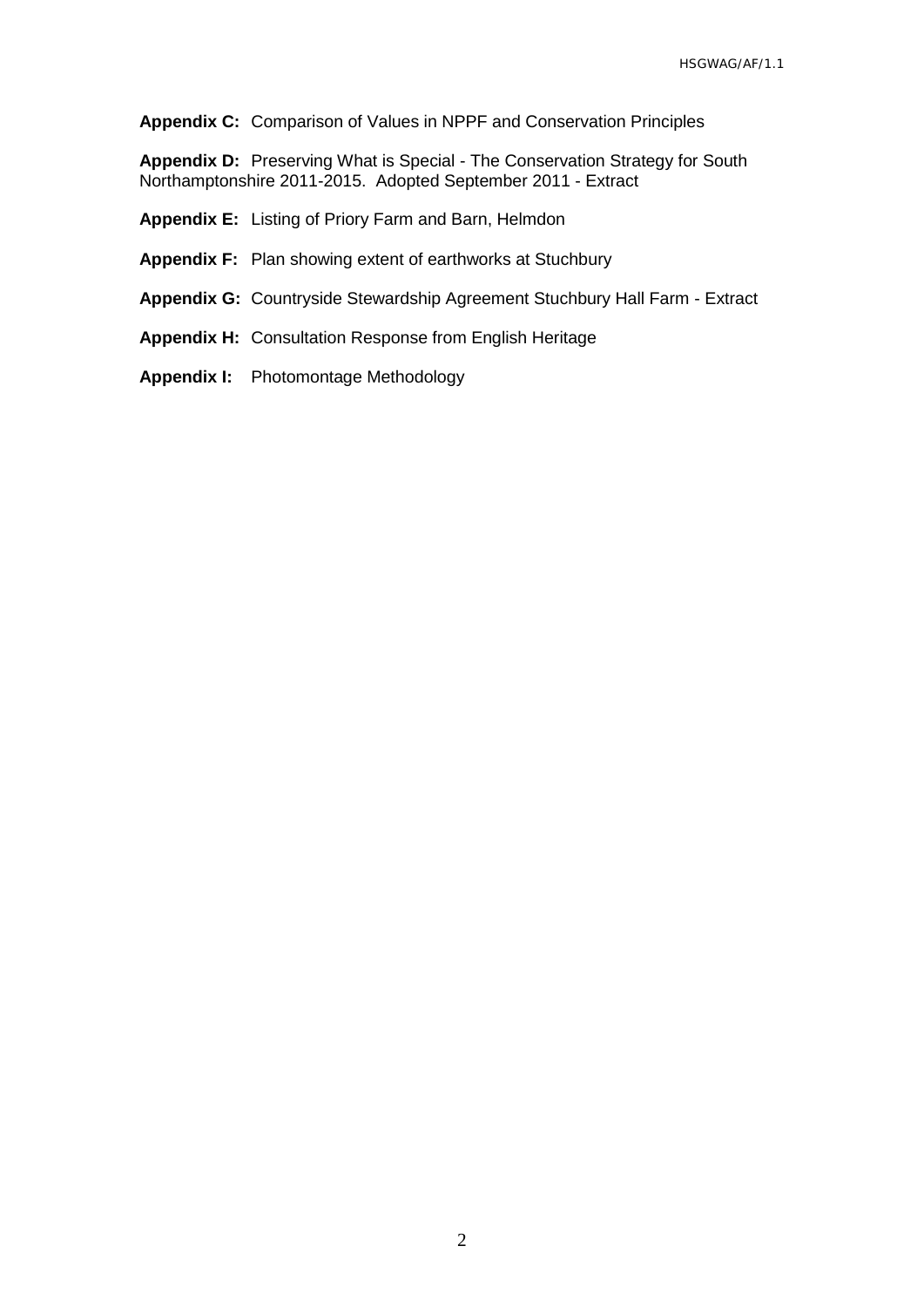**Appendix C:** Comparison of Values in NPPF and Conservation Principles

**Appendix D:** Preserving What is Special - The Conservation Strategy for South Northamptonshire 2011-2015. Adopted September 2011 - Extract

**Appendix E:** Listing of Priory Farm and Barn, Helmdon

**Appendix F:** Plan showing extent of earthworks at Stuchbury

**Appendix G:** Countryside Stewardship Agreement Stuchbury Hall Farm - Extract

**Appendix H:** Consultation Response from English Heritage

**Appendix I:** Photomontage Methodology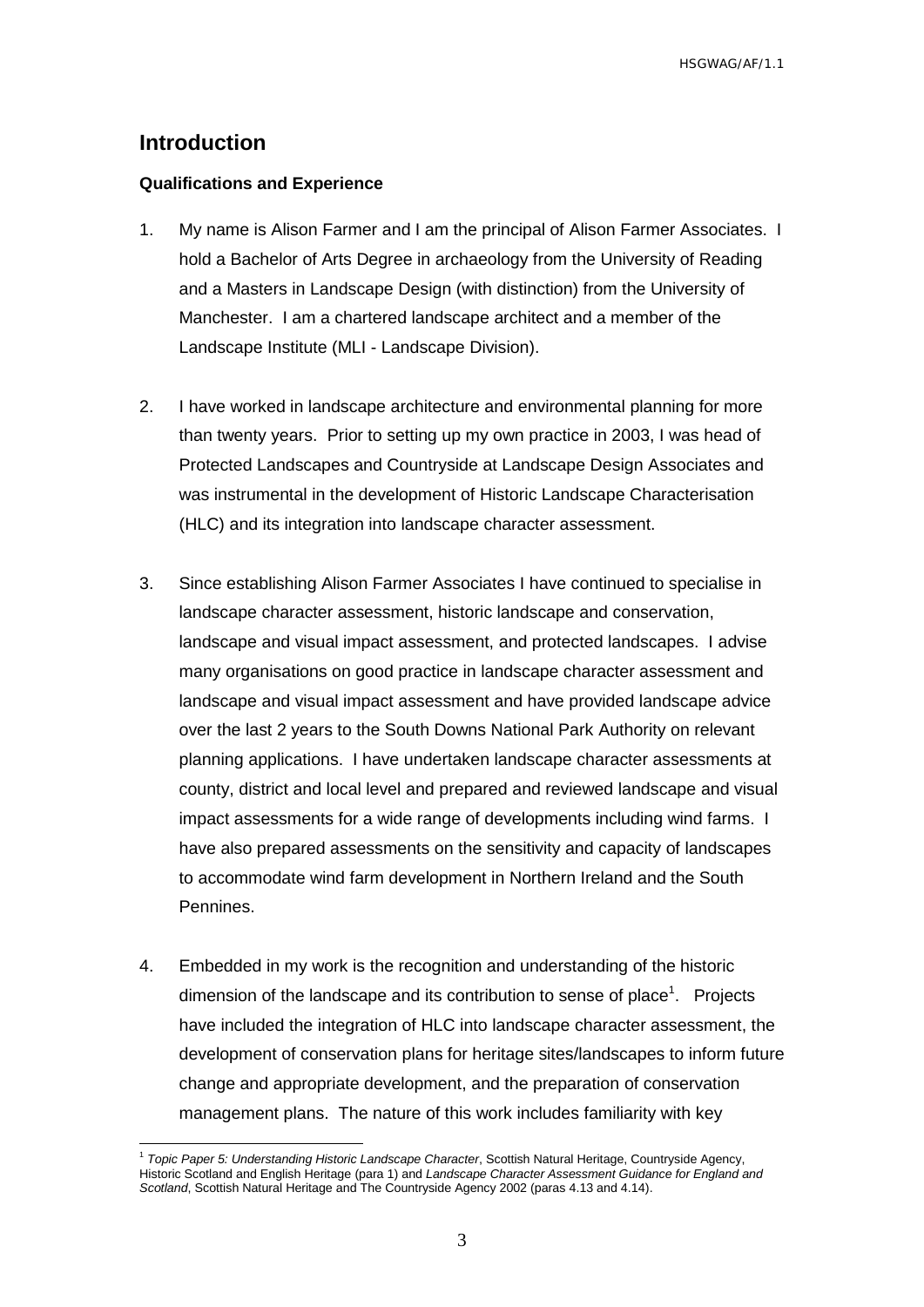## <span id="page-4-0"></span>**Introduction**

#### <span id="page-4-1"></span>**Qualifications and Experience**

- 1. My name is Alison Farmer and I am the principal of Alison Farmer Associates. I hold a Bachelor of Arts Degree in archaeology from the University of Reading and a Masters in Landscape Design (with distinction) from the University of Manchester. I am a chartered landscape architect and a member of the Landscape Institute (MLI - Landscape Division).
- 2. I have worked in landscape architecture and environmental planning for more than twenty years. Prior to setting up my own practice in 2003, I was head of Protected Landscapes and Countryside at Landscape Design Associates and was instrumental in the development of Historic Landscape Characterisation (HLC) and its integration into landscape character assessment.
- 3. Since establishing Alison Farmer Associates I have continued to specialise in landscape character assessment, historic landscape and conservation, landscape and visual impact assessment, and protected landscapes. I advise many organisations on good practice in landscape character assessment and landscape and visual impact assessment and have provided landscape advice over the last 2 years to the South Downs National Park Authority on relevant planning applications. I have undertaken landscape character assessments at county, district and local level and prepared and reviewed landscape and visual impact assessments for a wide range of developments including wind farms. I have also prepared assessments on the sensitivity and capacity of landscapes to accommodate wind farm development in Northern Ireland and the South Pennines.
- 4. Embedded in my work is the recognition and understanding of the historic dimension of the landscape and its contribution to sense of place<sup>1</sup>. Projects have included the integration of HLC into landscape character assessment, the development of conservation plans for heritage sites/landscapes to inform future change and appropriate development, and the preparation of conservation management plans. The nature of this work includes familiarity with key

 $\overline{a}$ 1 *Topic Paper 5: Understanding Historic Landscape Character*, Scottish Natural Heritage, Countryside Agency, Historic Scotland and English Heritage (para 1) and *Landscape Character Assessment Guidance for England and Scotland*, Scottish Natural Heritage and The Countryside Agency 2002 (paras 4.13 and 4.14).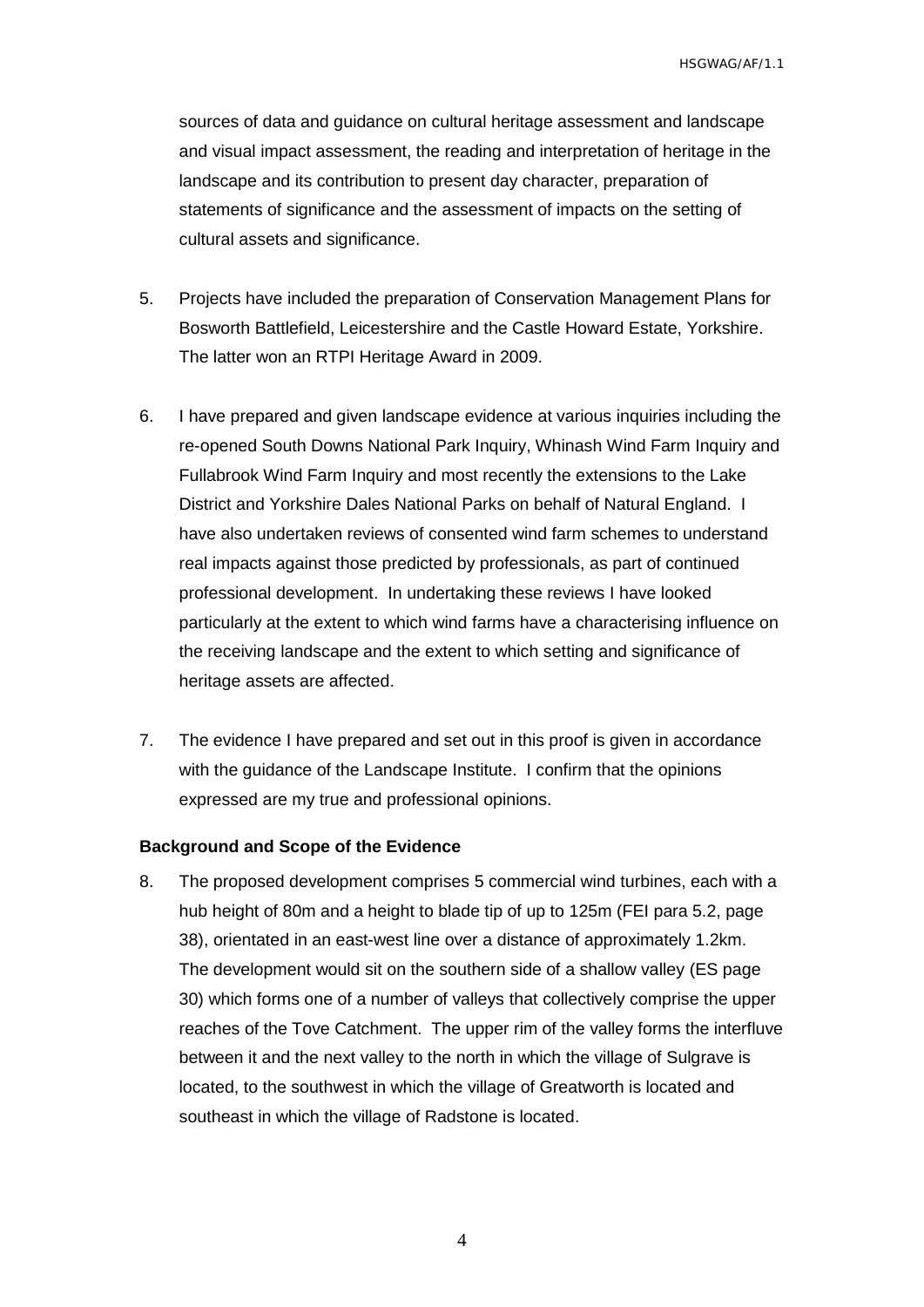sources of data and guidance on cultural heritage assessment and landscape and visual impact assessment, the reading and interpretation of heritage in the landscape and its contribution to present day character, preparation of statements of significance and the assessment of impacts on the setting of cultural assets and significance.

- 5. Projects have included the preparation of Conservation Management Plans for Bosworth Battlefield, Leicestershire and the Castle Howard Estate, Yorkshire. The latter won an RTPI Heritage Award in 2009.
- 6. I have prepared and given landscape evidence at various inquiries including the re-opened South Downs National Park Inquiry, Whinash Wind Farm Inquiry and Fullabrook Wind Farm Inquiry and most recently the extensions to the Lake District and Yorkshire Dales National Parks on behalf of Natural England. I have also undertaken reviews of consented wind farm schemes to understand real impacts against those predicted by professionals, as part of continued professional development. In undertaking these reviews I have looked particularly at the extent to which wind farms have a characterising influence on the receiving landscape and the extent to which setting and significance of heritage assets are affected.
- 7. The evidence I have prepared and set out in this proof is given in accordance with the guidance of the Landscape Institute. I confirm that the opinions expressed are my true and professional opinions.

#### <span id="page-5-0"></span>**Background and Scope of the Evidence**

8. The proposed development comprises 5 commercial wind turbines, each with a hub height of 80m and a height to blade tip of up to 125m (FEI para 5.2, page 38), orientated in an east-west line over a distance of approximately 1.2km. The development would sit on the southern side of a shallow valley (ES page 30) which forms one of a number of valleys that collectively comprise the upper reaches of the Tove Catchment. The upper rim of the valley forms the interfluve between it and the next valley to the north in which the village of Sulgrave is located, to the southwest in which the village of Greatworth is located and southeast in which the village of Radstone is located.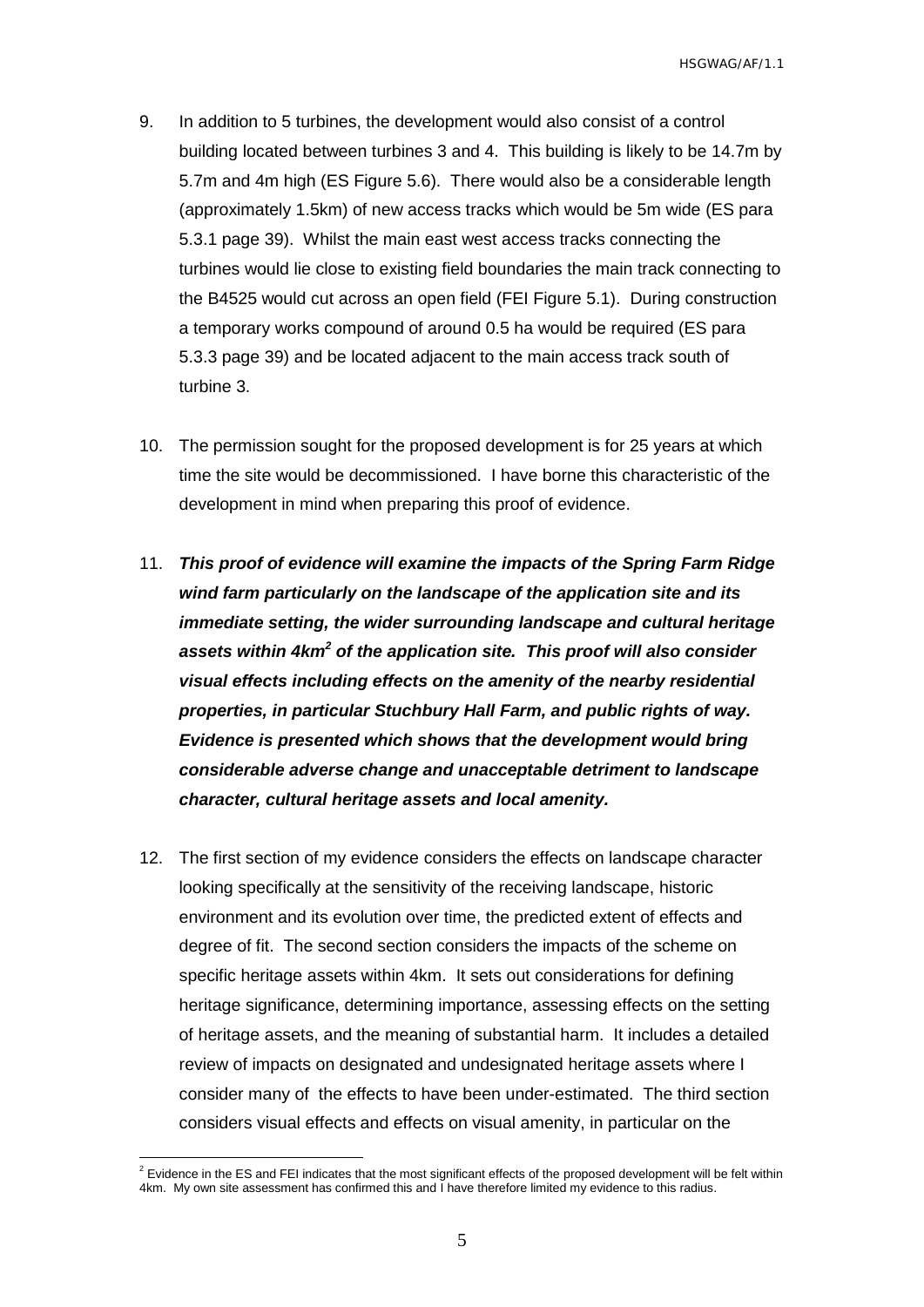- 9. In addition to 5 turbines, the development would also consist of a control building located between turbines 3 and 4. This building is likely to be 14.7m by 5.7m and 4m high (ES Figure 5.6). There would also be a considerable length (approximately 1.5km) of new access tracks which would be 5m wide (ES para 5.3.1 page 39). Whilst the main east west access tracks connecting the turbines would lie close to existing field boundaries the main track connecting to the B4525 would cut across an open field (FEI Figure 5.1). During construction a temporary works compound of around 0.5 ha would be required (ES para 5.3.3 page 39) and be located adjacent to the main access track south of turbine 3.
- 10. The permission sought for the proposed development is for 25 years at which time the site would be decommissioned. I have borne this characteristic of the development in mind when preparing this proof of evidence.
- 11. *This proof of evidence will examine the impacts of the Spring Farm Ridge wind farm particularly on the landscape of the application site and its immediate setting, the wider surrounding landscape and cultural heritage assets within 4km<sup>2</sup> of the application site. This proof will also consider visual effects including effects on the amenity of the nearby residential properties, in particular Stuchbury Hall Farm, and public rights of way. Evidence is presented which shows that the development would bring considerable adverse change and unacceptable detriment to landscape character, cultural heritage assets and local amenity.*
- 12. The first section of my evidence considers the effects on landscape character looking specifically at the sensitivity of the receiving landscape, historic environment and its evolution over time, the predicted extent of effects and degree of fit. The second section considers the impacts of the scheme on specific heritage assets within 4km. It sets out considerations for defining heritage significance, determining importance, assessing effects on the setting of heritage assets, and the meaning of substantial harm. It includes a detailed review of impacts on designated and undesignated heritage assets where I consider many of the effects to have been under-estimated. The third section considers visual effects and effects on visual amenity, in particular on the

 $\overline{a}$ 

 $2$  Evidence in the ES and FEI indicates that the most significant effects of the proposed development will be felt within 4km. My own site assessment has confirmed this and I have therefore limited my evidence to this radius.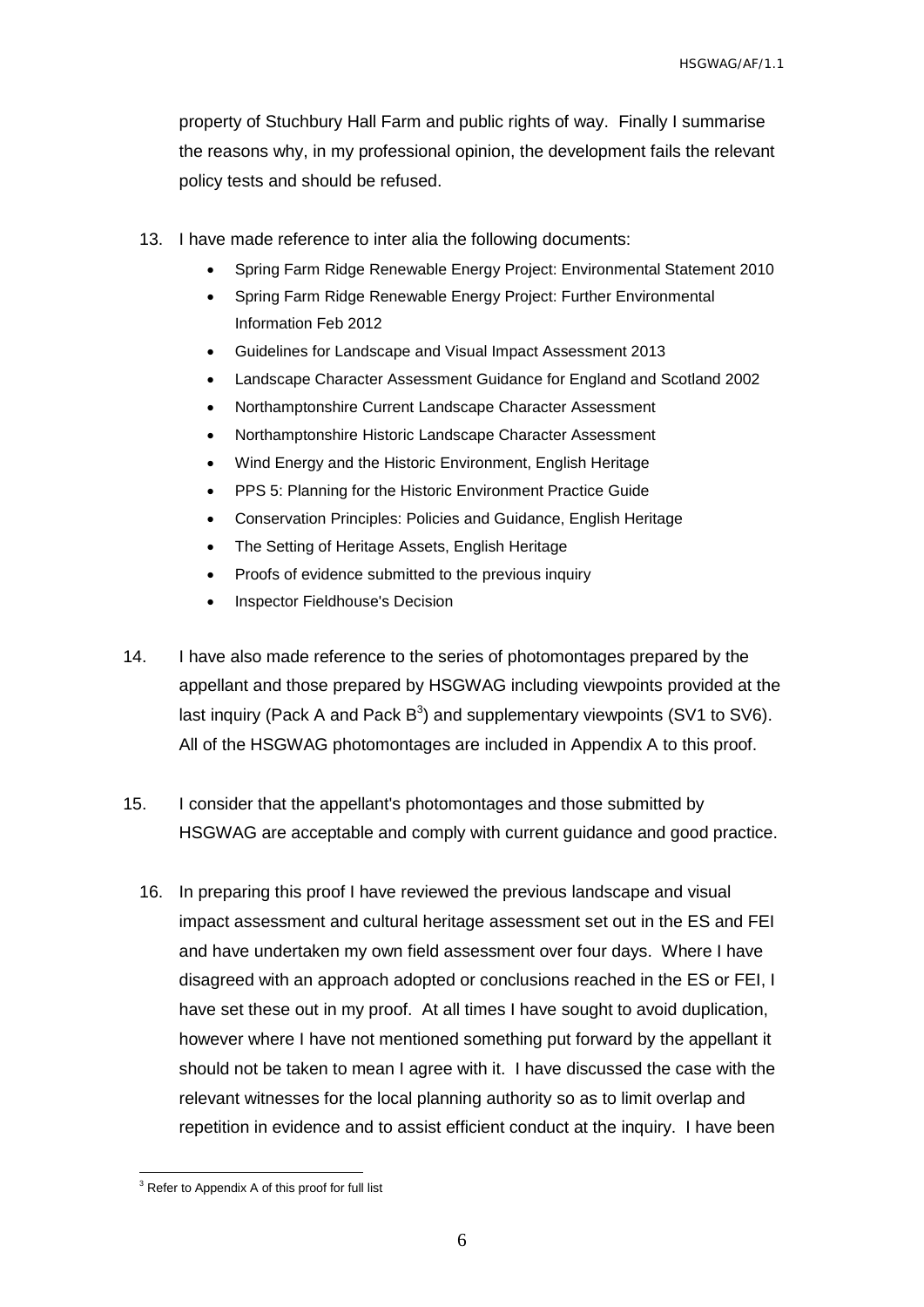property of Stuchbury Hall Farm and public rights of way. Finally I summarise the reasons why, in my professional opinion, the development fails the relevant policy tests and should be refused.

- 13. I have made reference to inter alia the following documents:
	- Spring Farm Ridge Renewable Energy Project: Environmental Statement 2010
	- Spring Farm Ridge Renewable Energy Project: Further Environmental Information Feb 2012
	- Guidelines for Landscape and Visual Impact Assessment 2013
	- Landscape Character Assessment Guidance for England and Scotland 2002
	- Northamptonshire Current Landscape Character Assessment
	- Northamptonshire Historic Landscape Character Assessment
	- Wind Energy and the Historic Environment, English Heritage
	- PPS 5: Planning for the Historic Environment Practice Guide
	- Conservation Principles: Policies and Guidance, English Heritage
	- The Setting of Heritage Assets, English Heritage
	- Proofs of evidence submitted to the previous inquiry
	- Inspector Fieldhouse's Decision
- 14. I have also made reference to the series of photomontages prepared by the appellant and those prepared by HSGWAG including viewpoints provided at the last inquiry (Pack A and Pack  $B^3$ ) and supplementary viewpoints (SV1 to SV6). All of the HSGWAG photomontages are included in Appendix A to this proof.
- 15. I consider that the appellant's photomontages and those submitted by HSGWAG are acceptable and comply with current guidance and good practice.
	- 16. In preparing this proof I have reviewed the previous landscape and visual impact assessment and cultural heritage assessment set out in the ES and FEI and have undertaken my own field assessment over four days. Where I have disagreed with an approach adopted or conclusions reached in the ES or FEI, I have set these out in my proof. At all times I have sought to avoid duplication, however where I have not mentioned something put forward by the appellant it should not be taken to mean I agree with it. I have discussed the case with the relevant witnesses for the local planning authority so as to limit overlap and repetition in evidence and to assist efficient conduct at the inquiry. I have been

 $\overline{a}$ 

<sup>&</sup>lt;sup>3</sup> Refer to Appendix A of this proof for full list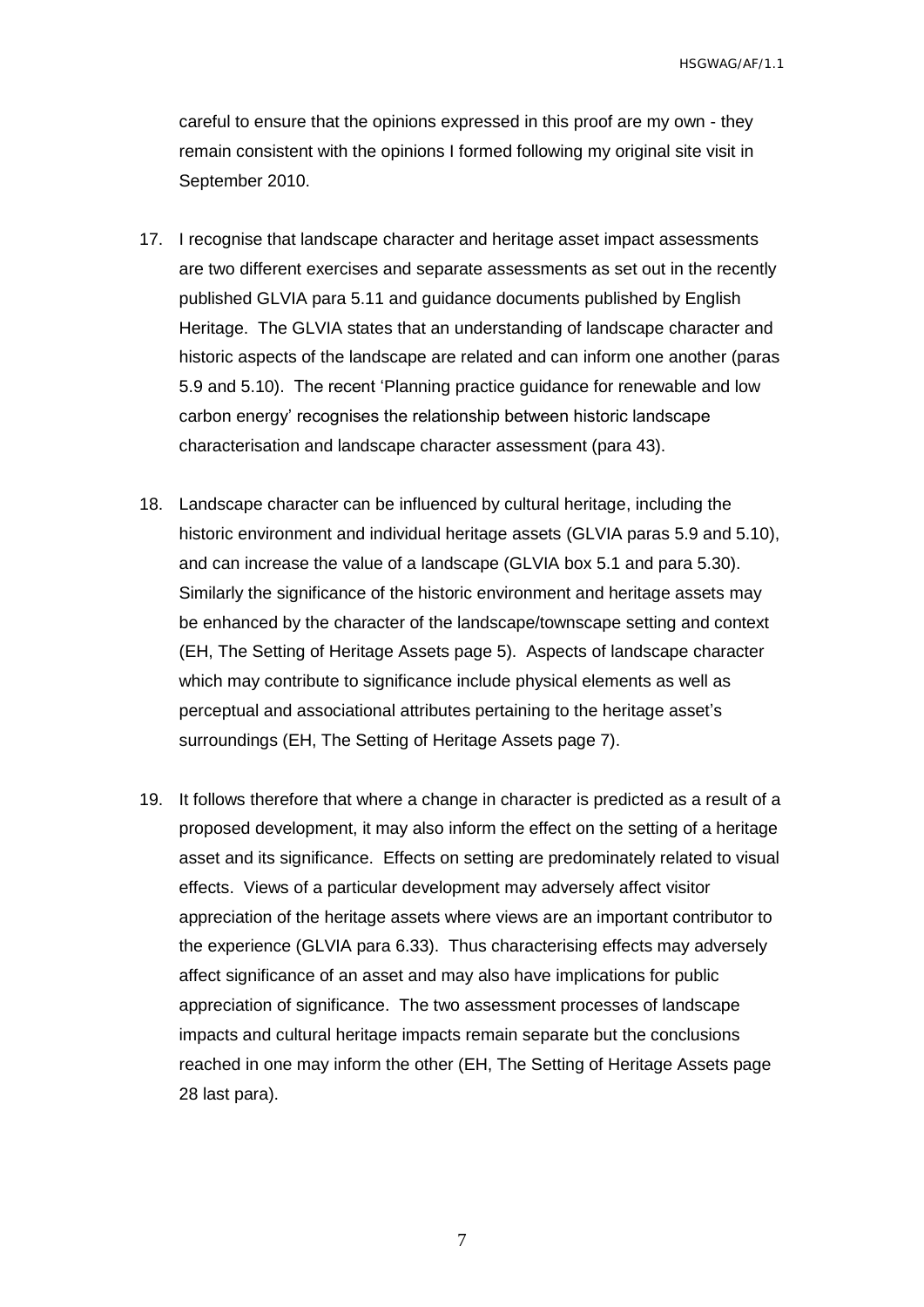careful to ensure that the opinions expressed in this proof are my own - they remain consistent with the opinions I formed following my original site visit in September 2010.

- 17. I recognise that landscape character and heritage asset impact assessments are two different exercises and separate assessments as set out in the recently published GLVIA para 5.11 and guidance documents published by English Heritage. The GLVIA states that an understanding of landscape character and historic aspects of the landscape are related and can inform one another (paras 5.9 and 5.10). The recent 'Planning practice guidance for renewable and low carbon energy' recognises the relationship between historic landscape characterisation and landscape character assessment (para 43).
- 18. Landscape character can be influenced by cultural heritage, including the historic environment and individual heritage assets (GLVIA paras 5.9 and 5.10), and can increase the value of a landscape (GLVIA box 5.1 and para 5.30). Similarly the significance of the historic environment and heritage assets may be enhanced by the character of the landscape/townscape setting and context (EH, The Setting of Heritage Assets page 5). Aspects of landscape character which may contribute to significance include physical elements as well as perceptual and associational attributes pertaining to the heritage asset's surroundings (EH, The Setting of Heritage Assets page 7).
- 19. It follows therefore that where a change in character is predicted as a result of a proposed development, it may also inform the effect on the setting of a heritage asset and its significance. Effects on setting are predominately related to visual effects. Views of a particular development may adversely affect visitor appreciation of the heritage assets where views are an important contributor to the experience (GLVIA para 6.33). Thus characterising effects may adversely affect significance of an asset and may also have implications for public appreciation of significance. The two assessment processes of landscape impacts and cultural heritage impacts remain separate but the conclusions reached in one may inform the other (EH, The Setting of Heritage Assets page 28 last para).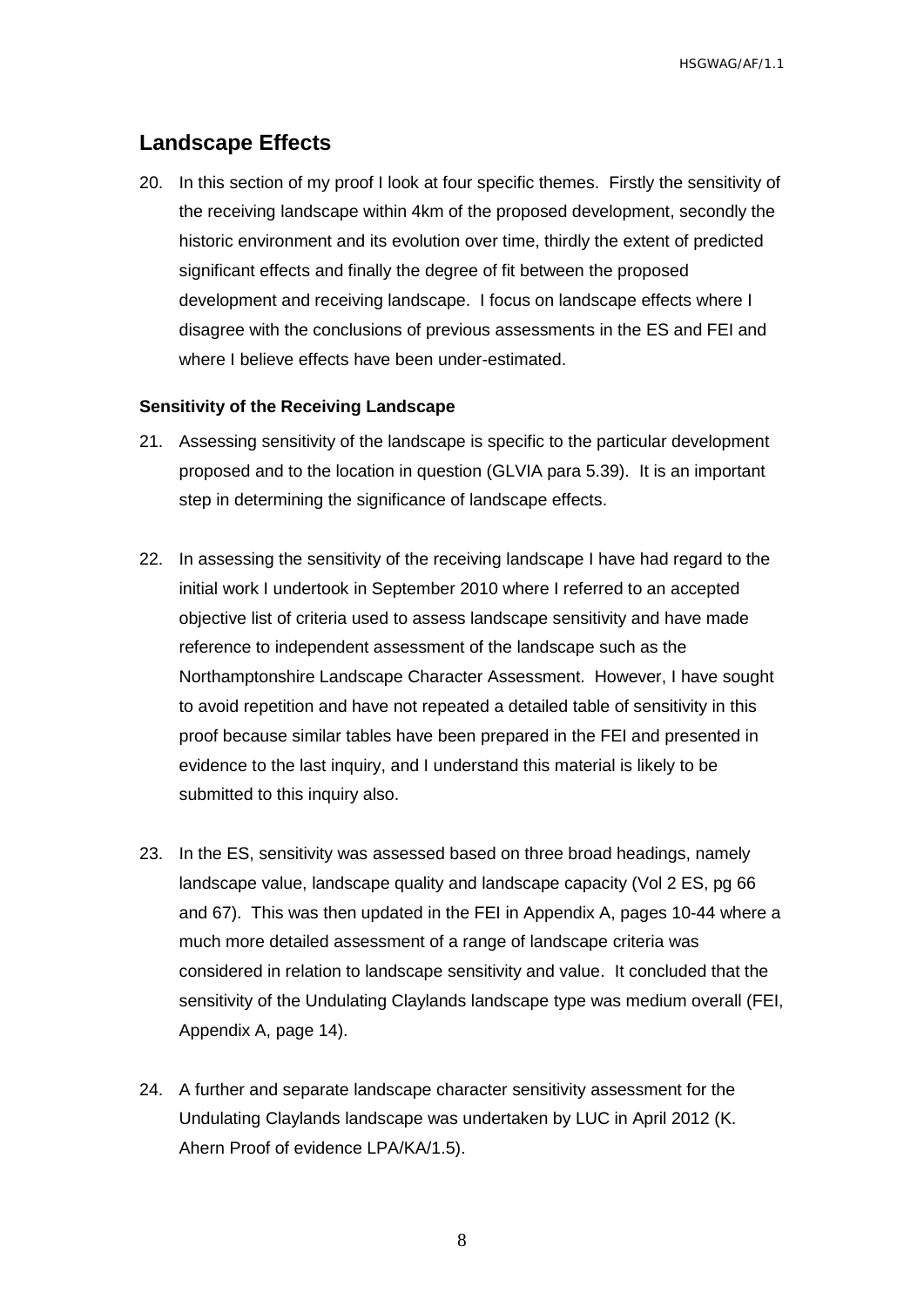## <span id="page-9-0"></span>**Landscape Effects**

20. In this section of my proof I look at four specific themes. Firstly the sensitivity of the receiving landscape within 4km of the proposed development, secondly the historic environment and its evolution over time, thirdly the extent of predicted significant effects and finally the degree of fit between the proposed development and receiving landscape. I focus on landscape effects where I disagree with the conclusions of previous assessments in the ES and FEI and where I believe effects have been under-estimated.

#### <span id="page-9-1"></span>**Sensitivity of the Receiving Landscape**

- 21. Assessing sensitivity of the landscape is specific to the particular development proposed and to the location in question (GLVIA para 5.39). It is an important step in determining the significance of landscape effects.
- 22. In assessing the sensitivity of the receiving landscape I have had regard to the initial work I undertook in September 2010 where I referred to an accepted objective list of criteria used to assess landscape sensitivity and have made reference to independent assessment of the landscape such as the Northamptonshire Landscape Character Assessment. However, I have sought to avoid repetition and have not repeated a detailed table of sensitivity in this proof because similar tables have been prepared in the FEI and presented in evidence to the last inquiry, and I understand this material is likely to be submitted to this inquiry also.
- 23. In the ES, sensitivity was assessed based on three broad headings, namely landscape value, landscape quality and landscape capacity (Vol 2 ES, pg 66 and 67). This was then updated in the FEI in Appendix A, pages 10-44 where a much more detailed assessment of a range of landscape criteria was considered in relation to landscape sensitivity and value. It concluded that the sensitivity of the Undulating Claylands landscape type was medium overall (FEI, Appendix A, page 14).
- 24. A further and separate landscape character sensitivity assessment for the Undulating Claylands landscape was undertaken by LUC in April 2012 (K. Ahern Proof of evidence LPA/KA/1.5).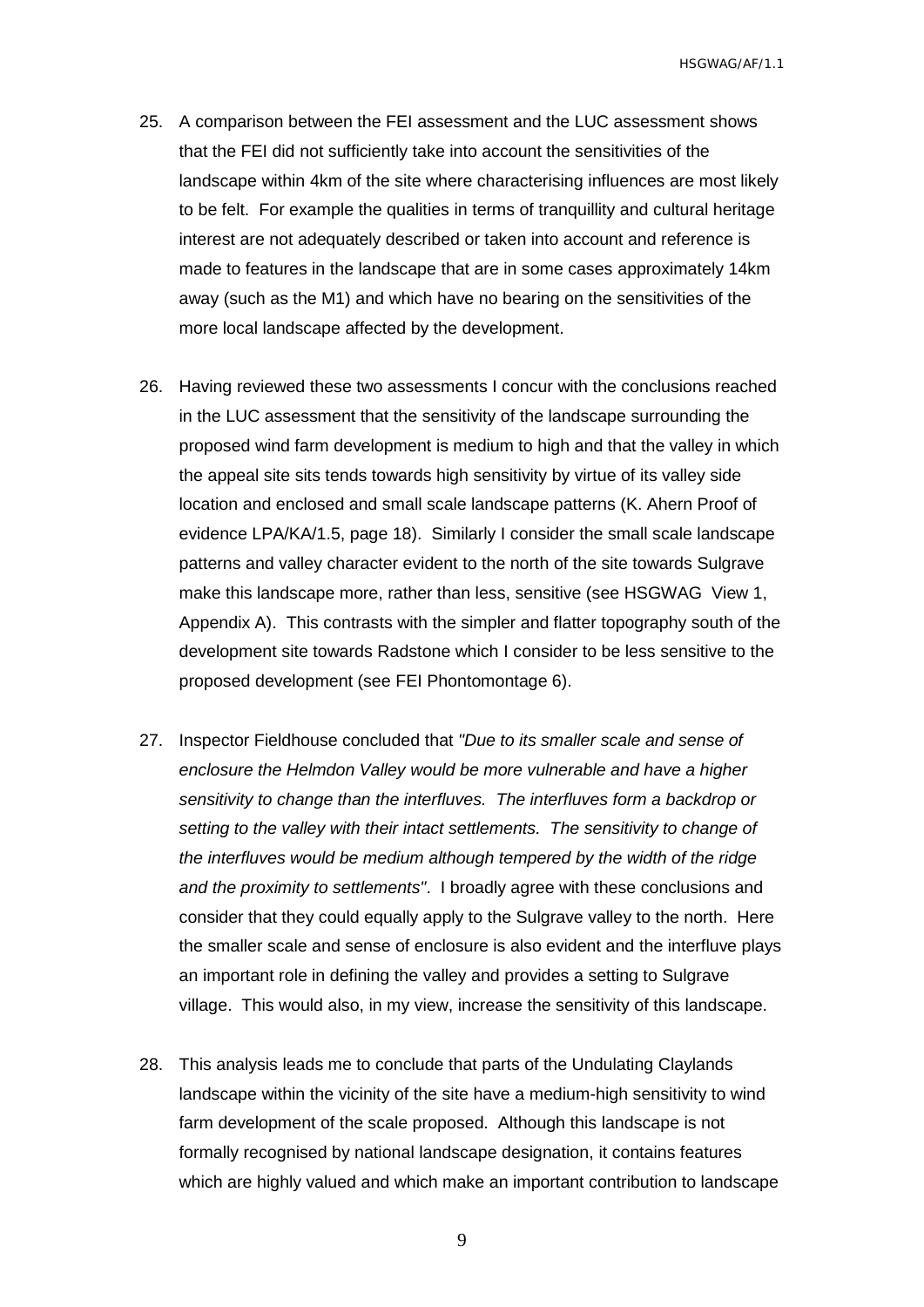- 25. A comparison between the FEI assessment and the LUC assessment shows that the FEI did not sufficiently take into account the sensitivities of the landscape within 4km of the site where characterising influences are most likely to be felt. For example the qualities in terms of tranquillity and cultural heritage interest are not adequately described or taken into account and reference is made to features in the landscape that are in some cases approximately 14km away (such as the M1) and which have no bearing on the sensitivities of the more local landscape affected by the development.
- 26. Having reviewed these two assessments I concur with the conclusions reached in the LUC assessment that the sensitivity of the landscape surrounding the proposed wind farm development is medium to high and that the valley in which the appeal site sits tends towards high sensitivity by virtue of its valley side location and enclosed and small scale landscape patterns (K. Ahern Proof of evidence LPA/KA/1.5, page 18). Similarly I consider the small scale landscape patterns and valley character evident to the north of the site towards Sulgrave make this landscape more, rather than less, sensitive (see HSGWAG View 1, Appendix A). This contrasts with the simpler and flatter topography south of the development site towards Radstone which I consider to be less sensitive to the proposed development (see FEI Phontomontage 6).
- 27. Inspector Fieldhouse concluded that *"Due to its smaller scale and sense of enclosure the Helmdon Valley would be more vulnerable and have a higher sensitivity to change than the interfluves. The interfluves form a backdrop or setting to the valley with their intact settlements. The sensitivity to change of the interfluves would be medium although tempered by the width of the ridge and the proximity to settlements"*. I broadly agree with these conclusions and consider that they could equally apply to the Sulgrave valley to the north. Here the smaller scale and sense of enclosure is also evident and the interfluve plays an important role in defining the valley and provides a setting to Sulgrave village. This would also, in my view, increase the sensitivity of this landscape.
- 28. This analysis leads me to conclude that parts of the Undulating Claylands landscape within the vicinity of the site have a medium-high sensitivity to wind farm development of the scale proposed. Although this landscape is not formally recognised by national landscape designation, it contains features which are highly valued and which make an important contribution to landscape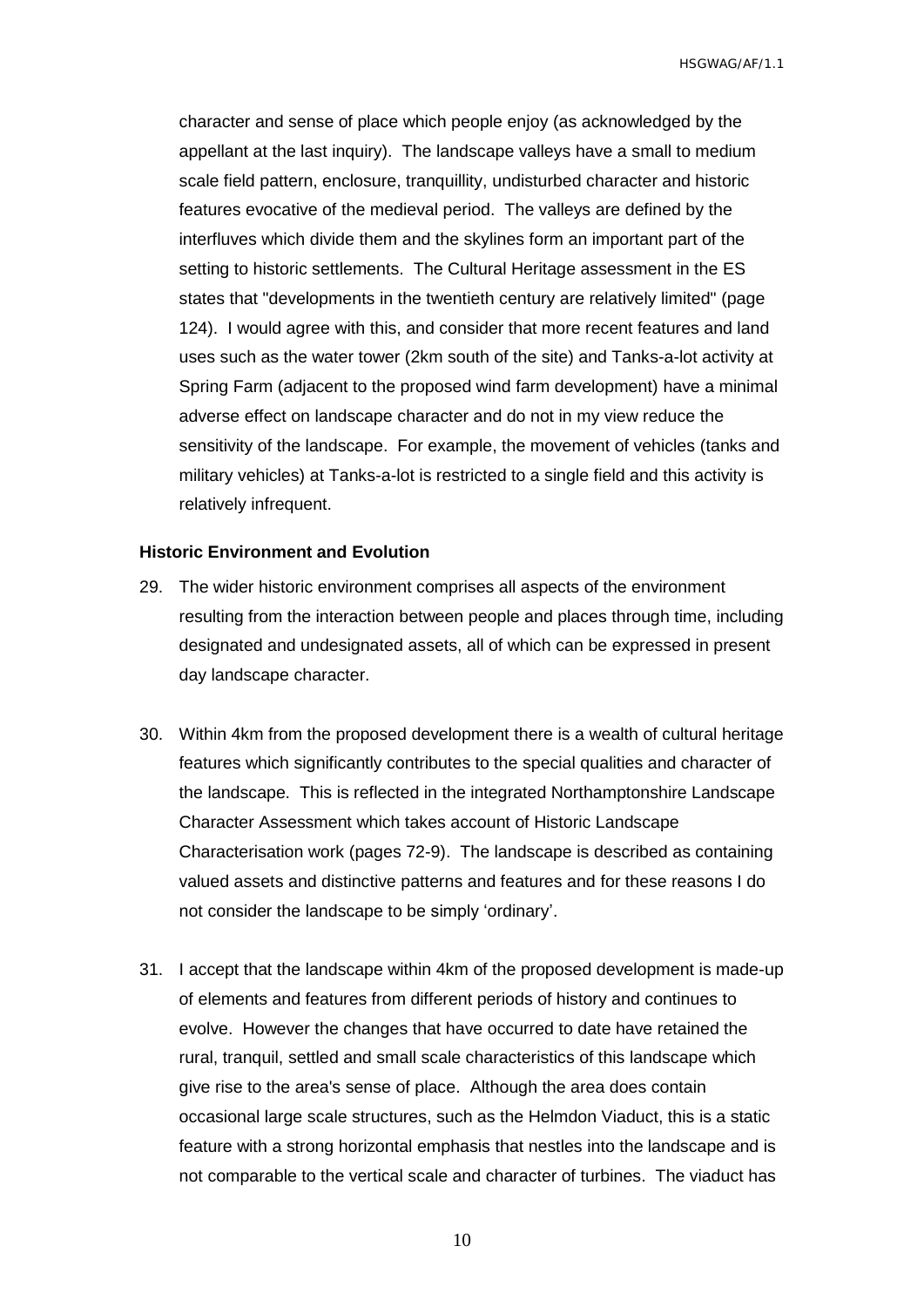character and sense of place which people enjoy (as acknowledged by the appellant at the last inquiry). The landscape valleys have a small to medium scale field pattern, enclosure, tranquillity, undisturbed character and historic features evocative of the medieval period. The valleys are defined by the interfluves which divide them and the skylines form an important part of the setting to historic settlements. The Cultural Heritage assessment in the ES states that "developments in the twentieth century are relatively limited" (page 124). I would agree with this, and consider that more recent features and land uses such as the water tower (2km south of the site) and Tanks-a-lot activity at Spring Farm (adjacent to the proposed wind farm development) have a minimal adverse effect on landscape character and do not in my view reduce the sensitivity of the landscape. For example, the movement of vehicles (tanks and military vehicles) at Tanks-a-lot is restricted to a single field and this activity is relatively infrequent.

#### <span id="page-11-0"></span>**Historic Environment and Evolution**

- 29. The wider historic environment comprises all aspects of the environment resulting from the interaction between people and places through time, including designated and undesignated assets, all of which can be expressed in present day landscape character.
- 30. Within 4km from the proposed development there is a wealth of cultural heritage features which significantly contributes to the special qualities and character of the landscape. This is reflected in the integrated Northamptonshire Landscape Character Assessment which takes account of Historic Landscape Characterisation work (pages 72-9). The landscape is described as containing valued assets and distinctive patterns and features and for these reasons I do not consider the landscape to be simply 'ordinary'.
- 31. I accept that the landscape within 4km of the proposed development is made-up of elements and features from different periods of history and continues to evolve. However the changes that have occurred to date have retained the rural, tranquil, settled and small scale characteristics of this landscape which give rise to the area's sense of place. Although the area does contain occasional large scale structures, such as the Helmdon Viaduct, this is a static feature with a strong horizontal emphasis that nestles into the landscape and is not comparable to the vertical scale and character of turbines. The viaduct has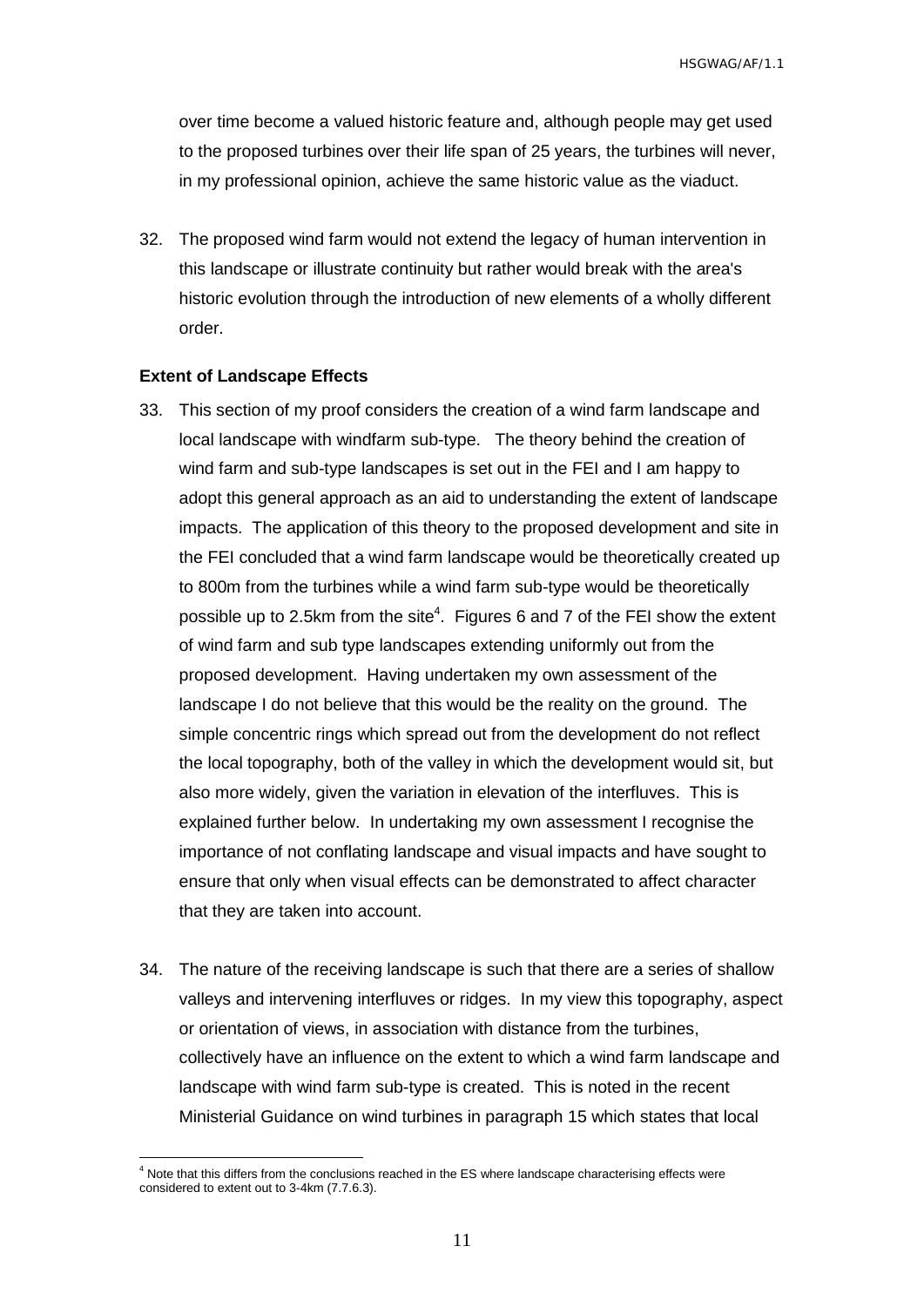over time become a valued historic feature and, although people may get used to the proposed turbines over their life span of 25 years, the turbines will never, in my professional opinion, achieve the same historic value as the viaduct.

32. The proposed wind farm would not extend the legacy of human intervention in this landscape or illustrate continuity but rather would break with the area's historic evolution through the introduction of new elements of a wholly different order.

#### <span id="page-12-0"></span>**Extent of Landscape Effects**

 $\overline{a}$ 

- 33. This section of my proof considers the creation of a wind farm landscape and local landscape with windfarm sub-type. The theory behind the creation of wind farm and sub-type landscapes is set out in the FEI and I am happy to adopt this general approach as an aid to understanding the extent of landscape impacts. The application of this theory to the proposed development and site in the FEI concluded that a wind farm landscape would be theoretically created up to 800m from the turbines while a wind farm sub-type would be theoretically possible up to 2.5km from the site<sup>4</sup>. Figures 6 and 7 of the FEI show the extent of wind farm and sub type landscapes extending uniformly out from the proposed development. Having undertaken my own assessment of the landscape I do not believe that this would be the reality on the ground. The simple concentric rings which spread out from the development do not reflect the local topography, both of the valley in which the development would sit, but also more widely, given the variation in elevation of the interfluves. This is explained further below. In undertaking my own assessment I recognise the importance of not conflating landscape and visual impacts and have sought to ensure that only when visual effects can be demonstrated to affect character that they are taken into account.
- 34. The nature of the receiving landscape is such that there are a series of shallow valleys and intervening interfluves or ridges. In my view this topography, aspect or orientation of views, in association with distance from the turbines, collectively have an influence on the extent to which a wind farm landscape and landscape with wind farm sub-type is created. This is noted in the recent Ministerial Guidance on wind turbines in paragraph 15 which states that local

<sup>4</sup> Note that this differs from the conclusions reached in the ES where landscape characterising effects were considered to extent out to 3-4km (7.7.6.3).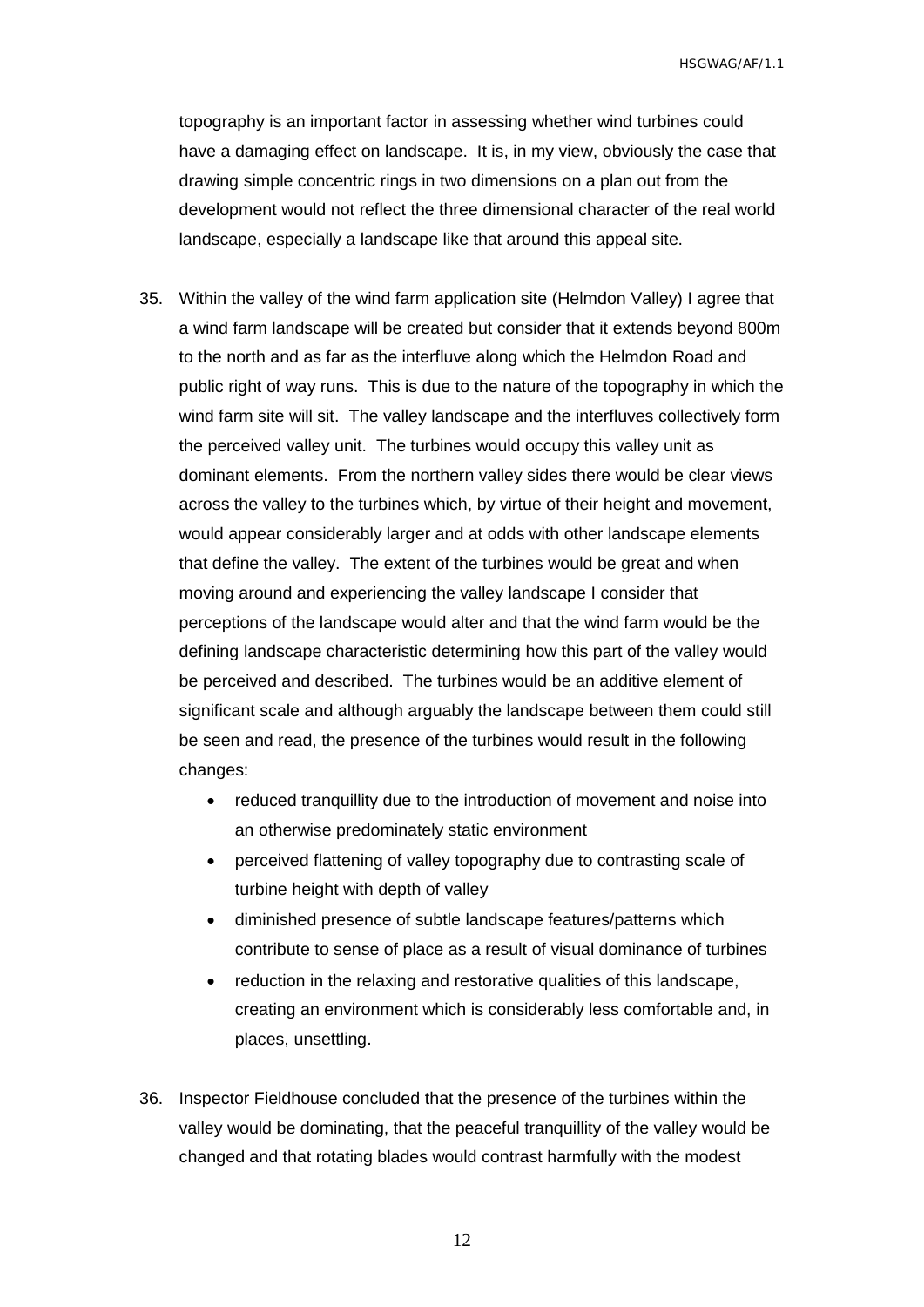topography is an important factor in assessing whether wind turbines could have a damaging effect on landscape. It is, in my view, obviously the case that drawing simple concentric rings in two dimensions on a plan out from the development would not reflect the three dimensional character of the real world landscape, especially a landscape like that around this appeal site.

- 35. Within the valley of the wind farm application site (Helmdon Valley) I agree that a wind farm landscape will be created but consider that it extends beyond 800m to the north and as far as the interfluve along which the Helmdon Road and public right of way runs. This is due to the nature of the topography in which the wind farm site will sit. The valley landscape and the interfluves collectively form the perceived valley unit. The turbines would occupy this valley unit as dominant elements. From the northern valley sides there would be clear views across the valley to the turbines which, by virtue of their height and movement, would appear considerably larger and at odds with other landscape elements that define the valley. The extent of the turbines would be great and when moving around and experiencing the valley landscape I consider that perceptions of the landscape would alter and that the wind farm would be the defining landscape characteristic determining how this part of the valley would be perceived and described. The turbines would be an additive element of significant scale and although arguably the landscape between them could still be seen and read, the presence of the turbines would result in the following changes:
	- reduced tranquillity due to the introduction of movement and noise into an otherwise predominately static environment
	- perceived flattening of valley topography due to contrasting scale of turbine height with depth of valley
	- diminished presence of subtle landscape features/patterns which contribute to sense of place as a result of visual dominance of turbines
	- reduction in the relaxing and restorative qualities of this landscape, creating an environment which is considerably less comfortable and, in places, unsettling.
- 36. Inspector Fieldhouse concluded that the presence of the turbines within the valley would be dominating, that the peaceful tranquillity of the valley would be changed and that rotating blades would contrast harmfully with the modest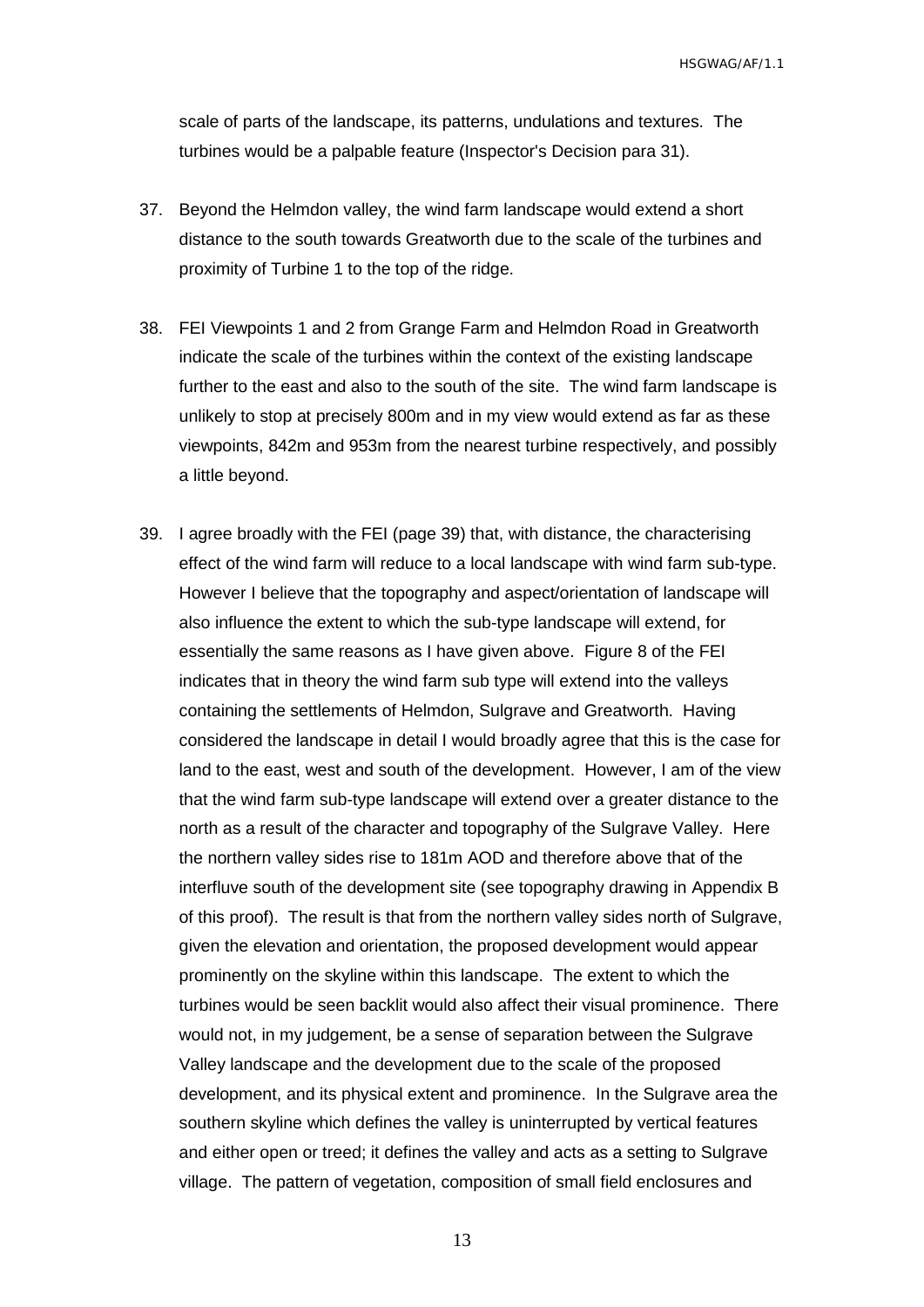scale of parts of the landscape, its patterns, undulations and textures. The turbines would be a palpable feature (Inspector's Decision para 31).

- 37. Beyond the Helmdon valley, the wind farm landscape would extend a short distance to the south towards Greatworth due to the scale of the turbines and proximity of Turbine 1 to the top of the ridge.
- 38. FEI Viewpoints 1 and 2 from Grange Farm and Helmdon Road in Greatworth indicate the scale of the turbines within the context of the existing landscape further to the east and also to the south of the site. The wind farm landscape is unlikely to stop at precisely 800m and in my view would extend as far as these viewpoints, 842m and 953m from the nearest turbine respectively, and possibly a little beyond.
- 39. I agree broadly with the FEI (page 39) that, with distance, the characterising effect of the wind farm will reduce to a local landscape with wind farm sub-type. However I believe that the topography and aspect/orientation of landscape will also influence the extent to which the sub-type landscape will extend, for essentially the same reasons as I have given above. Figure 8 of the FEI indicates that in theory the wind farm sub type will extend into the valleys containing the settlements of Helmdon, Sulgrave and Greatworth. Having considered the landscape in detail I would broadly agree that this is the case for land to the east, west and south of the development. However, I am of the view that the wind farm sub-type landscape will extend over a greater distance to the north as a result of the character and topography of the Sulgrave Valley. Here the northern valley sides rise to 181m AOD and therefore above that of the interfluve south of the development site (see topography drawing in Appendix B of this proof). The result is that from the northern valley sides north of Sulgrave, given the elevation and orientation, the proposed development would appear prominently on the skyline within this landscape. The extent to which the turbines would be seen backlit would also affect their visual prominence. There would not, in my judgement, be a sense of separation between the Sulgrave Valley landscape and the development due to the scale of the proposed development, and its physical extent and prominence. In the Sulgrave area the southern skyline which defines the valley is uninterrupted by vertical features and either open or treed; it defines the valley and acts as a setting to Sulgrave village. The pattern of vegetation, composition of small field enclosures and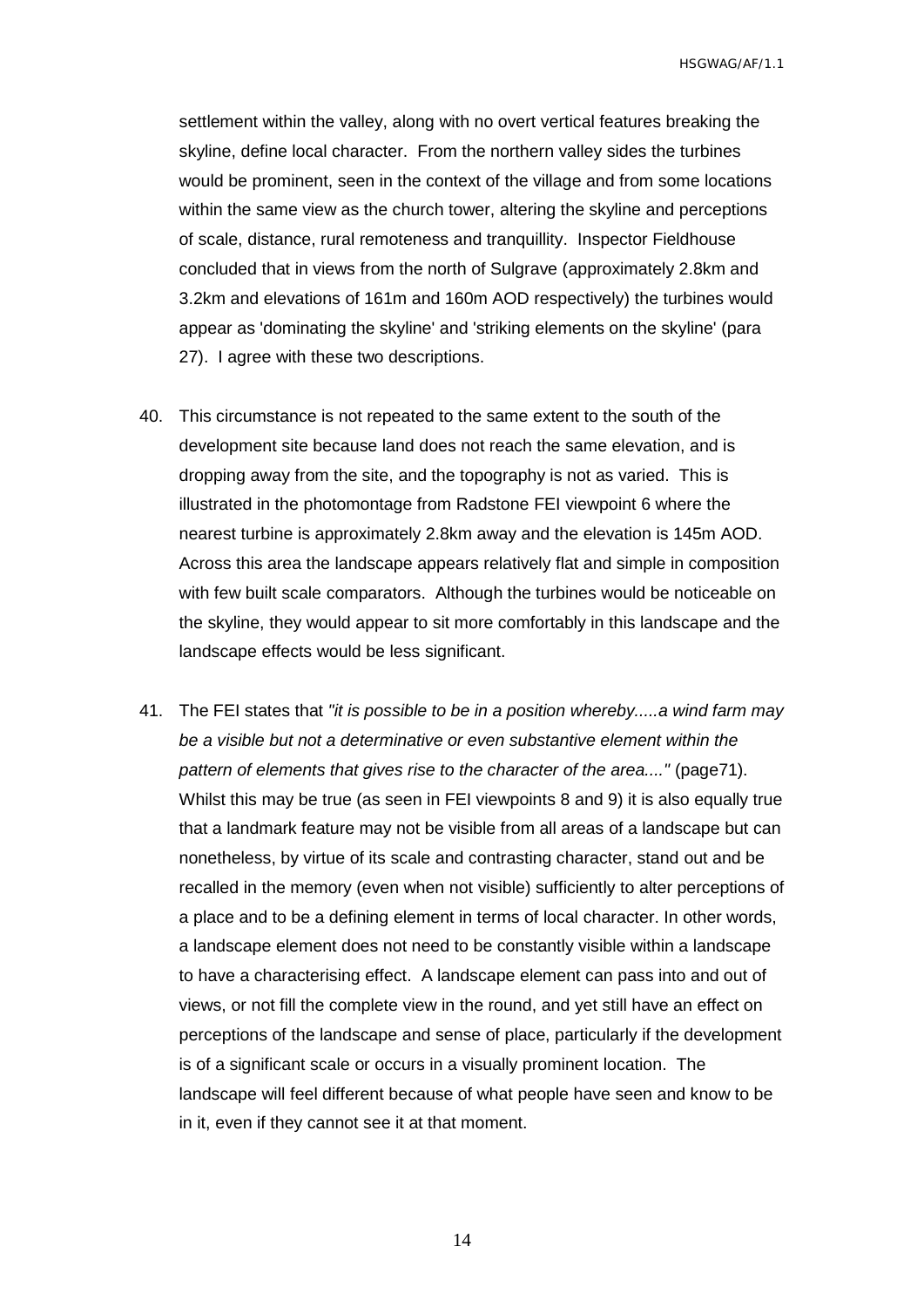settlement within the valley, along with no overt vertical features breaking the skyline, define local character. From the northern valley sides the turbines would be prominent, seen in the context of the village and from some locations within the same view as the church tower, altering the skyline and perceptions of scale, distance, rural remoteness and tranquillity. Inspector Fieldhouse concluded that in views from the north of Sulgrave (approximately 2.8km and 3.2km and elevations of 161m and 160m AOD respectively) the turbines would appear as 'dominating the skyline' and 'striking elements on the skyline' (para 27). I agree with these two descriptions.

- 40. This circumstance is not repeated to the same extent to the south of the development site because land does not reach the same elevation, and is dropping away from the site, and the topography is not as varied. This is illustrated in the photomontage from Radstone FEI viewpoint 6 where the nearest turbine is approximately 2.8km away and the elevation is 145m AOD. Across this area the landscape appears relatively flat and simple in composition with few built scale comparators. Although the turbines would be noticeable on the skyline, they would appear to sit more comfortably in this landscape and the landscape effects would be less significant.
- 41. The FEI states that *"it is possible to be in a position whereby.....a wind farm may be a visible but not a determinative or even substantive element within the pattern of elements that gives rise to the character of the area...."* (page71). Whilst this may be true (as seen in FEI viewpoints 8 and 9) it is also equally true that a landmark feature may not be visible from all areas of a landscape but can nonetheless, by virtue of its scale and contrasting character, stand out and be recalled in the memory (even when not visible) sufficiently to alter perceptions of a place and to be a defining element in terms of local character. In other words, a landscape element does not need to be constantly visible within a landscape to have a characterising effect. A landscape element can pass into and out of views, or not fill the complete view in the round, and yet still have an effect on perceptions of the landscape and sense of place, particularly if the development is of a significant scale or occurs in a visually prominent location. The landscape will feel different because of what people have seen and know to be in it, even if they cannot see it at that moment.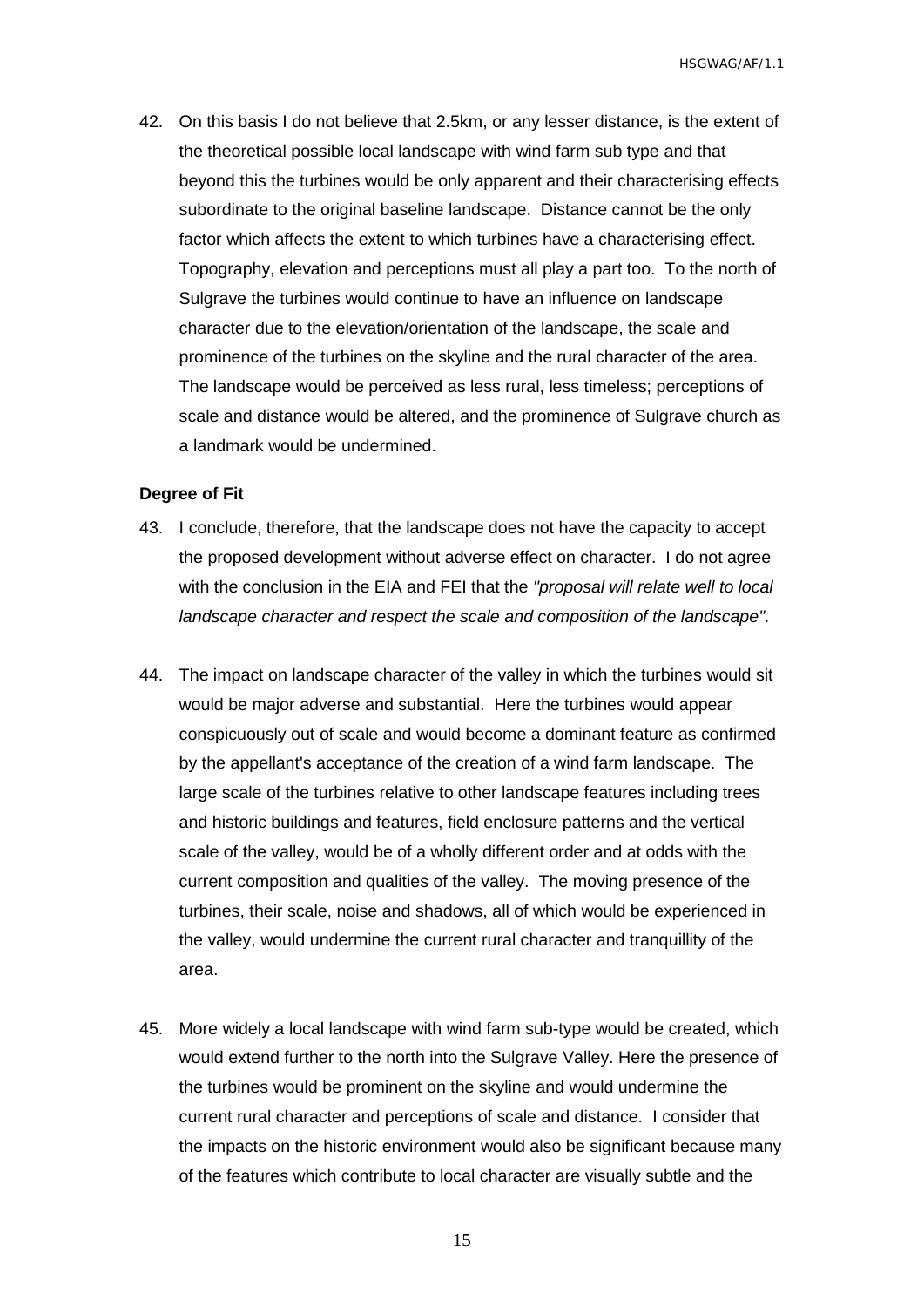42. On this basis I do not believe that 2.5km, or any lesser distance, is the extent of the theoretical possible local landscape with wind farm sub type and that beyond this the turbines would be only apparent and their characterising effects subordinate to the original baseline landscape. Distance cannot be the only factor which affects the extent to which turbines have a characterising effect. Topography, elevation and perceptions must all play a part too. To the north of Sulgrave the turbines would continue to have an influence on landscape character due to the elevation/orientation of the landscape, the scale and prominence of the turbines on the skyline and the rural character of the area. The landscape would be perceived as less rural, less timeless; perceptions of scale and distance would be altered, and the prominence of Sulgrave church as a landmark would be undermined.

#### <span id="page-16-0"></span>**Degree of Fit**

- 43. I conclude, therefore, that the landscape does not have the capacity to accept the proposed development without adverse effect on character. I do not agree with the conclusion in the EIA and FEI that the *"proposal will relate well to local landscape character and respect the scale and composition of the landscape".*
- 44. The impact on landscape character of the valley in which the turbines would sit would be major adverse and substantial. Here the turbines would appear conspicuously out of scale and would become a dominant feature as confirmed by the appellant's acceptance of the creation of a wind farm landscape. The large scale of the turbines relative to other landscape features including trees and historic buildings and features, field enclosure patterns and the vertical scale of the valley, would be of a wholly different order and at odds with the current composition and qualities of the valley. The moving presence of the turbines, their scale, noise and shadows, all of which would be experienced in the valley, would undermine the current rural character and tranquillity of the area.
- 45. More widely a local landscape with wind farm sub-type would be created, which would extend further to the north into the Sulgrave Valley. Here the presence of the turbines would be prominent on the skyline and would undermine the current rural character and perceptions of scale and distance. I consider that the impacts on the historic environment would also be significant because many of the features which contribute to local character are visually subtle and the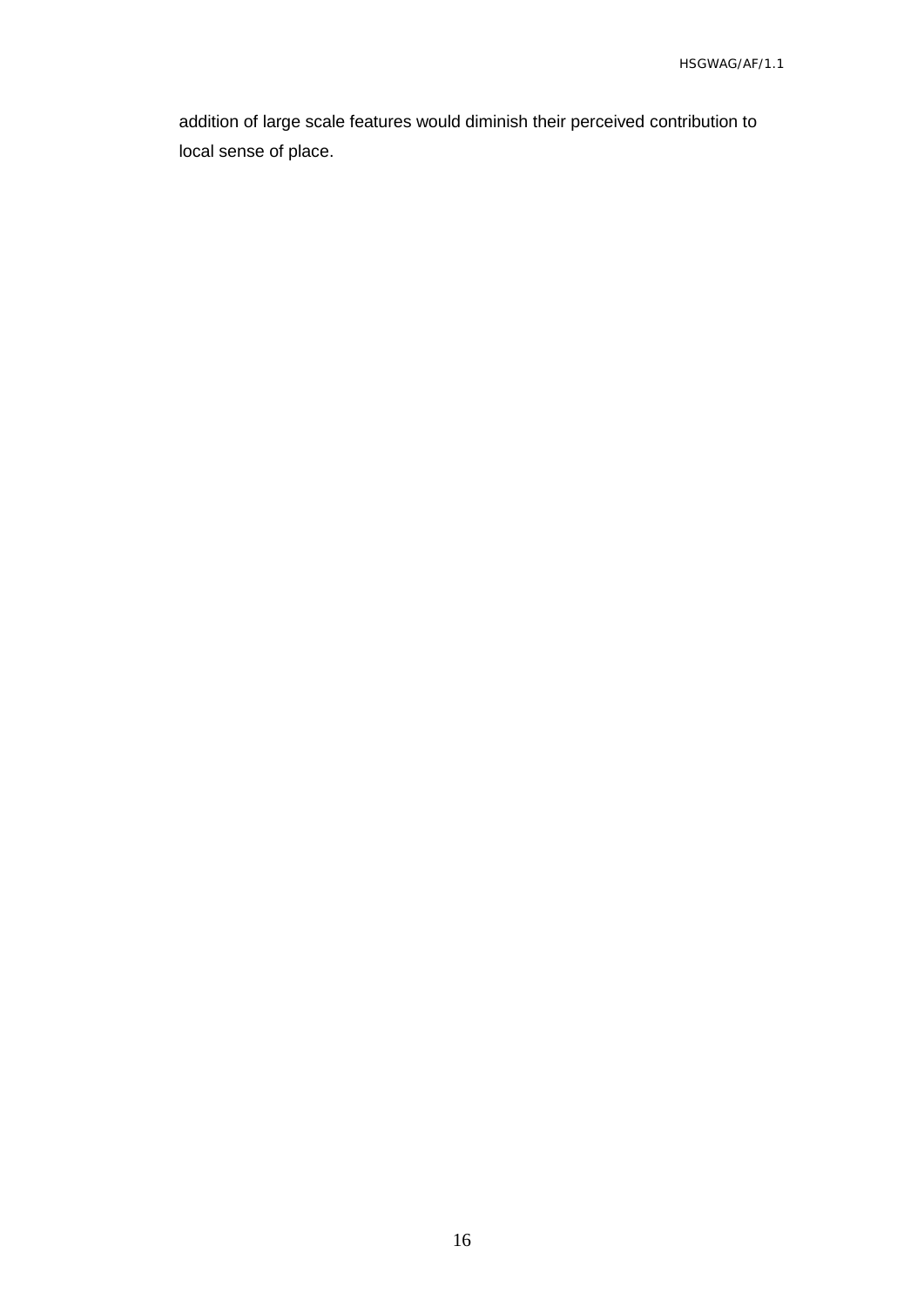addition of large scale features would diminish their perceived contribution to local sense of place.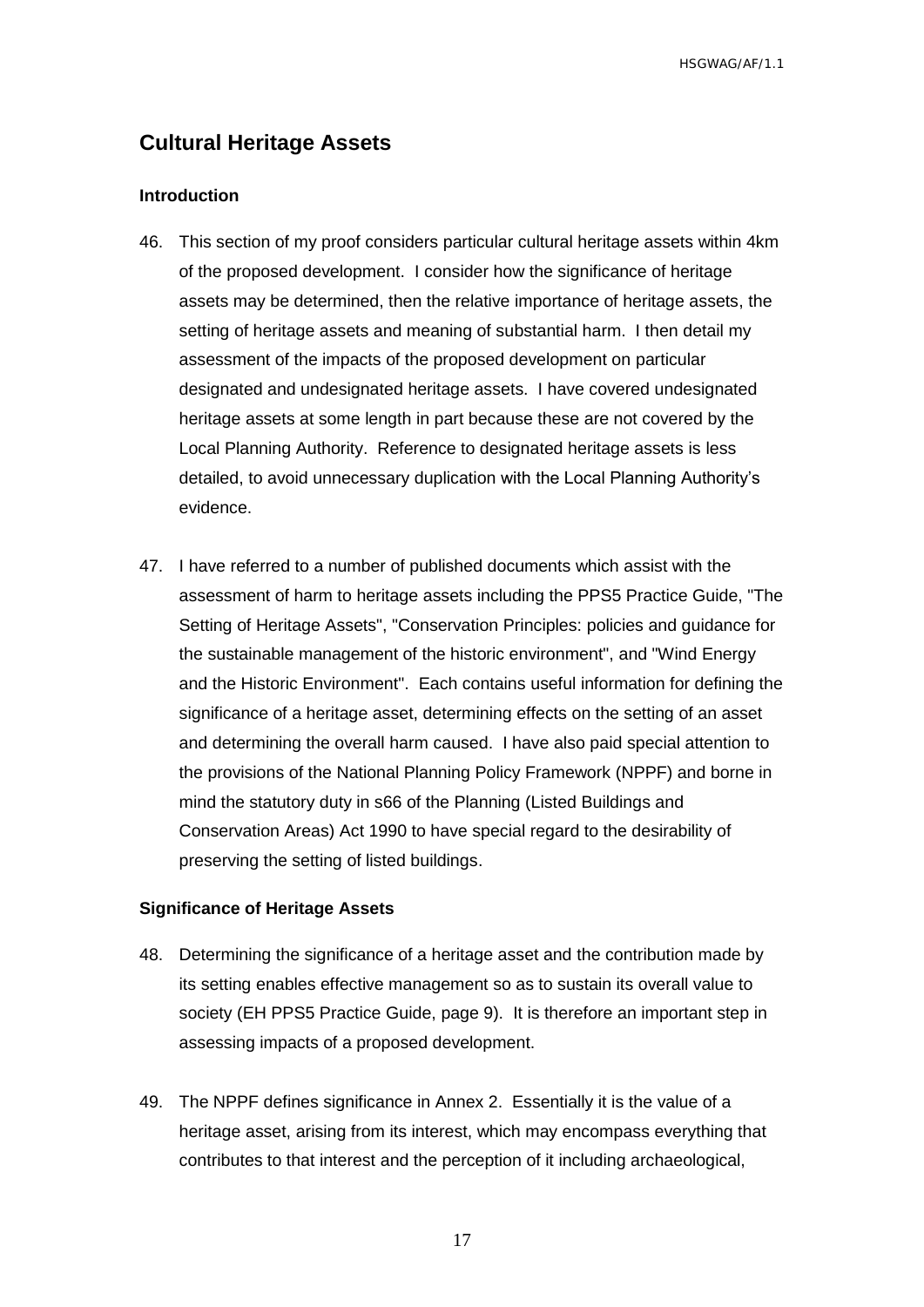## <span id="page-18-0"></span>**Cultural Heritage Assets**

#### <span id="page-18-1"></span>**Introduction**

- 46. This section of my proof considers particular cultural heritage assets within 4km of the proposed development. I consider how the significance of heritage assets may be determined, then the relative importance of heritage assets, the setting of heritage assets and meaning of substantial harm. I then detail my assessment of the impacts of the proposed development on particular designated and undesignated heritage assets. I have covered undesignated heritage assets at some length in part because these are not covered by the Local Planning Authority. Reference to designated heritage assets is less detailed, to avoid unnecessary duplication with the Local Planning Authority's evidence.
- 47. I have referred to a number of published documents which assist with the assessment of harm to heritage assets including the PPS5 Practice Guide, "The Setting of Heritage Assets", "Conservation Principles: policies and guidance for the sustainable management of the historic environment", and "Wind Energy and the Historic Environment". Each contains useful information for defining the significance of a heritage asset, determining effects on the setting of an asset and determining the overall harm caused. I have also paid special attention to the provisions of the National Planning Policy Framework (NPPF) and borne in mind the statutory duty in s66 of the Planning (Listed Buildings and Conservation Areas) Act 1990 to have special regard to the desirability of preserving the setting of listed buildings.

#### <span id="page-18-2"></span>**Significance of Heritage Assets**

- 48. Determining the significance of a heritage asset and the contribution made by its setting enables effective management so as to sustain its overall value to society (EH PPS5 Practice Guide, page 9). It is therefore an important step in assessing impacts of a proposed development.
- 49. The NPPF defines significance in Annex 2. Essentially it is the value of a heritage asset, arising from its interest, which may encompass everything that contributes to that interest and the perception of it including archaeological,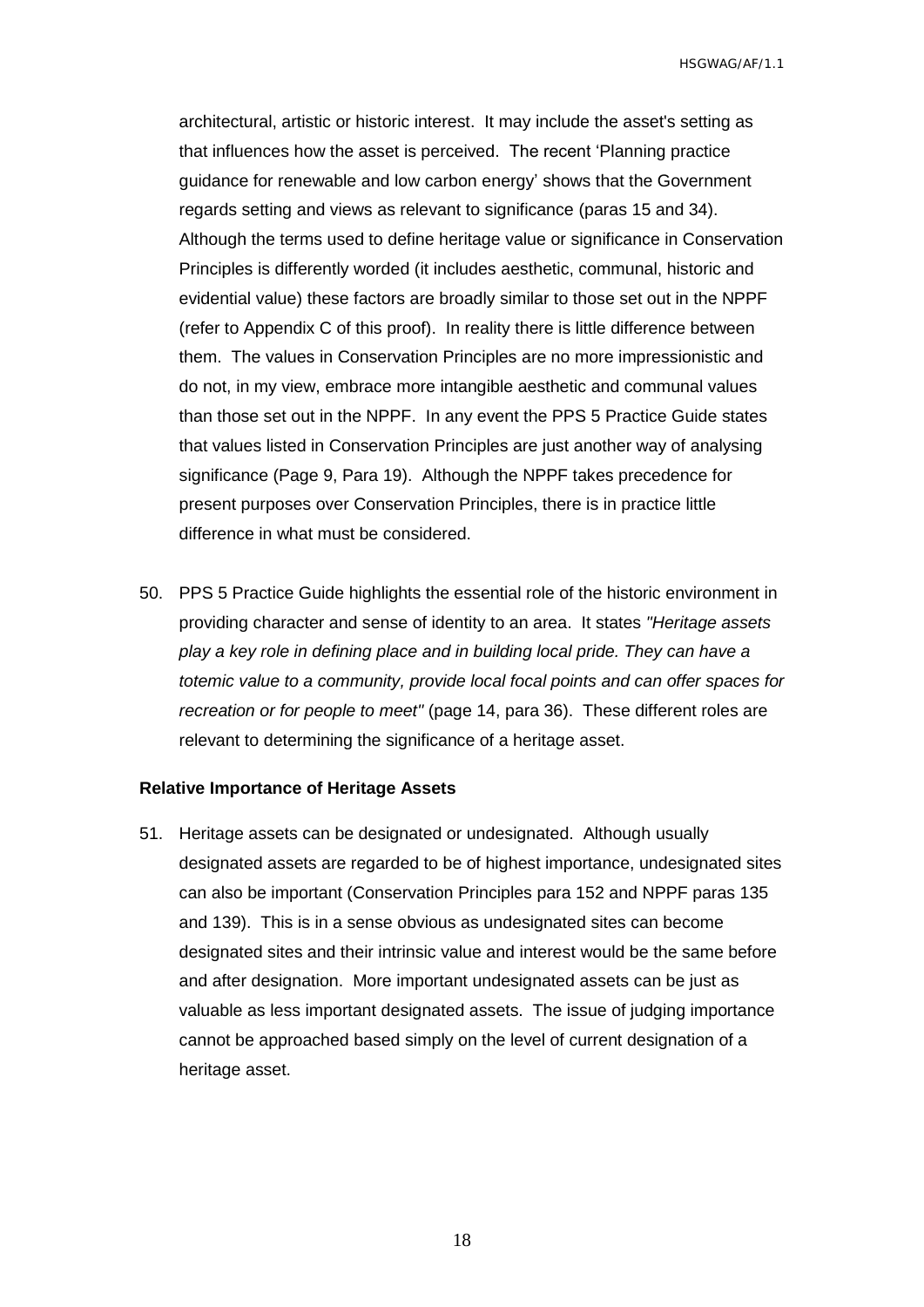architectural, artistic or historic interest. It may include the asset's setting as that influences how the asset is perceived. The recent 'Planning practice guidance for renewable and low carbon energy' shows that the Government regards setting and views as relevant to significance (paras 15 and 34). Although the terms used to define heritage value or significance in Conservation Principles is differently worded (it includes aesthetic, communal, historic and evidential value) these factors are broadly similar to those set out in the NPPF (refer to Appendix C of this proof). In reality there is little difference between them. The values in Conservation Principles are no more impressionistic and do not, in my view, embrace more intangible aesthetic and communal values than those set out in the NPPF. In any event the PPS 5 Practice Guide states that values listed in Conservation Principles are just another way of analysing significance (Page 9, Para 19). Although the NPPF takes precedence for present purposes over Conservation Principles, there is in practice little difference in what must be considered.

50. PPS 5 Practice Guide highlights the essential role of the historic environment in providing character and sense of identity to an area. It states *"Heritage assets play a key role in defining place and in building local pride. They can have a totemic value to a community, provide local focal points and can offer spaces for recreation or for people to meet"* (page 14, para 36). These different roles are relevant to determining the significance of a heritage asset.

#### <span id="page-19-0"></span>**Relative Importance of Heritage Assets**

51. Heritage assets can be designated or undesignated. Although usually designated assets are regarded to be of highest importance, undesignated sites can also be important (Conservation Principles para 152 and NPPF paras 135 and 139). This is in a sense obvious as undesignated sites can become designated sites and their intrinsic value and interest would be the same before and after designation. More important undesignated assets can be just as valuable as less important designated assets. The issue of judging importance cannot be approached based simply on the level of current designation of a heritage asset.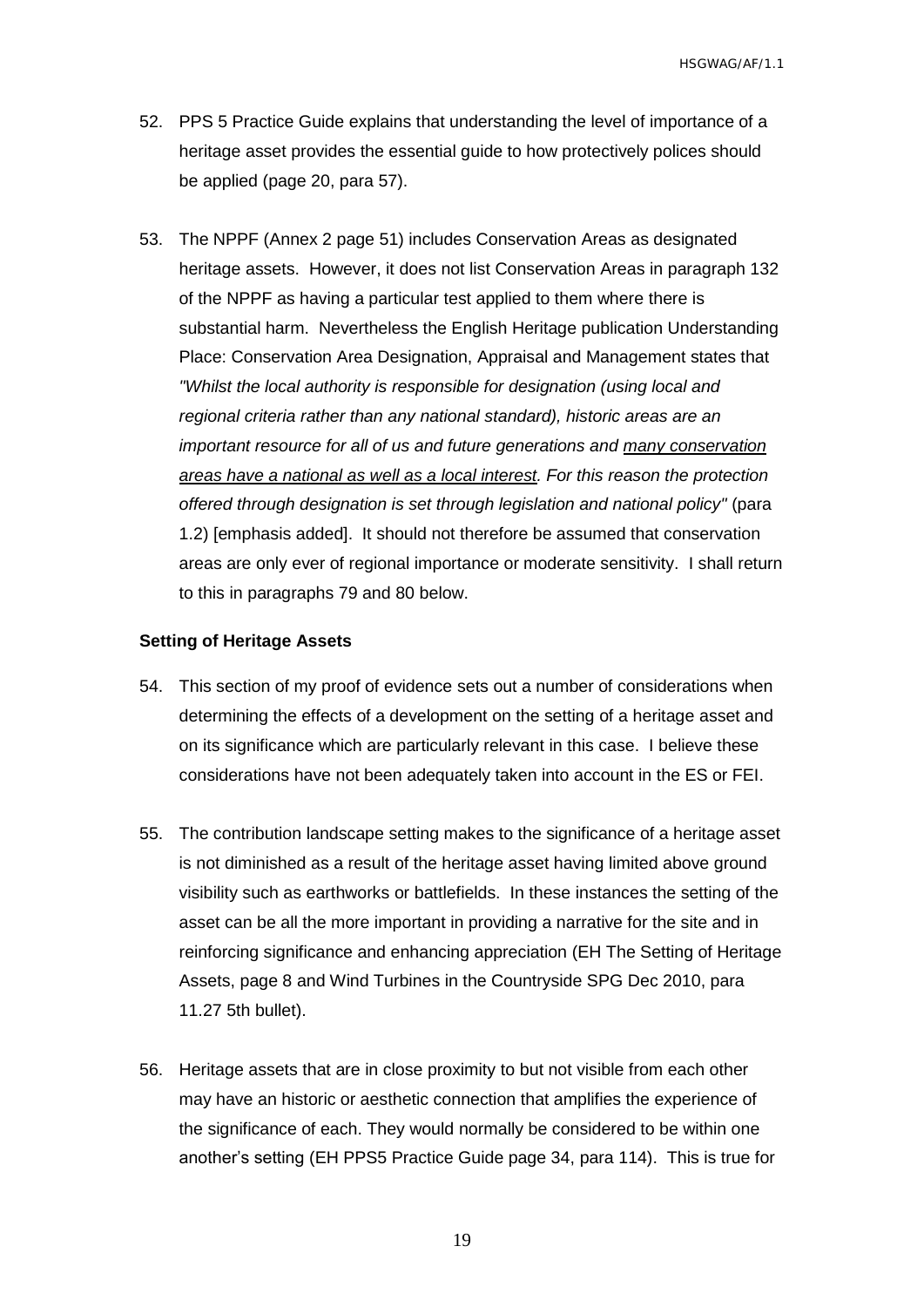- 52. PPS 5 Practice Guide explains that understanding the level of importance of a heritage asset provides the essential guide to how protectively polices should be applied (page 20, para 57).
- 53. The NPPF (Annex 2 page 51) includes Conservation Areas as designated heritage assets. However, it does not list Conservation Areas in paragraph 132 of the NPPF as having a particular test applied to them where there is substantial harm. Nevertheless the English Heritage publication Understanding Place: Conservation Area Designation, Appraisal and Management states that *"Whilst the local authority is responsible for designation (using local and regional criteria rather than any national standard), historic areas are an important resource for all of us and future generations and many conservation areas have a national as well as a local interest. For this reason the protection offered through designation is set through legislation and national policy"* (para 1.2) [emphasis added]. It should not therefore be assumed that conservation areas are only ever of regional importance or moderate sensitivity. I shall return to this in paragraphs 79 and 80 below.

#### <span id="page-20-0"></span>**Setting of Heritage Assets**

- 54. This section of my proof of evidence sets out a number of considerations when determining the effects of a development on the setting of a heritage asset and on its significance which are particularly relevant in this case. I believe these considerations have not been adequately taken into account in the ES or FEI.
- 55. The contribution landscape setting makes to the significance of a heritage asset is not diminished as a result of the heritage asset having limited above ground visibility such as earthworks or battlefields. In these instances the setting of the asset can be all the more important in providing a narrative for the site and in reinforcing significance and enhancing appreciation (EH The Setting of Heritage Assets, page 8 and Wind Turbines in the Countryside SPG Dec 2010, para 11.27 5th bullet).
- 56. Heritage assets that are in close proximity to but not visible from each other may have an historic or aesthetic connection that amplifies the experience of the significance of each. They would normally be considered to be within one another's setting (EH PPS5 Practice Guide page 34, para 114). This is true for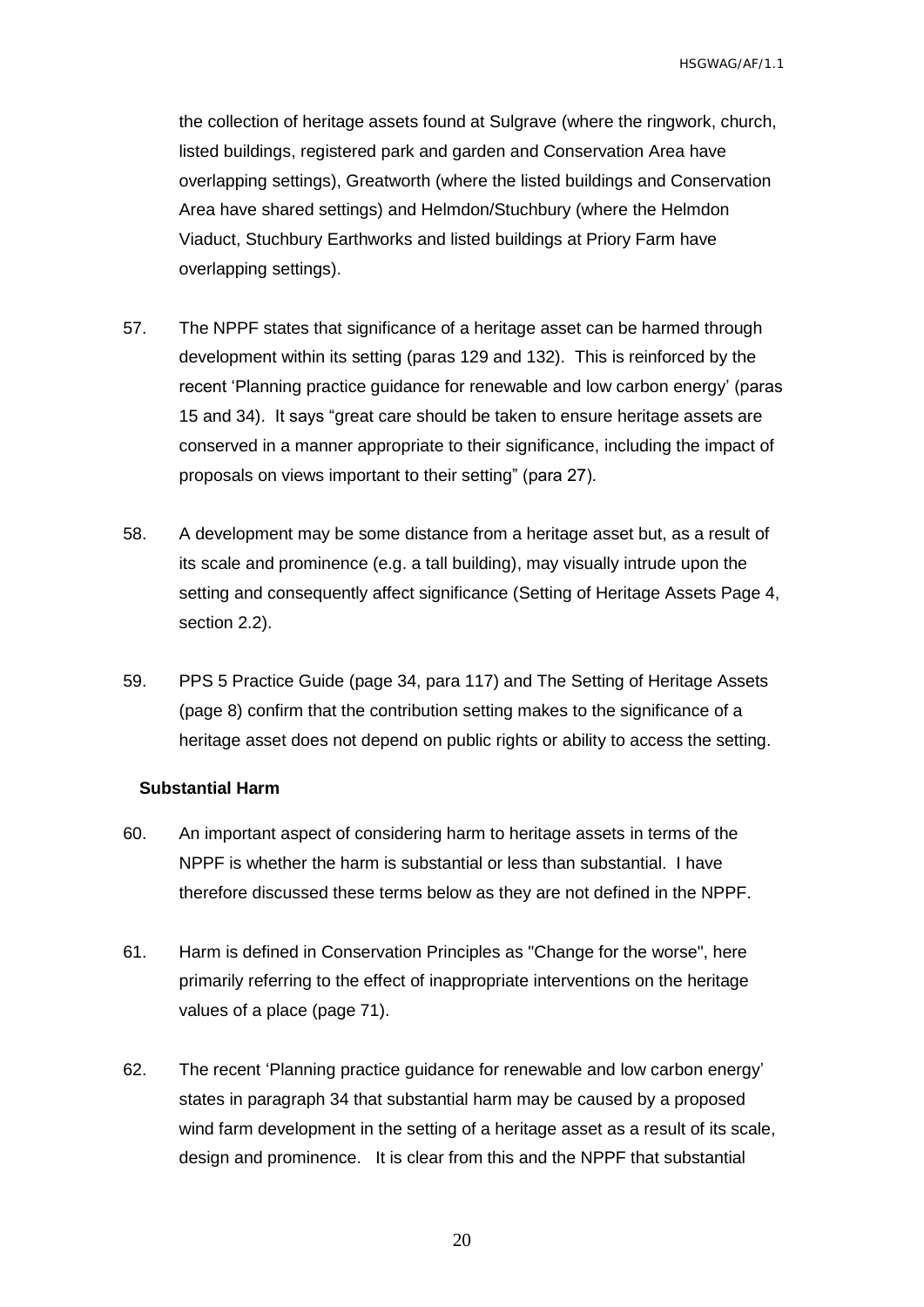the collection of heritage assets found at Sulgrave (where the ringwork, church, listed buildings, registered park and garden and Conservation Area have overlapping settings), Greatworth (where the listed buildings and Conservation Area have shared settings) and Helmdon/Stuchbury (where the Helmdon Viaduct, Stuchbury Earthworks and listed buildings at Priory Farm have overlapping settings).

- 57. The NPPF states that significance of a heritage asset can be harmed through development within its setting (paras 129 and 132). This is reinforced by the recent 'Planning practice guidance for renewable and low carbon energy' (paras 15 and 34). It says "great care should be taken to ensure heritage assets are conserved in a manner appropriate to their significance, including the impact of proposals on views important to their setting" (para 27).
- 58. A development may be some distance from a heritage asset but, as a result of its scale and prominence (e.g. a tall building), may visually intrude upon the setting and consequently affect significance (Setting of Heritage Assets Page 4, section 2.2).
- 59. PPS 5 Practice Guide (page 34, para 117) and The Setting of Heritage Assets (page 8) confirm that the contribution setting makes to the significance of a heritage asset does not depend on public rights or ability to access the setting.

#### <span id="page-21-0"></span>**Substantial Harm**

- 60. An important aspect of considering harm to heritage assets in terms of the NPPF is whether the harm is substantial or less than substantial. I have therefore discussed these terms below as they are not defined in the NPPF.
- 61. Harm is defined in Conservation Principles as "Change for the worse", here primarily referring to the effect of inappropriate interventions on the heritage values of a place (page 71).
- 62. The recent 'Planning practice guidance for renewable and low carbon energy' states in paragraph 34 that substantial harm may be caused by a proposed wind farm development in the setting of a heritage asset as a result of its scale, design and prominence. It is clear from this and the NPPF that substantial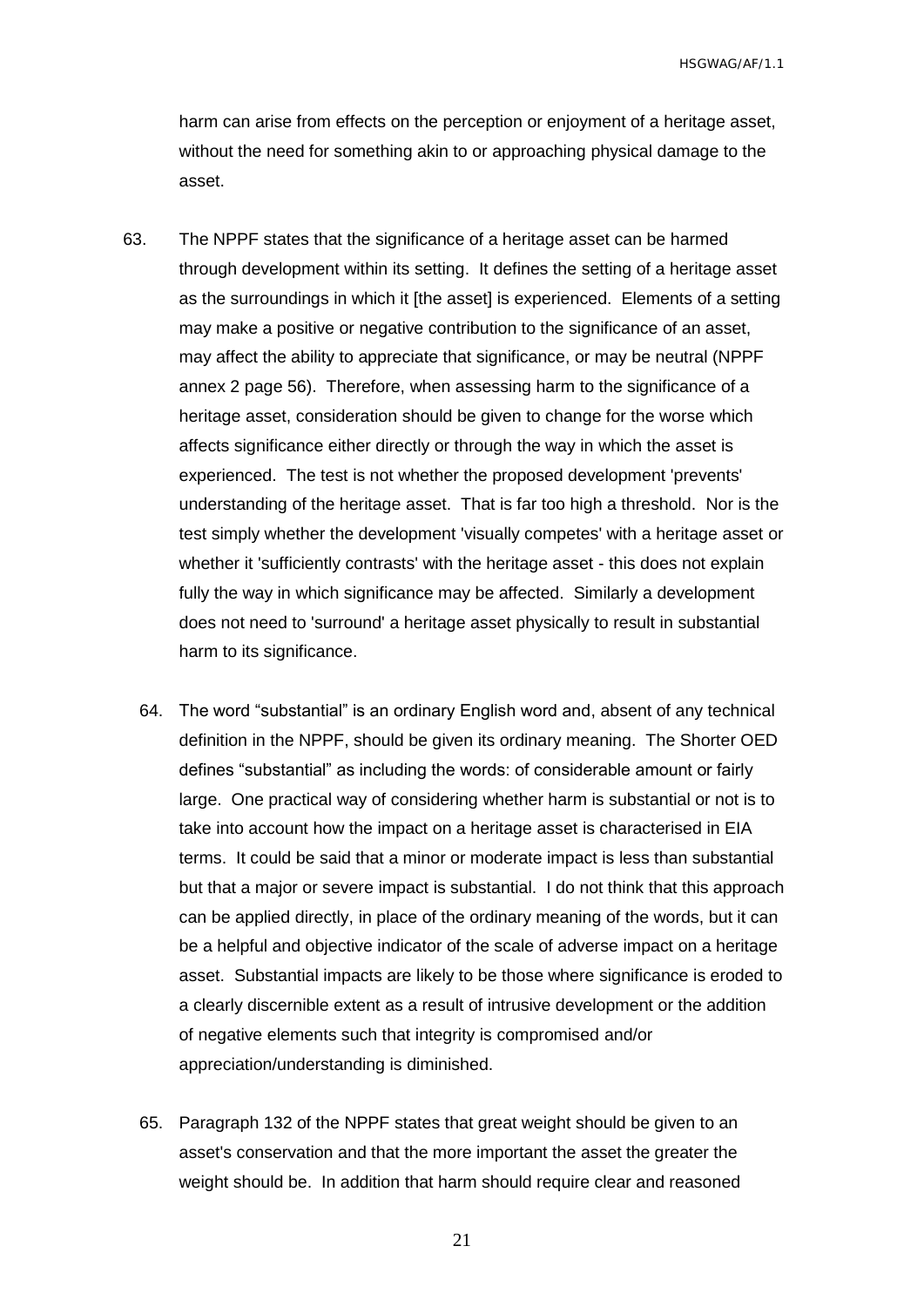harm can arise from effects on the perception or enjoyment of a heritage asset, without the need for something akin to or approaching physical damage to the asset.

- 63. The NPPF states that the significance of a heritage asset can be harmed through development within its setting. It defines the setting of a heritage asset as the surroundings in which it [the asset] is experienced. Elements of a setting may make a positive or negative contribution to the significance of an asset, may affect the ability to appreciate that significance, or may be neutral (NPPF annex 2 page 56). Therefore, when assessing harm to the significance of a heritage asset, consideration should be given to change for the worse which affects significance either directly or through the way in which the asset is experienced. The test is not whether the proposed development 'prevents' understanding of the heritage asset. That is far too high a threshold. Nor is the test simply whether the development 'visually competes' with a heritage asset or whether it 'sufficiently contrasts' with the heritage asset - this does not explain fully the way in which significance may be affected. Similarly a development does not need to 'surround' a heritage asset physically to result in substantial harm to its significance.
	- 64. The word "substantial" is an ordinary English word and, absent of any technical definition in the NPPF, should be given its ordinary meaning. The Shorter OED defines "substantial" as including the words: of considerable amount or fairly large. One practical way of considering whether harm is substantial or not is to take into account how the impact on a heritage asset is characterised in EIA terms. It could be said that a minor or moderate impact is less than substantial but that a major or severe impact is substantial. I do not think that this approach can be applied directly, in place of the ordinary meaning of the words, but it can be a helpful and objective indicator of the scale of adverse impact on a heritage asset. Substantial impacts are likely to be those where significance is eroded to a clearly discernible extent as a result of intrusive development or the addition of negative elements such that integrity is compromised and/or appreciation/understanding is diminished.
	- 65. Paragraph 132 of the NPPF states that great weight should be given to an asset's conservation and that the more important the asset the greater the weight should be. In addition that harm should require clear and reasoned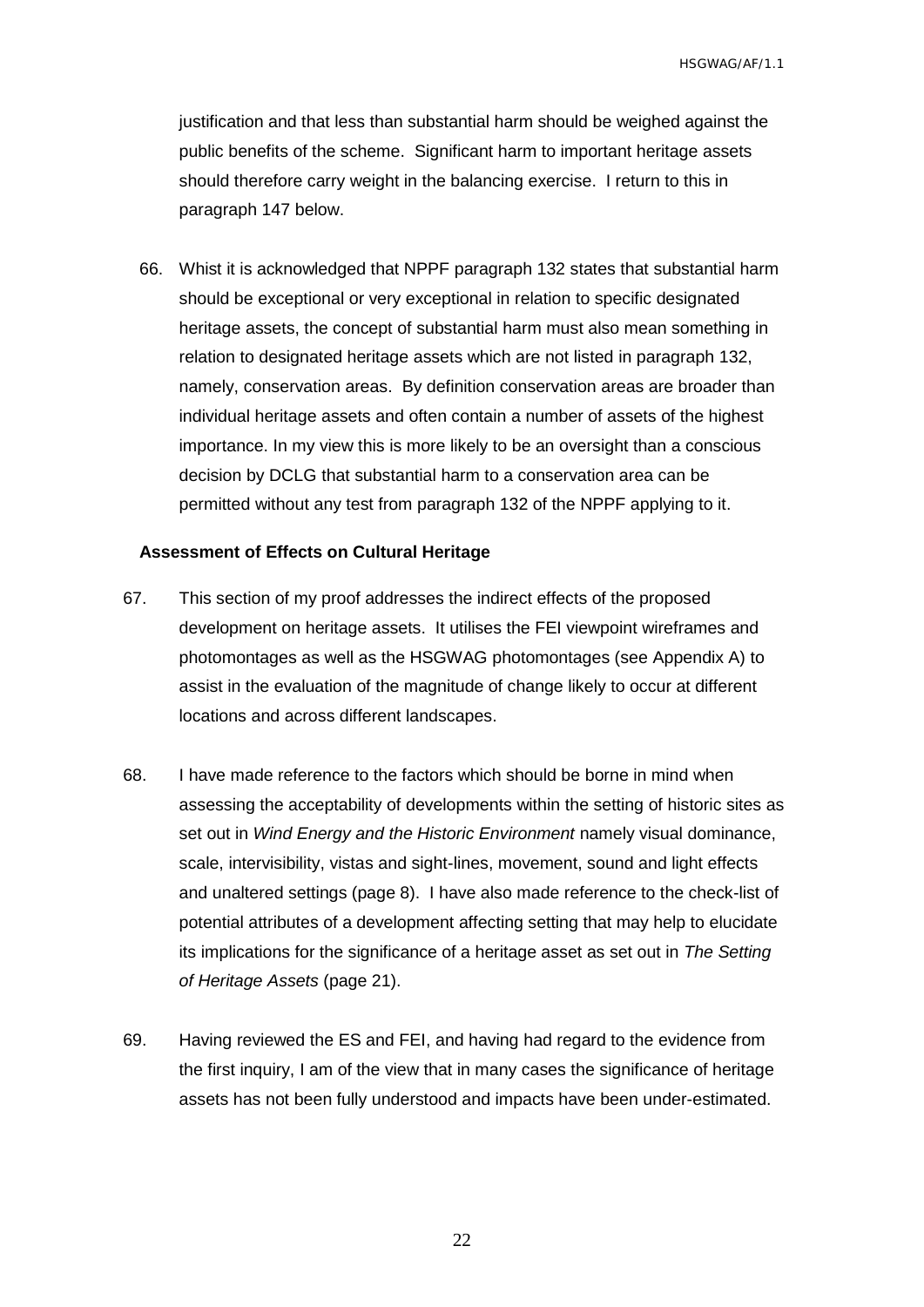justification and that less than substantial harm should be weighed against the public benefits of the scheme. Significant harm to important heritage assets should therefore carry weight in the balancing exercise. I return to this in paragraph 147 below.

66. Whist it is acknowledged that NPPF paragraph 132 states that substantial harm should be exceptional or very exceptional in relation to specific designated heritage assets, the concept of substantial harm must also mean something in relation to designated heritage assets which are not listed in paragraph 132, namely, conservation areas. By definition conservation areas are broader than individual heritage assets and often contain a number of assets of the highest importance. In my view this is more likely to be an oversight than a conscious decision by DCLG that substantial harm to a conservation area can be permitted without any test from paragraph 132 of the NPPF applying to it.

#### <span id="page-23-0"></span>**Assessment of Effects on Cultural Heritage**

- 67. This section of my proof addresses the indirect effects of the proposed development on heritage assets. It utilises the FEI viewpoint wireframes and photomontages as well as the HSGWAG photomontages (see Appendix A) to assist in the evaluation of the magnitude of change likely to occur at different locations and across different landscapes.
- 68. I have made reference to the factors which should be borne in mind when assessing the acceptability of developments within the setting of historic sites as set out in *Wind Energy and the Historic Environment* namely visual dominance, scale, intervisibility, vistas and sight-lines, movement, sound and light effects and unaltered settings (page 8). I have also made reference to the check-list of potential attributes of a development affecting setting that may help to elucidate its implications for the significance of a heritage asset as set out in *The Setting of Heritage Assets* (page 21).
- 69. Having reviewed the ES and FEI, and having had regard to the evidence from the first inquiry, I am of the view that in many cases the significance of heritage assets has not been fully understood and impacts have been under-estimated.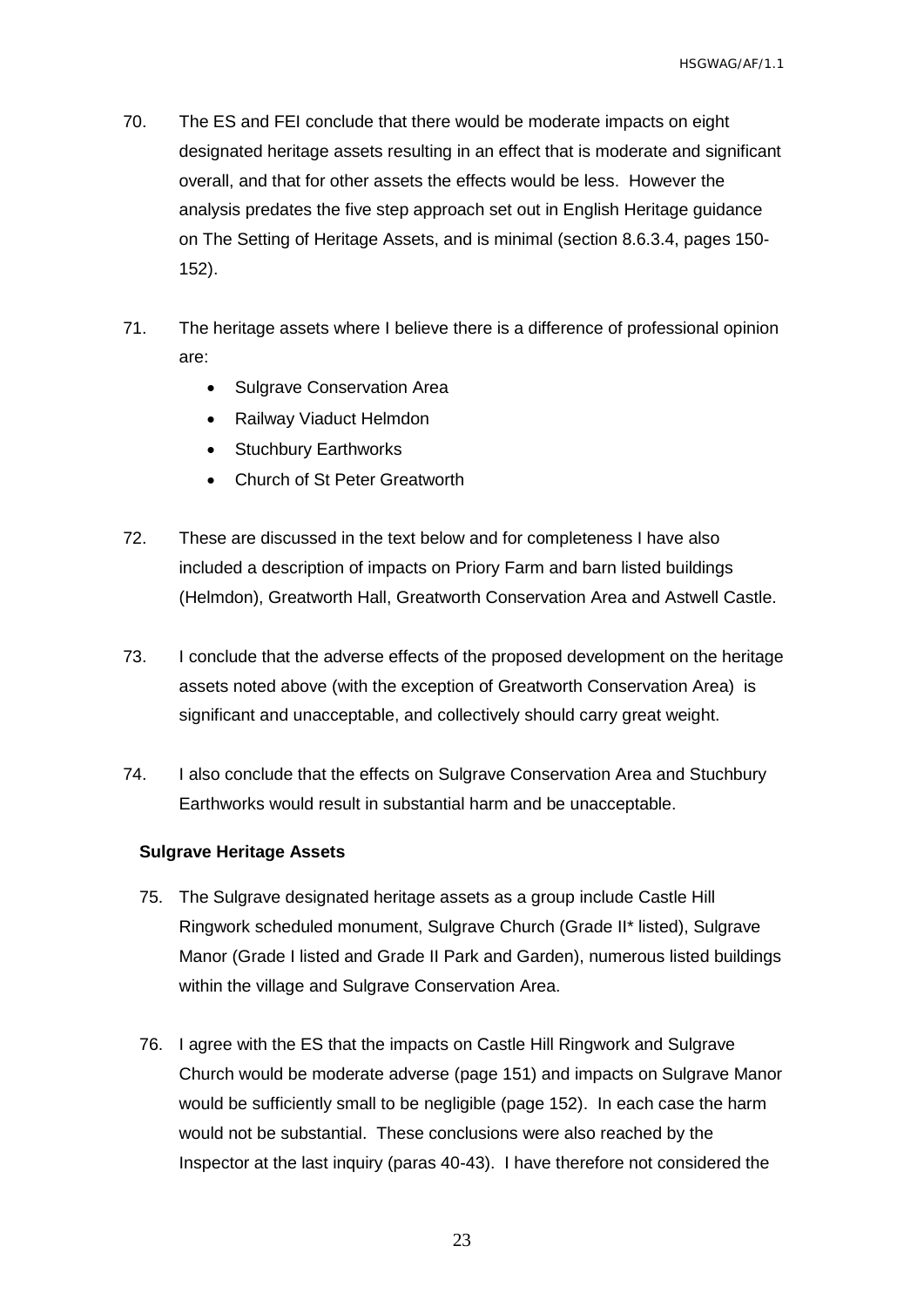- 70. The ES and FEI conclude that there would be moderate impacts on eight designated heritage assets resulting in an effect that is moderate and significant overall, and that for other assets the effects would be less. However the analysis predates the five step approach set out in English Heritage guidance on The Setting of Heritage Assets, and is minimal (section 8.6.3.4, pages 150- 152).
- 71. The heritage assets where I believe there is a difference of professional opinion are:
	- Sulgrave Conservation Area
	- Railway Viaduct Helmdon
	- Stuchbury Earthworks
	- Church of St Peter Greatworth
- 72. These are discussed in the text below and for completeness I have also included a description of impacts on Priory Farm and barn listed buildings (Helmdon), Greatworth Hall, Greatworth Conservation Area and Astwell Castle.
- 73. I conclude that the adverse effects of the proposed development on the heritage assets noted above (with the exception of Greatworth Conservation Area) is significant and unacceptable, and collectively should carry great weight.
- 74. I also conclude that the effects on Sulgrave Conservation Area and Stuchbury Earthworks would result in substantial harm and be unacceptable.

#### <span id="page-24-0"></span>**Sulgrave Heritage Assets**

- 75. The Sulgrave designated heritage assets as a group include Castle Hill Ringwork scheduled monument, Sulgrave Church (Grade II\* listed), Sulgrave Manor (Grade I listed and Grade II Park and Garden), numerous listed buildings within the village and Sulgrave Conservation Area.
- 76. I agree with the ES that the impacts on Castle Hill Ringwork and Sulgrave Church would be moderate adverse (page 151) and impacts on Sulgrave Manor would be sufficiently small to be negligible (page 152). In each case the harm would not be substantial. These conclusions were also reached by the Inspector at the last inquiry (paras 40-43). I have therefore not considered the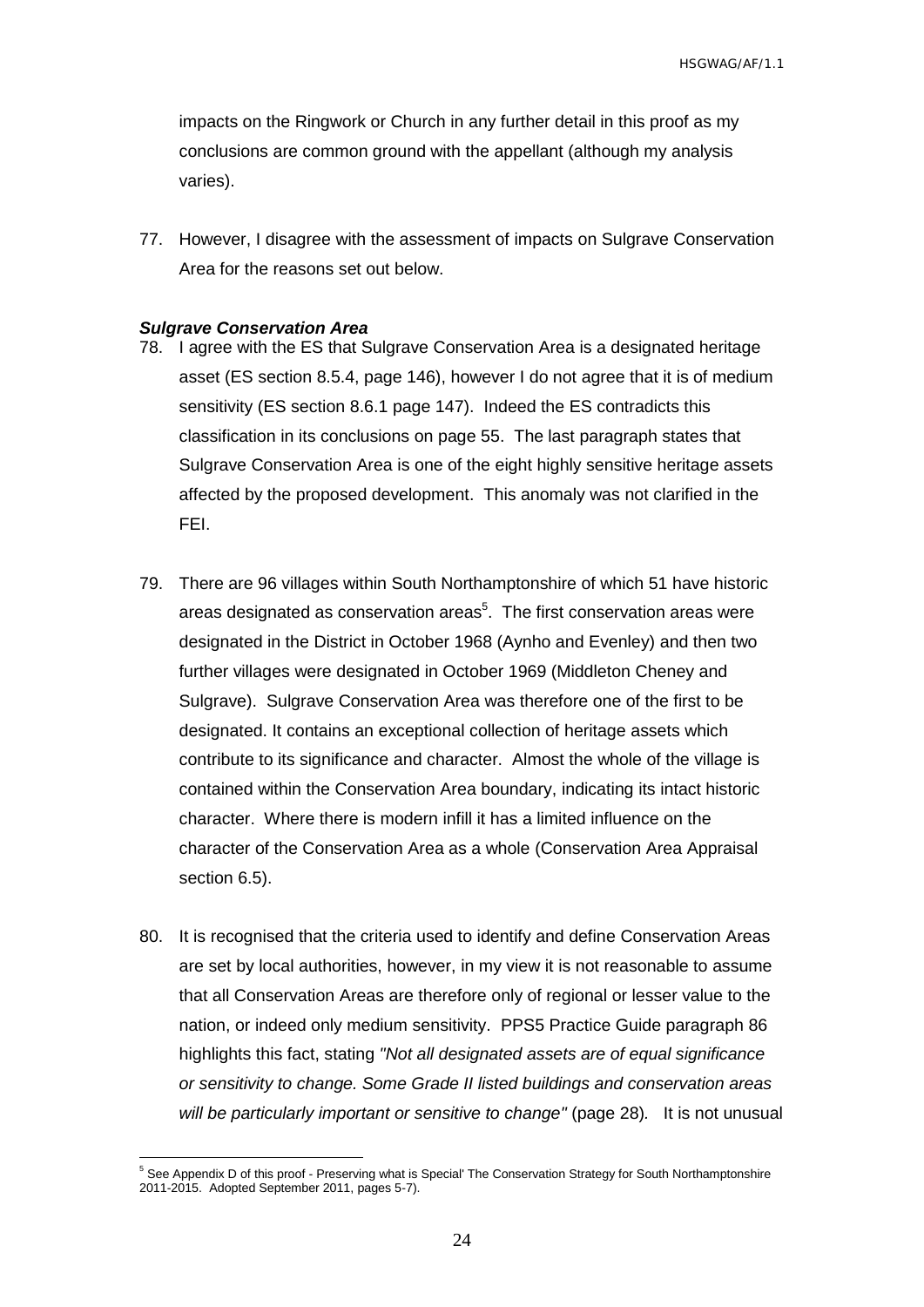impacts on the Ringwork or Church in any further detail in this proof as my conclusions are common ground with the appellant (although my analysis varies).

77. However, I disagree with the assessment of impacts on Sulgrave Conservation Area for the reasons set out below.

#### <span id="page-25-0"></span>*Sulgrave Conservation Area*

 $\overline{a}$ 

- 78. I agree with the ES that Sulgrave Conservation Area is a designated heritage asset (ES section 8.5.4, page 146), however I do not agree that it is of medium sensitivity (ES section 8.6.1 page 147). Indeed the ES contradicts this classification in its conclusions on page 55. The last paragraph states that Sulgrave Conservation Area is one of the eight highly sensitive heritage assets affected by the proposed development. This anomaly was not clarified in the FEI.
- 79. There are 96 villages within South Northamptonshire of which 51 have historic areas designated as conservation areas<sup>5</sup>. The first conservation areas were designated in the District in October 1968 (Aynho and Evenley) and then two further villages were designated in October 1969 (Middleton Cheney and Sulgrave). Sulgrave Conservation Area was therefore one of the first to be designated. It contains an exceptional collection of heritage assets which contribute to its significance and character. Almost the whole of the village is contained within the Conservation Area boundary, indicating its intact historic character. Where there is modern infill it has a limited influence on the character of the Conservation Area as a whole (Conservation Area Appraisal section 6.5).
- 80. It is recognised that the criteria used to identify and define Conservation Areas are set by local authorities, however, in my view it is not reasonable to assume that all Conservation Areas are therefore only of regional or lesser value to the nation, or indeed only medium sensitivity. PPS5 Practice Guide paragraph 86 highlights this fact, stating *"Not all designated assets are of equal significance or sensitivity to change. Some Grade II listed buildings and conservation areas will be particularly important or sensitive to change"* (page 28)*.* It is not unusual

<sup>&</sup>lt;sup>5</sup> See Appendix D of this proof - Preserving what is Special' The Conservation Strategy for South Northamptonshire 2011-2015. Adopted September 2011, pages 5-7).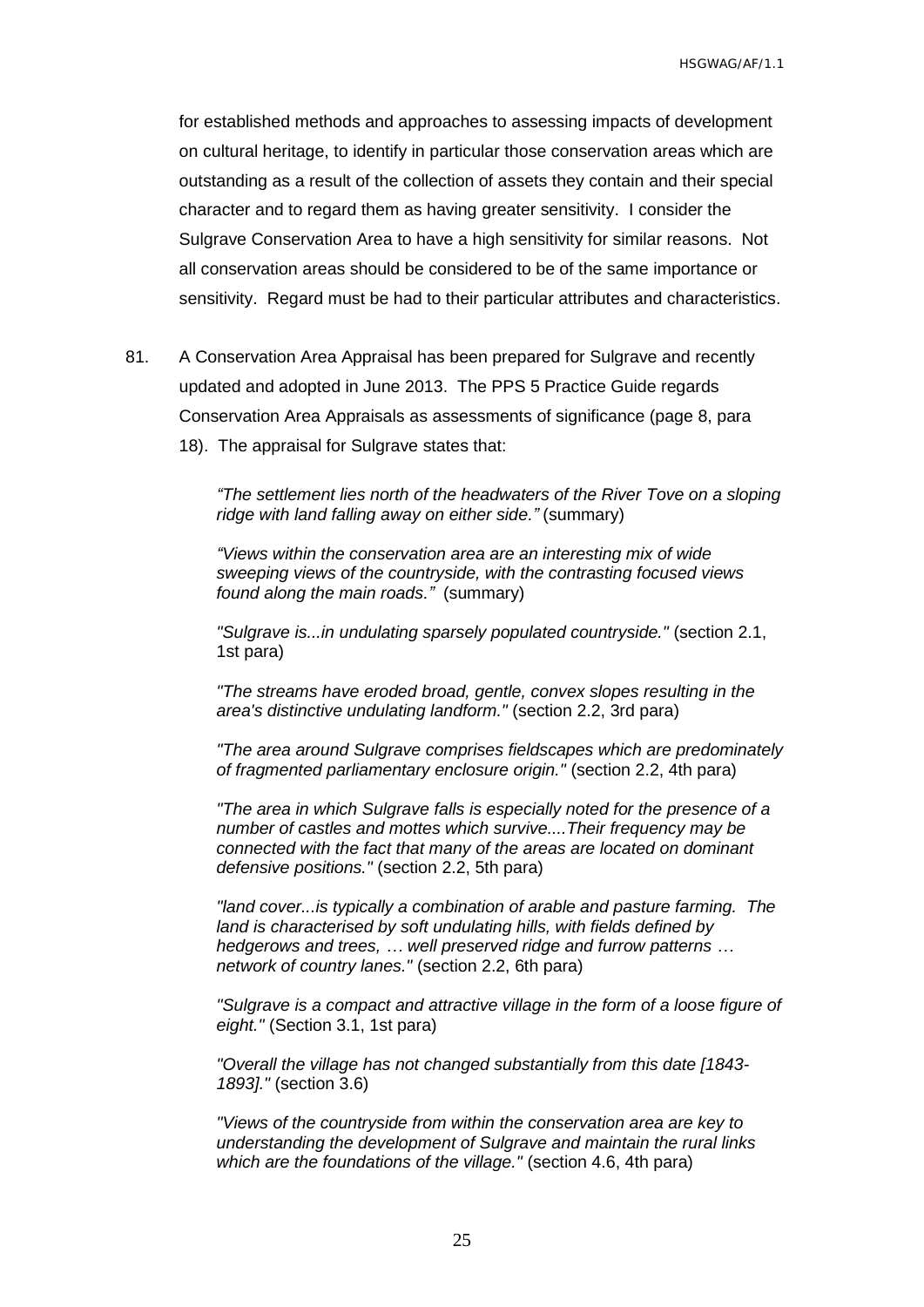for established methods and approaches to assessing impacts of development on cultural heritage, to identify in particular those conservation areas which are outstanding as a result of the collection of assets they contain and their special character and to regard them as having greater sensitivity. I consider the Sulgrave Conservation Area to have a high sensitivity for similar reasons. Not all conservation areas should be considered to be of the same importance or sensitivity. Regard must be had to their particular attributes and characteristics.

- 81. A Conservation Area Appraisal has been prepared for Sulgrave and recently updated and adopted in June 2013. The PPS 5 Practice Guide regards Conservation Area Appraisals as assessments of significance (page 8, para
	- 18). The appraisal for Sulgrave states that:

*"The settlement lies north of the headwaters of the River Tove on a sloping ridge with land falling away on either side."* (summary)

*"Views within the conservation area are an interesting mix of wide sweeping views of the countryside, with the contrasting focused views found along the main roads."* (summary)

*"Sulgrave is...in undulating sparsely populated countryside."* (section 2.1, 1st para)

*"The streams have eroded broad, gentle, convex slopes resulting in the area's distinctive undulating landform."* (section 2.2, 3rd para)

*"The area around Sulgrave comprises fieldscapes which are predominately of fragmented parliamentary enclosure origin."* (section 2.2, 4th para)

*"The area in which Sulgrave falls is especially noted for the presence of a number of castles and mottes which survive....Their frequency may be connected with the fact that many of the areas are located on dominant defensive positions."* (section 2.2, 5th para)

*"land cover...is typically a combination of arable and pasture farming. The land is characterised by soft undulating hills, with fields defined by hedgerows and trees, … well preserved ridge and furrow patterns … network of country lanes."* (section 2.2, 6th para)

*"Sulgrave is a compact and attractive village in the form of a loose figure of eight."* (Section 3.1, 1st para)

*"Overall the village has not changed substantially from this date [1843- 1893]."* (section 3.6)

*"Views of the countryside from within the conservation area are key to understanding the development of Sulgrave and maintain the rural links which are the foundations of the village."* (section 4.6, 4th para)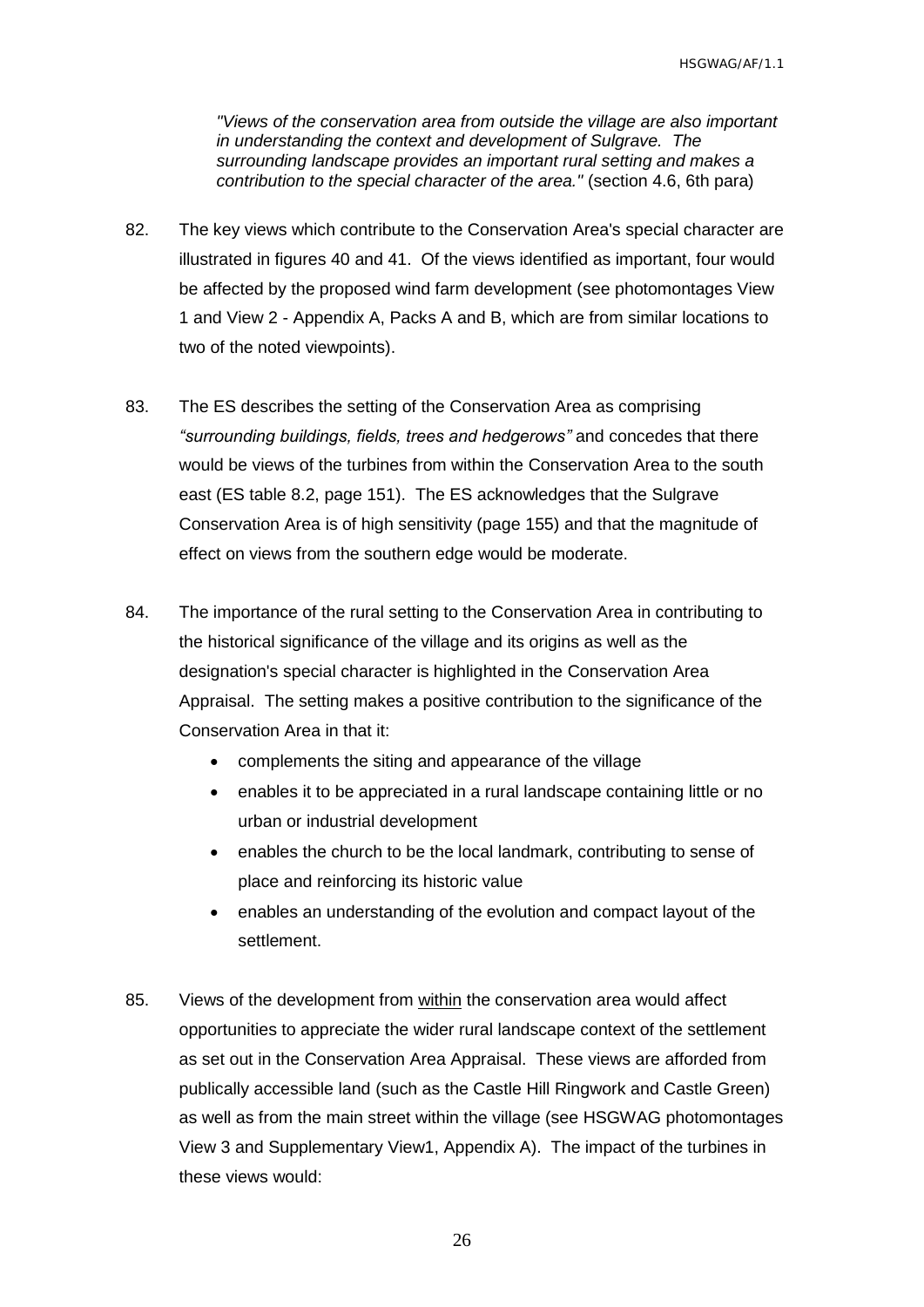*"Views of the conservation area from outside the village are also important in understanding the context and development of Sulgrave. The surrounding landscape provides an important rural setting and makes a contribution to the special character of the area."* (section 4.6, 6th para)

- 82. The key views which contribute to the Conservation Area's special character are illustrated in figures 40 and 41. Of the views identified as important, four would be affected by the proposed wind farm development (see photomontages View 1 and View 2 - Appendix A, Packs A and B, which are from similar locations to two of the noted viewpoints).
- 83. The ES describes the setting of the Conservation Area as comprising *"surrounding buildings, fields, trees and hedgerows"* and concedes that there would be views of the turbines from within the Conservation Area to the south east (ES table 8.2, page 151). The ES acknowledges that the Sulgrave Conservation Area is of high sensitivity (page 155) and that the magnitude of effect on views from the southern edge would be moderate.
- 84. The importance of the rural setting to the Conservation Area in contributing to the historical significance of the village and its origins as well as the designation's special character is highlighted in the Conservation Area Appraisal. The setting makes a positive contribution to the significance of the Conservation Area in that it:
	- complements the siting and appearance of the village
	- enables it to be appreciated in a rural landscape containing little or no urban or industrial development
	- enables the church to be the local landmark, contributing to sense of place and reinforcing its historic value
	- enables an understanding of the evolution and compact layout of the settlement.
- 85. Views of the development from within the conservation area would affect opportunities to appreciate the wider rural landscape context of the settlement as set out in the Conservation Area Appraisal. These views are afforded from publically accessible land (such as the Castle Hill Ringwork and Castle Green) as well as from the main street within the village (see HSGWAG photomontages View 3 and Supplementary View1, Appendix A). The impact of the turbines in these views would: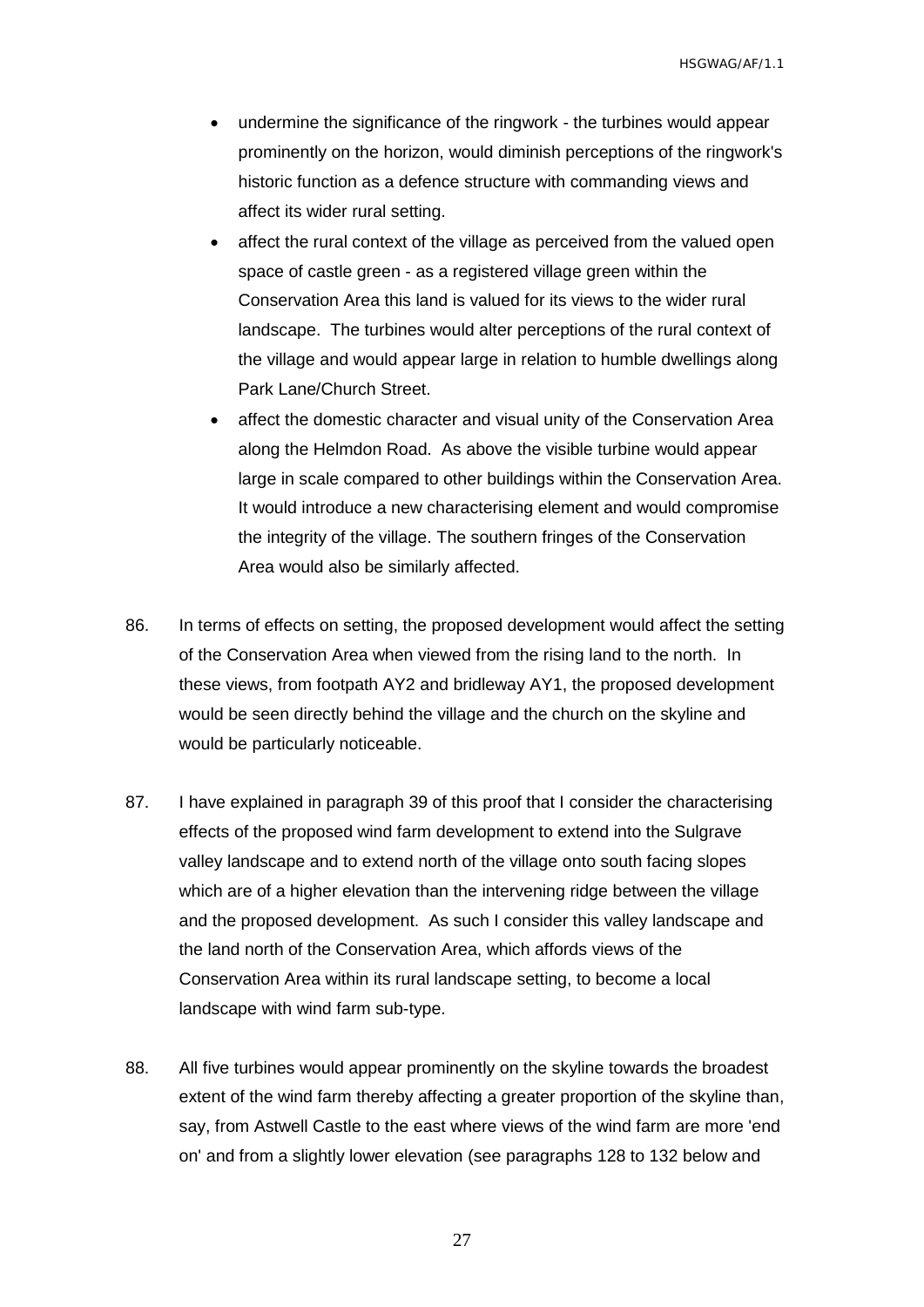- undermine the significance of the ringwork the turbines would appear prominently on the horizon, would diminish perceptions of the ringwork's historic function as a defence structure with commanding views and affect its wider rural setting.
- affect the rural context of the village as perceived from the valued open space of castle green - as a registered village green within the Conservation Area this land is valued for its views to the wider rural landscape. The turbines would alter perceptions of the rural context of the village and would appear large in relation to humble dwellings along Park Lane/Church Street.
- affect the domestic character and visual unity of the Conservation Area along the Helmdon Road. As above the visible turbine would appear large in scale compared to other buildings within the Conservation Area. It would introduce a new characterising element and would compromise the integrity of the village. The southern fringes of the Conservation Area would also be similarly affected.
- 86. In terms of effects on setting, the proposed development would affect the setting of the Conservation Area when viewed from the rising land to the north. In these views, from footpath AY2 and bridleway AY1, the proposed development would be seen directly behind the village and the church on the skyline and would be particularly noticeable.
- 87. I have explained in paragraph 39 of this proof that I consider the characterising effects of the proposed wind farm development to extend into the Sulgrave valley landscape and to extend north of the village onto south facing slopes which are of a higher elevation than the intervening ridge between the village and the proposed development. As such I consider this valley landscape and the land north of the Conservation Area, which affords views of the Conservation Area within its rural landscape setting, to become a local landscape with wind farm sub-type.
- 88. All five turbines would appear prominently on the skyline towards the broadest extent of the wind farm thereby affecting a greater proportion of the skyline than, say, from Astwell Castle to the east where views of the wind farm are more 'end on' and from a slightly lower elevation (see paragraphs 128 to 132 below and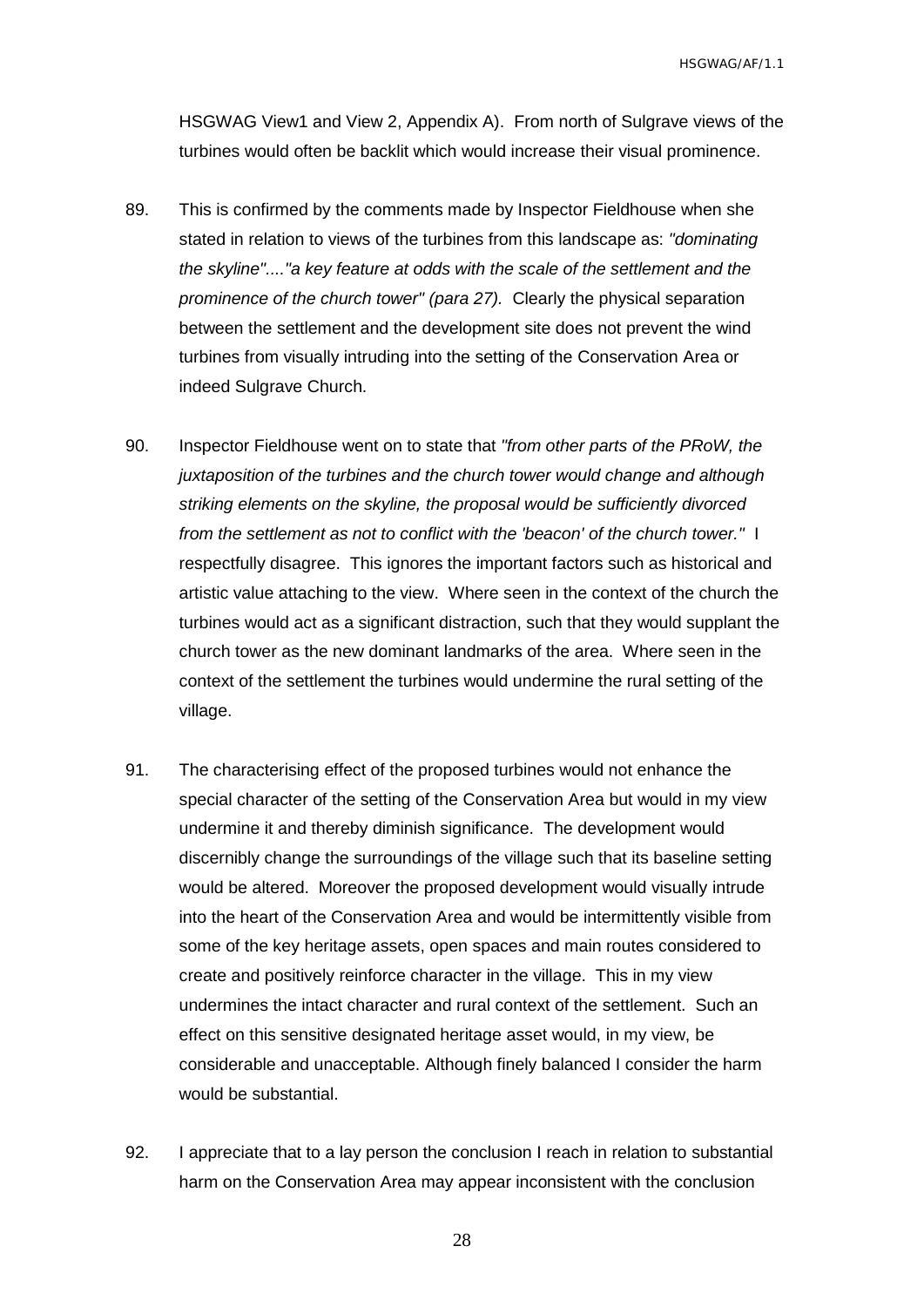HSGWAG View1 and View 2, Appendix A). From north of Sulgrave views of the turbines would often be backlit which would increase their visual prominence.

- 89. This is confirmed by the comments made by Inspector Fieldhouse when she stated in relation to views of the turbines from this landscape as: *"dominating the skyline"...."a key feature at odds with the scale of the settlement and the prominence of the church tower" (para 27).* Clearly the physical separation between the settlement and the development site does not prevent the wind turbines from visually intruding into the setting of the Conservation Area or indeed Sulgrave Church.
- 90. Inspector Fieldhouse went on to state that *"from other parts of the PRoW, the juxtaposition of the turbines and the church tower would change and although striking elements on the skyline, the proposal would be sufficiently divorced from the settlement as not to conflict with the 'beacon' of the church tower."* I respectfully disagree. This ignores the important factors such as historical and artistic value attaching to the view. Where seen in the context of the church the turbines would act as a significant distraction, such that they would supplant the church tower as the new dominant landmarks of the area. Where seen in the context of the settlement the turbines would undermine the rural setting of the village.
- 91. The characterising effect of the proposed turbines would not enhance the special character of the setting of the Conservation Area but would in my view undermine it and thereby diminish significance. The development would discernibly change the surroundings of the village such that its baseline setting would be altered. Moreover the proposed development would visually intrude into the heart of the Conservation Area and would be intermittently visible from some of the key heritage assets, open spaces and main routes considered to create and positively reinforce character in the village. This in my view undermines the intact character and rural context of the settlement. Such an effect on this sensitive designated heritage asset would, in my view, be considerable and unacceptable. Although finely balanced I consider the harm would be substantial.
- 92. I appreciate that to a lay person the conclusion I reach in relation to substantial harm on the Conservation Area may appear inconsistent with the conclusion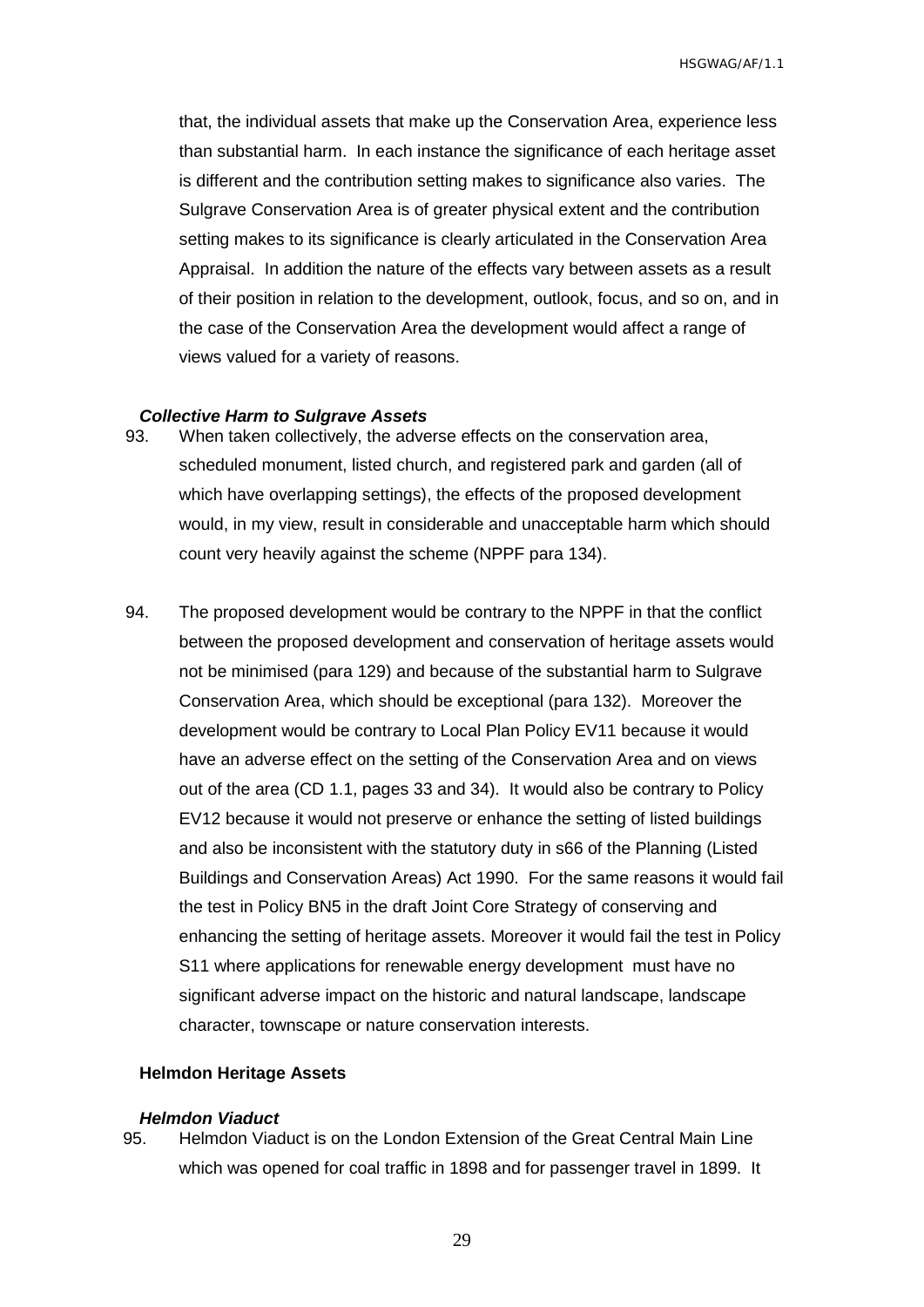that, the individual assets that make up the Conservation Area, experience less than substantial harm. In each instance the significance of each heritage asset is different and the contribution setting makes to significance also varies. The Sulgrave Conservation Area is of greater physical extent and the contribution setting makes to its significance is clearly articulated in the Conservation Area Appraisal. In addition the nature of the effects vary between assets as a result of their position in relation to the development, outlook, focus, and so on, and in the case of the Conservation Area the development would affect a range of views valued for a variety of reasons.

#### <span id="page-30-0"></span>*Collective Harm to Sulgrave Assets*

- 93. When taken collectively, the adverse effects on the conservation area, scheduled monument, listed church, and registered park and garden (all of which have overlapping settings), the effects of the proposed development would, in my view, result in considerable and unacceptable harm which should count very heavily against the scheme (NPPF para 134).
- 94. The proposed development would be contrary to the NPPF in that the conflict between the proposed development and conservation of heritage assets would not be minimised (para 129) and because of the substantial harm to Sulgrave Conservation Area, which should be exceptional (para 132). Moreover the development would be contrary to Local Plan Policy EV11 because it would have an adverse effect on the setting of the Conservation Area and on views out of the area (CD 1.1, pages 33 and 34). It would also be contrary to Policy EV12 because it would not preserve or enhance the setting of listed buildings and also be inconsistent with the statutory duty in s66 of the Planning (Listed Buildings and Conservation Areas) Act 1990. For the same reasons it would fail the test in Policy BN5 in the draft Joint Core Strategy of conserving and enhancing the setting of heritage assets. Moreover it would fail the test in Policy S11 where applications for renewable energy development must have no significant adverse impact on the historic and natural landscape, landscape character, townscape or nature conservation interests.

### <span id="page-30-1"></span>**Helmdon Heritage Assets**

#### <span id="page-30-2"></span>*Helmdon Viaduct*

95. Helmdon Viaduct is on the London Extension of the Great Central Main Line which was opened for coal traffic in 1898 and for passenger travel in 1899. It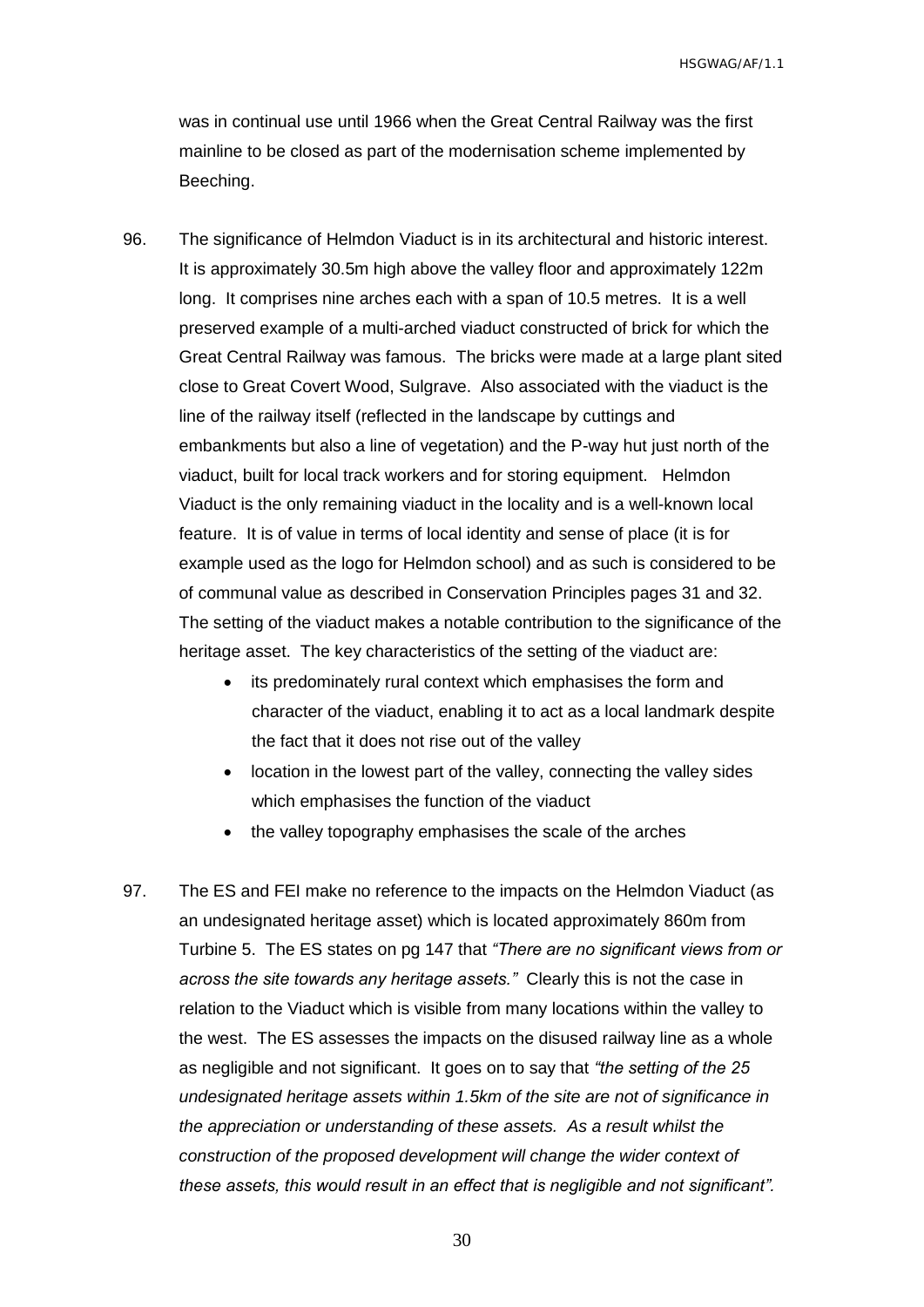was in continual use until 1966 when the Great Central Railway was the first mainline to be closed as part of the modernisation scheme implemented by Beeching.

- 96. The significance of Helmdon Viaduct is in its architectural and historic interest. It is approximately 30.5m high above the valley floor and approximately 122m long. It comprises nine arches each with a span of 10.5 metres. It is a well preserved example of a multi-arched viaduct constructed of brick for which the Great Central Railway was famous. The bricks were made at a large plant sited close to Great Covert Wood, Sulgrave. Also associated with the viaduct is the line of the railway itself (reflected in the landscape by cuttings and embankments but also a line of vegetation) and the P-way hut just north of the viaduct, built for local track workers and for storing equipment. Helmdon Viaduct is the only remaining viaduct in the locality and is a well-known local feature. It is of value in terms of local identity and sense of place (it is for example used as the logo for Helmdon school) and as such is considered to be of communal value as described in Conservation Principles pages 31 and 32. The setting of the viaduct makes a notable contribution to the significance of the heritage asset. The key characteristics of the setting of the viaduct are:
	- its predominately rural context which emphasises the form and character of the viaduct, enabling it to act as a local landmark despite the fact that it does not rise out of the valley
	- location in the lowest part of the valley, connecting the valley sides which emphasises the function of the viaduct
	- the valley topography emphasises the scale of the arches
- 97. The ES and FEI make no reference to the impacts on the Helmdon Viaduct (as an undesignated heritage asset) which is located approximately 860m from Turbine 5. The ES states on pg 147 that *"There are no significant views from or across the site towards any heritage assets."* Clearly this is not the case in relation to the Viaduct which is visible from many locations within the valley to the west. The ES assesses the impacts on the disused railway line as a whole as negligible and not significant. It goes on to say that *"the setting of the 25 undesignated heritage assets within 1.5km of the site are not of significance in the appreciation or understanding of these assets. As a result whilst the construction of the proposed development will change the wider context of these assets, this would result in an effect that is negligible and not significant".*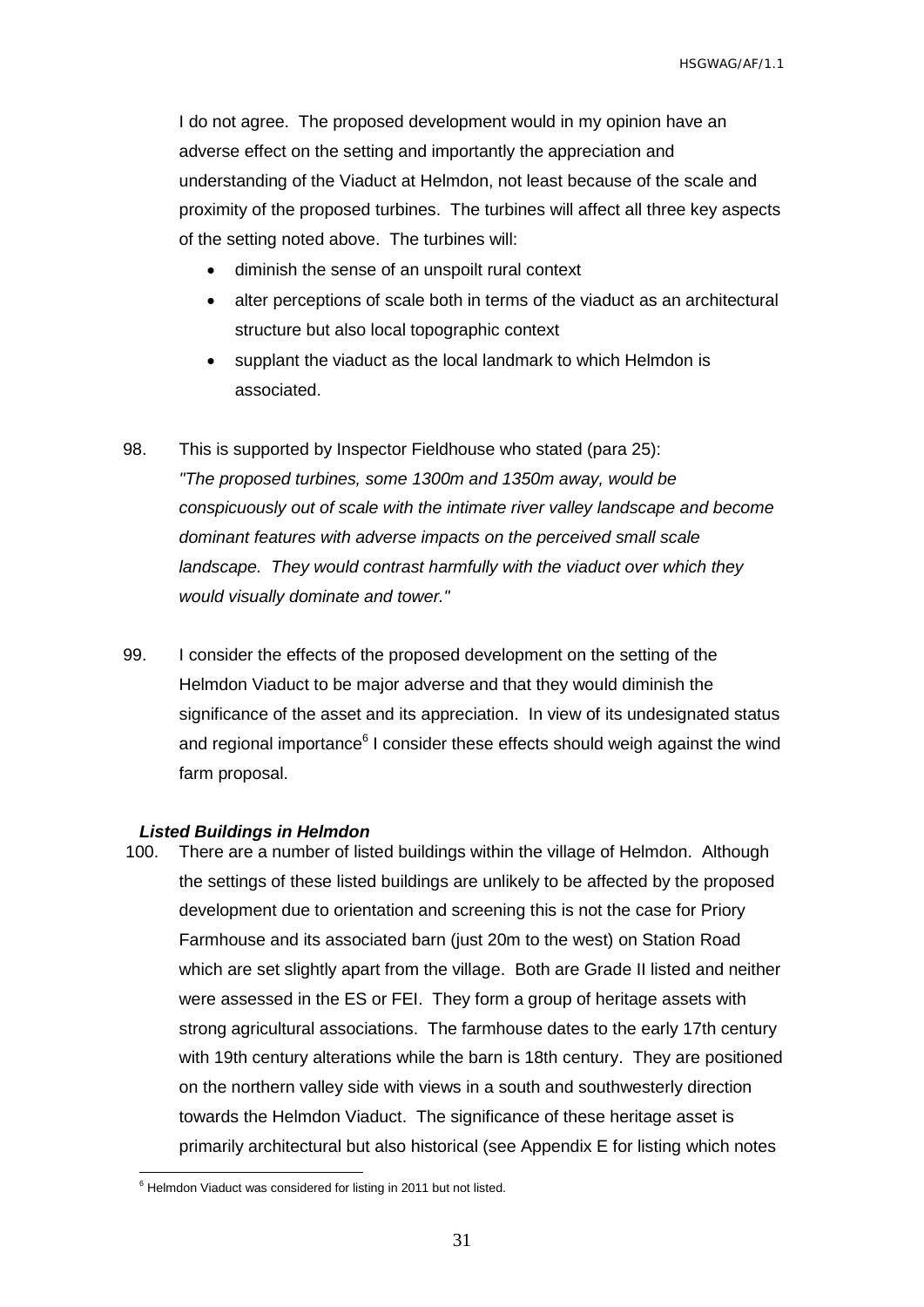I do not agree. The proposed development would in my opinion have an adverse effect on the setting and importantly the appreciation and understanding of the Viaduct at Helmdon, not least because of the scale and proximity of the proposed turbines. The turbines will affect all three key aspects of the setting noted above. The turbines will:

- diminish the sense of an unspoilt rural context
- alter perceptions of scale both in terms of the viaduct as an architectural structure but also local topographic context
- supplant the viaduct as the local landmark to which Helmdon is associated.
- 98. This is supported by Inspector Fieldhouse who stated (para 25): *"The proposed turbines, some 1300m and 1350m away, would be conspicuously out of scale with the intimate river valley landscape and become dominant features with adverse impacts on the perceived small scale landscape. They would contrast harmfully with the viaduct over which they would visually dominate and tower."*
- 99. I consider the effects of the proposed development on the setting of the Helmdon Viaduct to be major adverse and that they would diminish the significance of the asset and its appreciation. In view of its undesignated status and regional importance<sup>6</sup> I consider these effects should weigh against the wind farm proposal.

#### <span id="page-32-0"></span>*Listed Buildings in Helmdon*

 $\overline{a}$ 

100. There are a number of listed buildings within the village of Helmdon. Although the settings of these listed buildings are unlikely to be affected by the proposed development due to orientation and screening this is not the case for Priory Farmhouse and its associated barn (just 20m to the west) on Station Road which are set slightly apart from the village. Both are Grade II listed and neither were assessed in the ES or FEI. They form a group of heritage assets with strong agricultural associations. The farmhouse dates to the early 17th century with 19th century alterations while the barn is 18th century. They are positioned on the northern valley side with views in a south and southwesterly direction towards the Helmdon Viaduct. The significance of these heritage asset is primarily architectural but also historical (see Appendix E for listing which notes

 $6$  Helmdon Viaduct was considered for listing in 2011 but not listed.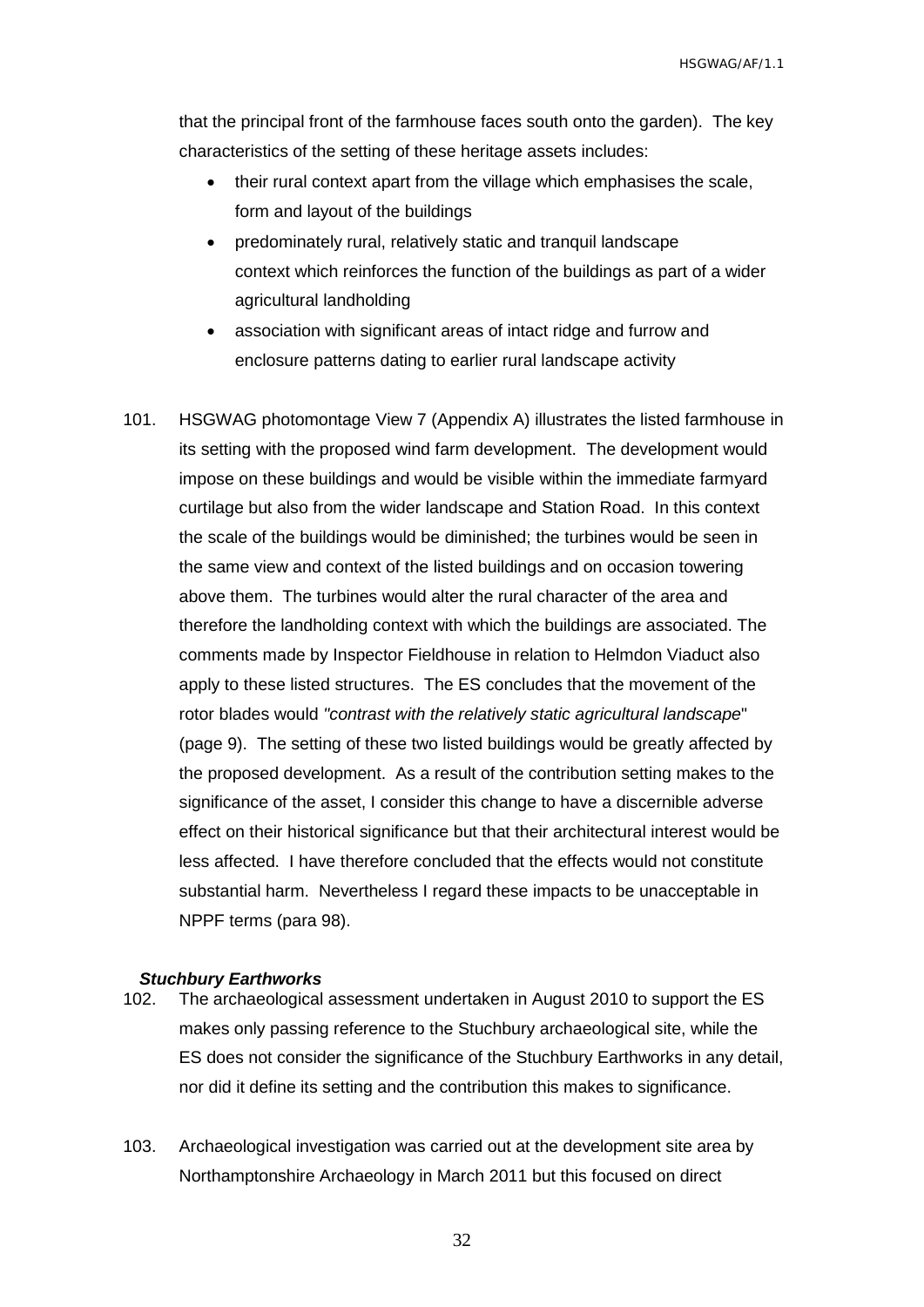that the principal front of the farmhouse faces south onto the garden). The key characteristics of the setting of these heritage assets includes:

- their rural context apart from the village which emphasises the scale, form and layout of the buildings
- predominately rural, relatively static and tranquil landscape context which reinforces the function of the buildings as part of a wider agricultural landholding
- association with significant areas of intact ridge and furrow and enclosure patterns dating to earlier rural landscape activity
- 101. HSGWAG photomontage View 7 (Appendix A) illustrates the listed farmhouse in its setting with the proposed wind farm development. The development would impose on these buildings and would be visible within the immediate farmyard curtilage but also from the wider landscape and Station Road. In this context the scale of the buildings would be diminished; the turbines would be seen in the same view and context of the listed buildings and on occasion towering above them. The turbines would alter the rural character of the area and therefore the landholding context with which the buildings are associated. The comments made by Inspector Fieldhouse in relation to Helmdon Viaduct also apply to these listed structures. The ES concludes that the movement of the rotor blades would *"contrast with the relatively static agricultural landscape*" (page 9). The setting of these two listed buildings would be greatly affected by the proposed development. As a result of the contribution setting makes to the significance of the asset, I consider this change to have a discernible adverse effect on their historical significance but that their architectural interest would be less affected. I have therefore concluded that the effects would not constitute substantial harm. Nevertheless I regard these impacts to be unacceptable in NPPF terms (para 98).

#### <span id="page-33-0"></span>*Stuchbury Earthworks*

- 102. The archaeological assessment undertaken in August 2010 to support the ES makes only passing reference to the Stuchbury archaeological site, while the ES does not consider the significance of the Stuchbury Earthworks in any detail, nor did it define its setting and the contribution this makes to significance.
- 103. Archaeological investigation was carried out at the development site area by Northamptonshire Archaeology in March 2011 but this focused on direct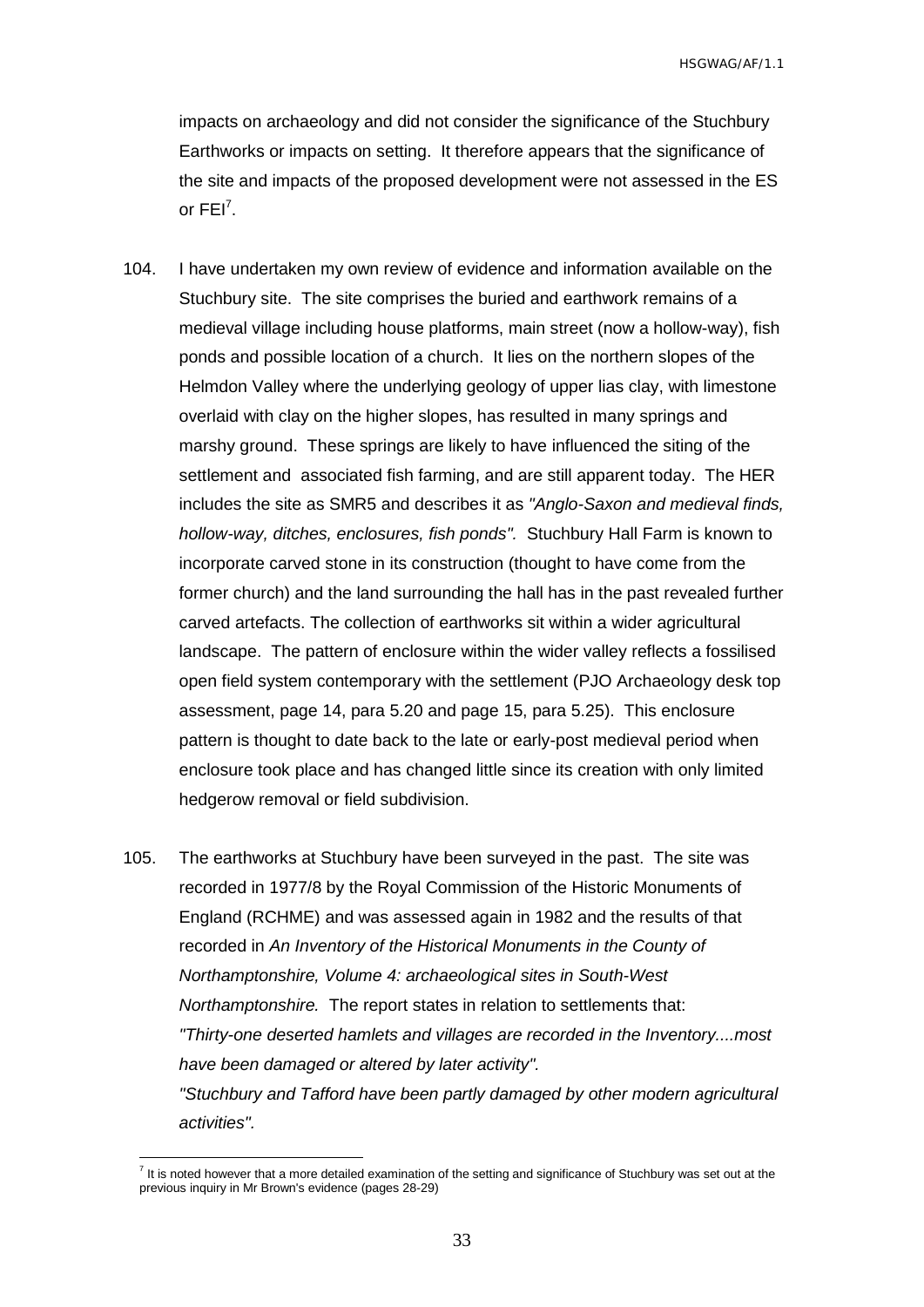impacts on archaeology and did not consider the significance of the Stuchbury Earthworks or impacts on setting. It therefore appears that the significance of the site and impacts of the proposed development were not assessed in the ES or  $FEI^7$ .

- 104. I have undertaken my own review of evidence and information available on the Stuchbury site. The site comprises the buried and earthwork remains of a medieval village including house platforms, main street (now a hollow-way), fish ponds and possible location of a church. It lies on the northern slopes of the Helmdon Valley where the underlying geology of upper lias clay, with limestone overlaid with clay on the higher slopes, has resulted in many springs and marshy ground. These springs are likely to have influenced the siting of the settlement and associated fish farming, and are still apparent today. The HER includes the site as SMR5 and describes it as *"Anglo-Saxon and medieval finds, hollow-way, ditches, enclosures, fish ponds".* Stuchbury Hall Farm is known to incorporate carved stone in its construction (thought to have come from the former church) and the land surrounding the hall has in the past revealed further carved artefacts. The collection of earthworks sit within a wider agricultural landscape. The pattern of enclosure within the wider valley reflects a fossilised open field system contemporary with the settlement (PJO Archaeology desk top assessment, page 14, para 5.20 and page 15, para 5.25). This enclosure pattern is thought to date back to the late or early-post medieval period when enclosure took place and has changed little since its creation with only limited hedgerow removal or field subdivision.
- 105. The earthworks at Stuchbury have been surveyed in the past. The site was recorded in 1977/8 by the Royal Commission of the Historic Monuments of England (RCHME) and was assessed again in 1982 and the results of that recorded in *An Inventory of the Historical Monuments in the County of Northamptonshire, Volume 4: archaeological sites in South-West Northamptonshire.* The report states in relation to settlements that: *"Thirty-one deserted hamlets and villages are recorded in the Inventory....most have been damaged or altered by later activity". "Stuchbury and Tafford have been partly damaged by other modern agricultural activities".*

The solution of the setting and the setting and significance of Stuchbury was set out at the setting and significance of Stuchbury was set out at the setting and significance of Stuchbury was set out at the previous inquiry in Mr Brown's evidence (pages 28-29)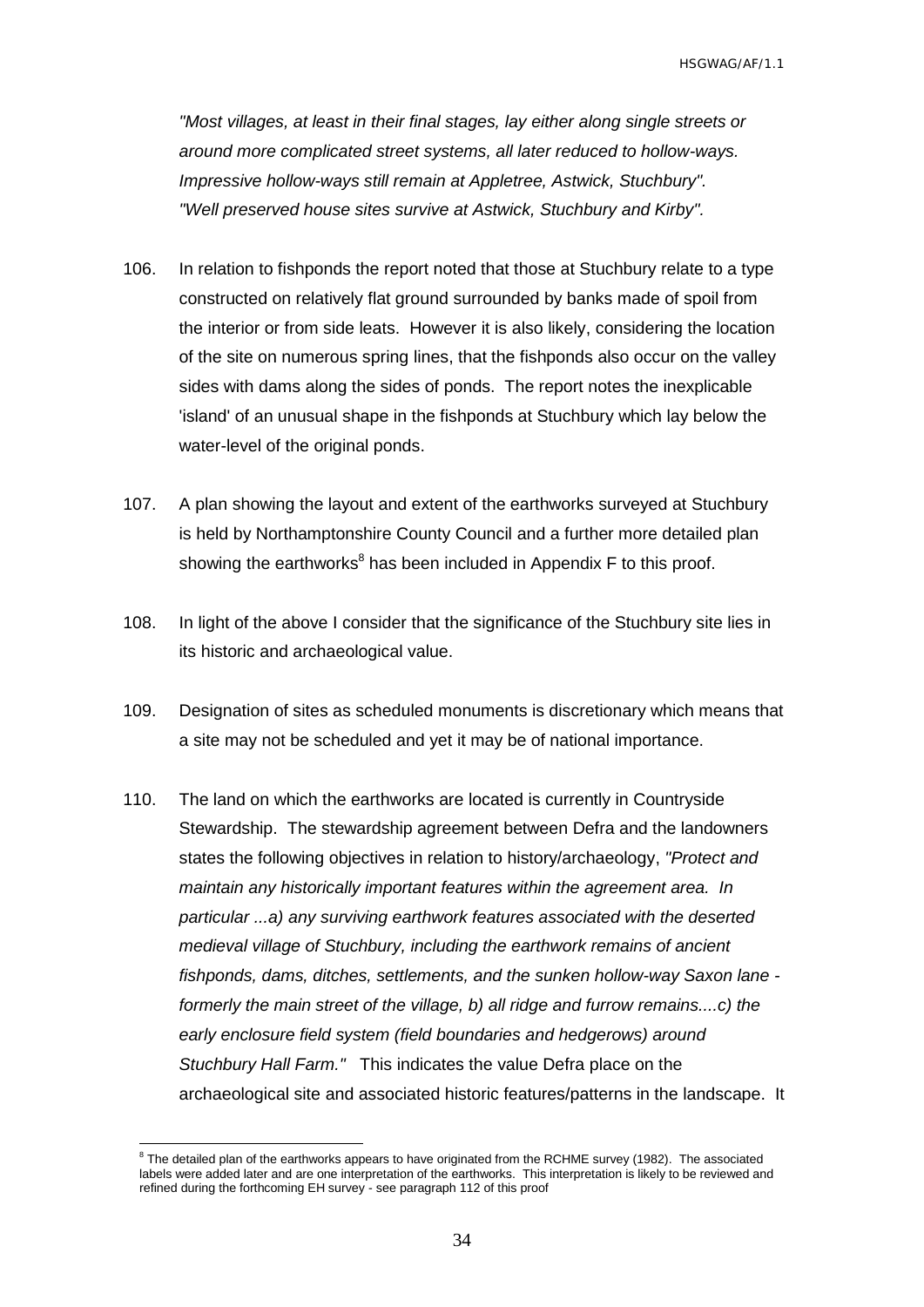*"Most villages, at least in their final stages, lay either along single streets or around more complicated street systems, all later reduced to hollow-ways. Impressive hollow-ways still remain at Appletree, Astwick, Stuchbury". "Well preserved house sites survive at Astwick, Stuchbury and Kirby".*

- 106. In relation to fishponds the report noted that those at Stuchbury relate to a type constructed on relatively flat ground surrounded by banks made of spoil from the interior or from side leats. However it is also likely, considering the location of the site on numerous spring lines, that the fishponds also occur on the valley sides with dams along the sides of ponds. The report notes the inexplicable 'island' of an unusual shape in the fishponds at Stuchbury which lay below the water-level of the original ponds.
- 107. A plan showing the layout and extent of the earthworks surveyed at Stuchbury is held by Northamptonshire County Council and a further more detailed plan showing the earthworks<sup>8</sup> has been included in Appendix F to this proof.
- 108. In light of the above I consider that the significance of the Stuchbury site lies in its historic and archaeological value.
- 109. Designation of sites as scheduled monuments is discretionary which means that a site may not be scheduled and yet it may be of national importance.
- 110. The land on which the earthworks are located is currently in Countryside Stewardship. The stewardship agreement between Defra and the landowners states the following objectives in relation to history/archaeology, *"Protect and maintain any historically important features within the agreement area. In particular ...a) any surviving earthwork features associated with the deserted medieval village of Stuchbury, including the earthwork remains of ancient fishponds, dams, ditches, settlements, and the sunken hollow-way Saxon lane formerly the main street of the village, b) all ridge and furrow remains....c) the early enclosure field system (field boundaries and hedgerows) around Stuchbury Hall Farm."* This indicates the value Defra place on the archaeological site and associated historic features/patterns in the landscape. It

 $\overline{a}$ 

<sup>&</sup>lt;sup>8</sup> The detailed plan of the earthworks appears to have originated from the RCHME survey (1982). The associated labels were added later and are one interpretation of the earthworks. This interpretation is likely to be reviewed and refined during the forthcoming EH survey - see paragraph 112 of this proof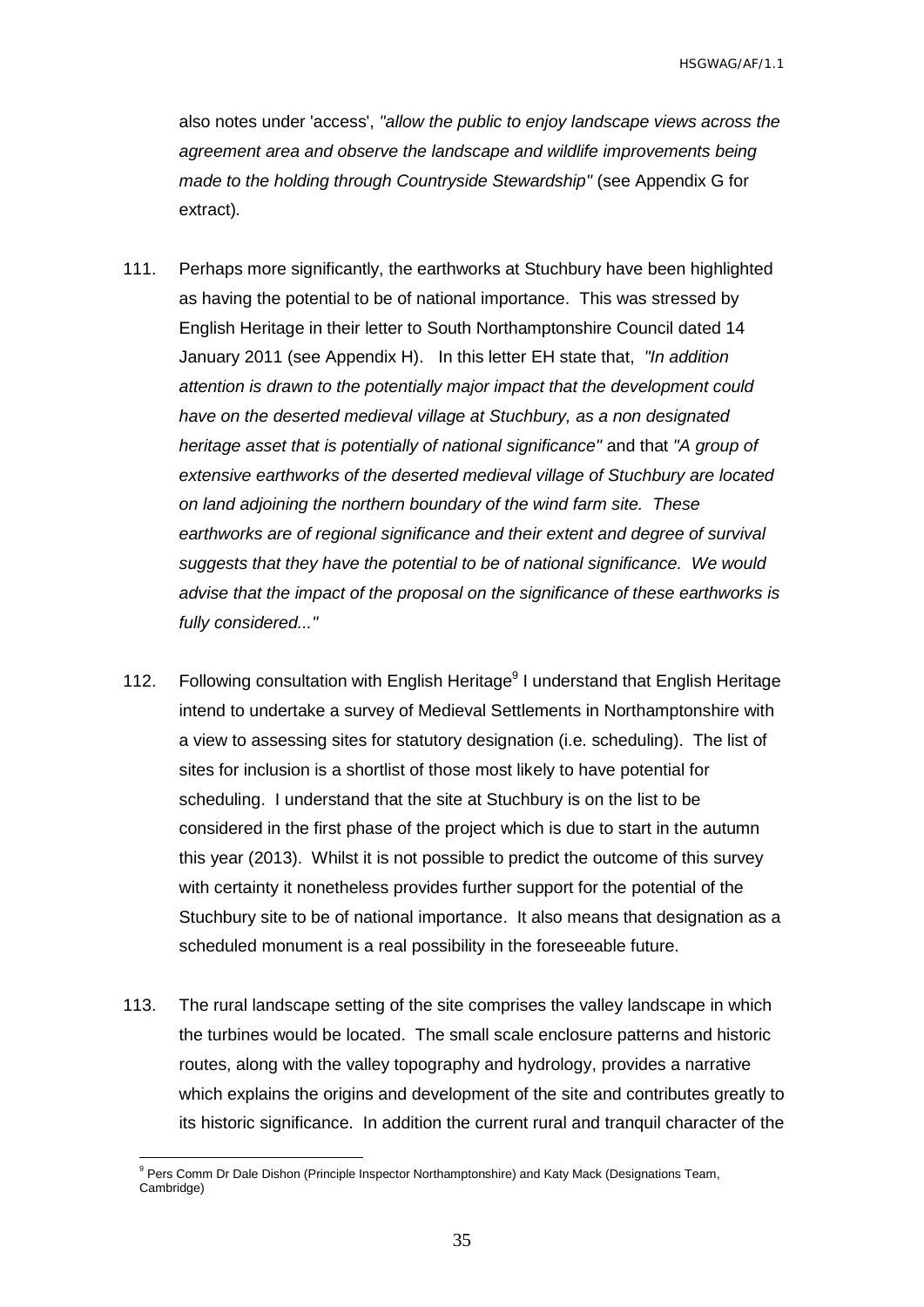also notes under 'access', *"allow the public to enjoy landscape views across the agreement area and observe the landscape and wildlife improvements being made to the holding through Countryside Stewardship"* (see Appendix G for extract)*.*

- 111. Perhaps more significantly, the earthworks at Stuchbury have been highlighted as having the potential to be of national importance. This was stressed by English Heritage in their letter to South Northamptonshire Council dated 14 January 2011 (see Appendix H). In this letter EH state that, *"In addition attention is drawn to the potentially major impact that the development could have on the deserted medieval village at Stuchbury, as a non designated heritage asset that is potentially of national significance"* and that *"A group of extensive earthworks of the deserted medieval village of Stuchbury are located on land adjoining the northern boundary of the wind farm site. These earthworks are of regional significance and their extent and degree of survival suggests that they have the potential to be of national significance. We would advise that the impact of the proposal on the significance of these earthworks is fully considered..."*
- 112. Following consultation with English Heritage<sup>9</sup> I understand that English Heritage intend to undertake a survey of Medieval Settlements in Northamptonshire with a view to assessing sites for statutory designation (i.e. scheduling). The list of sites for inclusion is a shortlist of those most likely to have potential for scheduling. I understand that the site at Stuchbury is on the list to be considered in the first phase of the project which is due to start in the autumn this year (2013). Whilst it is not possible to predict the outcome of this survey with certainty it nonetheless provides further support for the potential of the Stuchbury site to be of national importance. It also means that designation as a scheduled monument is a real possibility in the foreseeable future.
- 113. The rural landscape setting of the site comprises the valley landscape in which the turbines would be located. The small scale enclosure patterns and historic routes, along with the valley topography and hydrology, provides a narrative which explains the origins and development of the site and contributes greatly to its historic significance. In addition the current rural and tranquil character of the

 $\overline{a}$ 

<sup>&</sup>lt;sup>9</sup> Pers Comm Dr Dale Dishon (Principle Inspector Northamptonshire) and Katy Mack (Designations Team, Cambridge)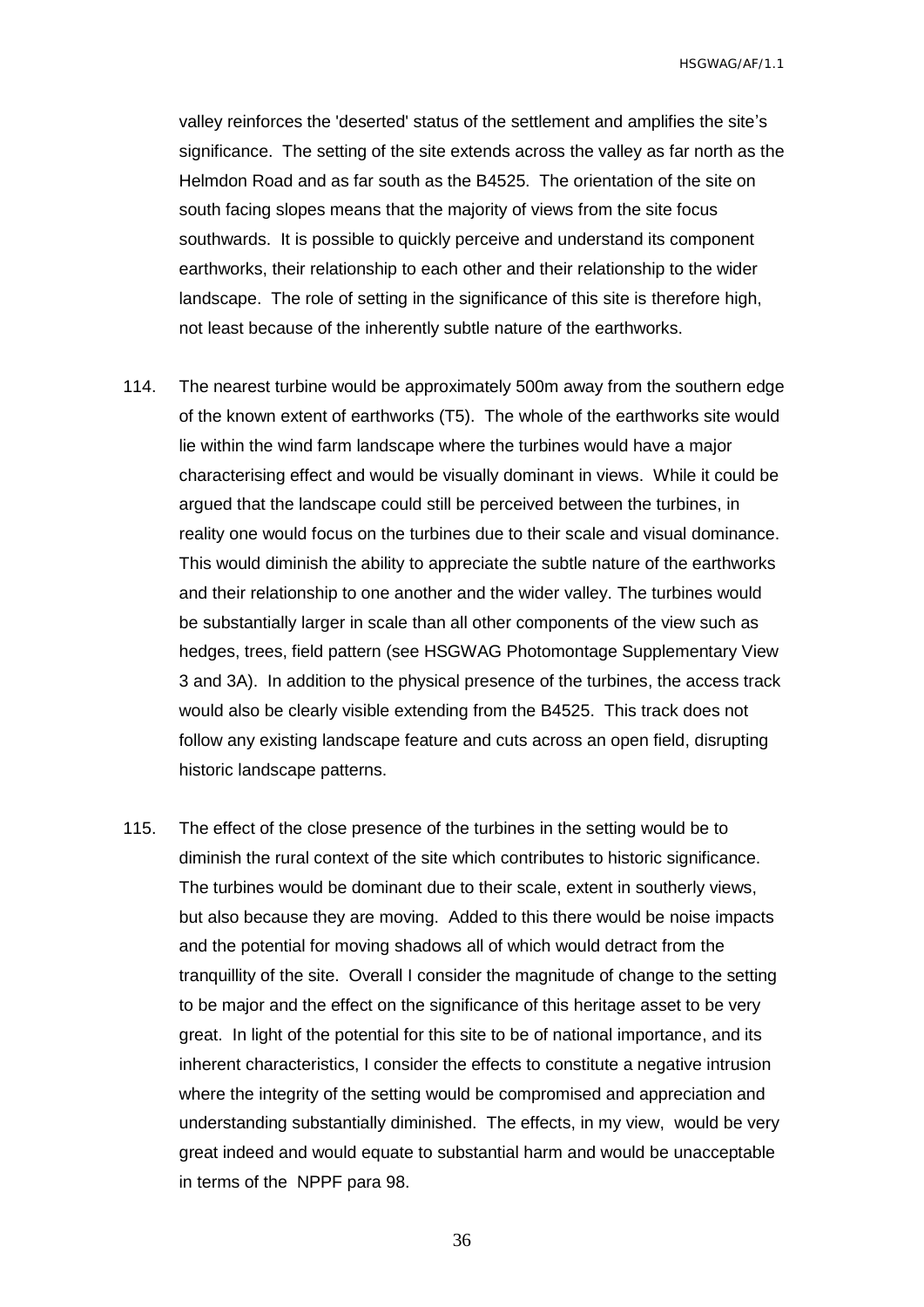valley reinforces the 'deserted' status of the settlement and amplifies the site's significance. The setting of the site extends across the valley as far north as the Helmdon Road and as far south as the B4525. The orientation of the site on south facing slopes means that the majority of views from the site focus southwards. It is possible to quickly perceive and understand its component earthworks, their relationship to each other and their relationship to the wider landscape. The role of setting in the significance of this site is therefore high, not least because of the inherently subtle nature of the earthworks.

- 114. The nearest turbine would be approximately 500m away from the southern edge of the known extent of earthworks (T5). The whole of the earthworks site would lie within the wind farm landscape where the turbines would have a major characterising effect and would be visually dominant in views. While it could be argued that the landscape could still be perceived between the turbines, in reality one would focus on the turbines due to their scale and visual dominance. This would diminish the ability to appreciate the subtle nature of the earthworks and their relationship to one another and the wider valley. The turbines would be substantially larger in scale than all other components of the view such as hedges, trees, field pattern (see HSGWAG Photomontage Supplementary View 3 and 3A). In addition to the physical presence of the turbines, the access track would also be clearly visible extending from the B4525. This track does not follow any existing landscape feature and cuts across an open field, disrupting historic landscape patterns.
- 115. The effect of the close presence of the turbines in the setting would be to diminish the rural context of the site which contributes to historic significance. The turbines would be dominant due to their scale, extent in southerly views, but also because they are moving. Added to this there would be noise impacts and the potential for moving shadows all of which would detract from the tranquillity of the site. Overall I consider the magnitude of change to the setting to be major and the effect on the significance of this heritage asset to be very great. In light of the potential for this site to be of national importance, and its inherent characteristics, I consider the effects to constitute a negative intrusion where the integrity of the setting would be compromised and appreciation and understanding substantially diminished. The effects, in my view, would be very great indeed and would equate to substantial harm and would be unacceptable in terms of the NPPF para 98.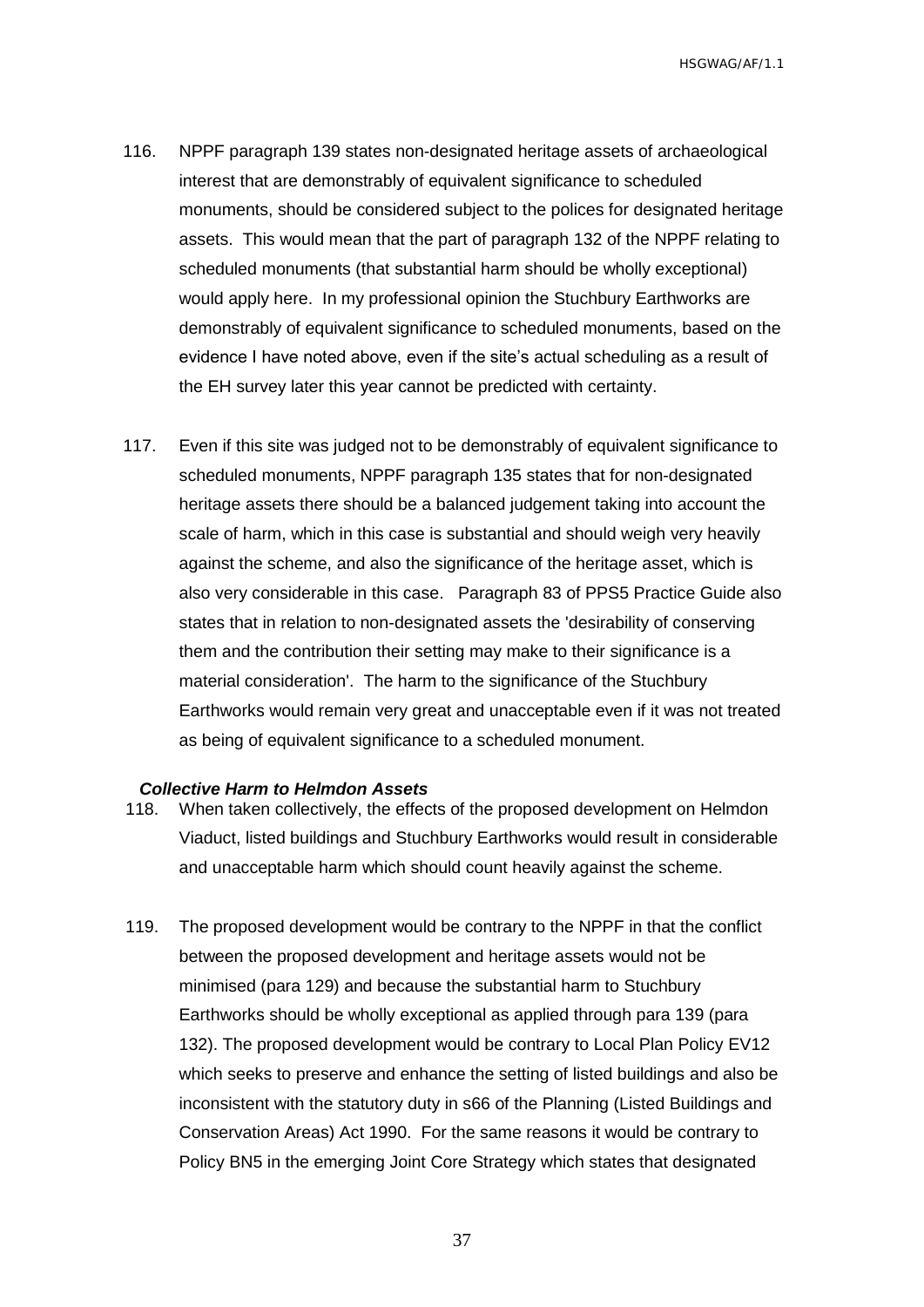- 116. NPPF paragraph 139 states non-designated heritage assets of archaeological interest that are demonstrably of equivalent significance to scheduled monuments, should be considered subject to the polices for designated heritage assets. This would mean that the part of paragraph 132 of the NPPF relating to scheduled monuments (that substantial harm should be wholly exceptional) would apply here. In my professional opinion the Stuchbury Earthworks are demonstrably of equivalent significance to scheduled monuments, based on the evidence I have noted above, even if the site's actual scheduling as a result of the EH survey later this year cannot be predicted with certainty.
- 117. Even if this site was judged not to be demonstrably of equivalent significance to scheduled monuments, NPPF paragraph 135 states that for non-designated heritage assets there should be a balanced judgement taking into account the scale of harm, which in this case is substantial and should weigh very heavily against the scheme, and also the significance of the heritage asset, which is also very considerable in this case. Paragraph 83 of PPS5 Practice Guide also states that in relation to non-designated assets the 'desirability of conserving them and the contribution their setting may make to their significance is a material consideration'. The harm to the significance of the Stuchbury Earthworks would remain very great and unacceptable even if it was not treated as being of equivalent significance to a scheduled monument.

#### <span id="page-38-0"></span>*Collective Harm to Helmdon Assets*

- 118. When taken collectively, the effects of the proposed development on Helmdon Viaduct, listed buildings and Stuchbury Earthworks would result in considerable and unacceptable harm which should count heavily against the scheme.
- 119. The proposed development would be contrary to the NPPF in that the conflict between the proposed development and heritage assets would not be minimised (para 129) and because the substantial harm to Stuchbury Earthworks should be wholly exceptional as applied through para 139 (para 132). The proposed development would be contrary to Local Plan Policy EV12 which seeks to preserve and enhance the setting of listed buildings and also be inconsistent with the statutory duty in s66 of the Planning (Listed Buildings and Conservation Areas) Act 1990. For the same reasons it would be contrary to Policy BN5 in the emerging Joint Core Strategy which states that designated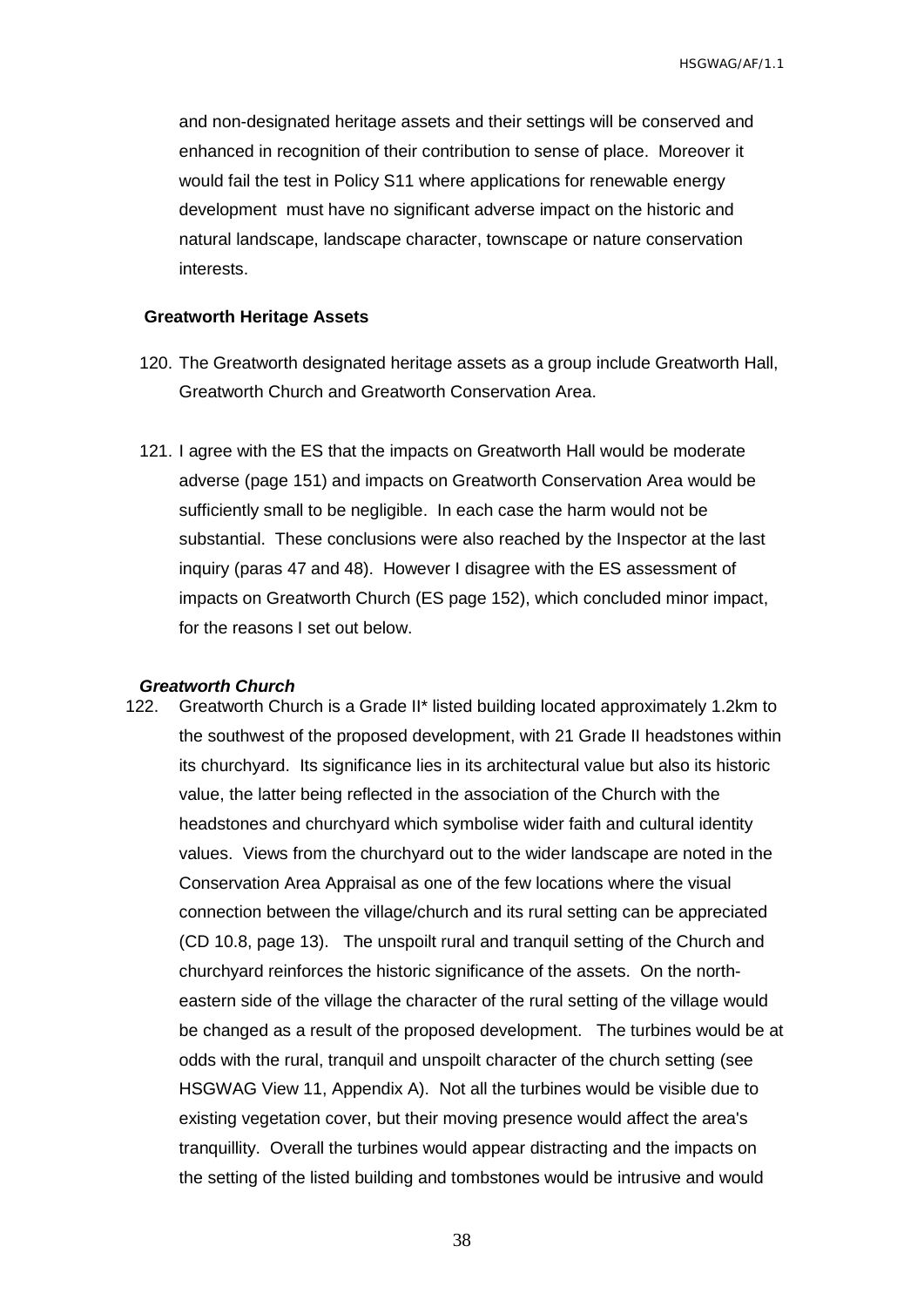and non-designated heritage assets and their settings will be conserved and enhanced in recognition of their contribution to sense of place. Moreover it would fail the test in Policy S11 where applications for renewable energy development must have no significant adverse impact on the historic and natural landscape, landscape character, townscape or nature conservation interests.

#### <span id="page-39-0"></span>**Greatworth Heritage Assets**

- 120. The Greatworth designated heritage assets as a group include Greatworth Hall, Greatworth Church and Greatworth Conservation Area.
- 121. I agree with the ES that the impacts on Greatworth Hall would be moderate adverse (page 151) and impacts on Greatworth Conservation Area would be sufficiently small to be negligible. In each case the harm would not be substantial. These conclusions were also reached by the Inspector at the last inquiry (paras 47 and 48). However I disagree with the ES assessment of impacts on Greatworth Church (ES page 152), which concluded minor impact, for the reasons I set out below.

#### <span id="page-39-1"></span>*Greatworth Church*

122. Greatworth Church is a Grade II\* listed building located approximately 1.2km to the southwest of the proposed development, with 21 Grade II headstones within its churchyard. Its significance lies in its architectural value but also its historic value, the latter being reflected in the association of the Church with the headstones and churchyard which symbolise wider faith and cultural identity values. Views from the churchyard out to the wider landscape are noted in the Conservation Area Appraisal as one of the few locations where the visual connection between the village/church and its rural setting can be appreciated (CD 10.8, page 13). The unspoilt rural and tranquil setting of the Church and churchyard reinforces the historic significance of the assets. On the northeastern side of the village the character of the rural setting of the village would be changed as a result of the proposed development. The turbines would be at odds with the rural, tranquil and unspoilt character of the church setting (see HSGWAG View 11, Appendix A). Not all the turbines would be visible due to existing vegetation cover, but their moving presence would affect the area's tranquillity. Overall the turbines would appear distracting and the impacts on the setting of the listed building and tombstones would be intrusive and would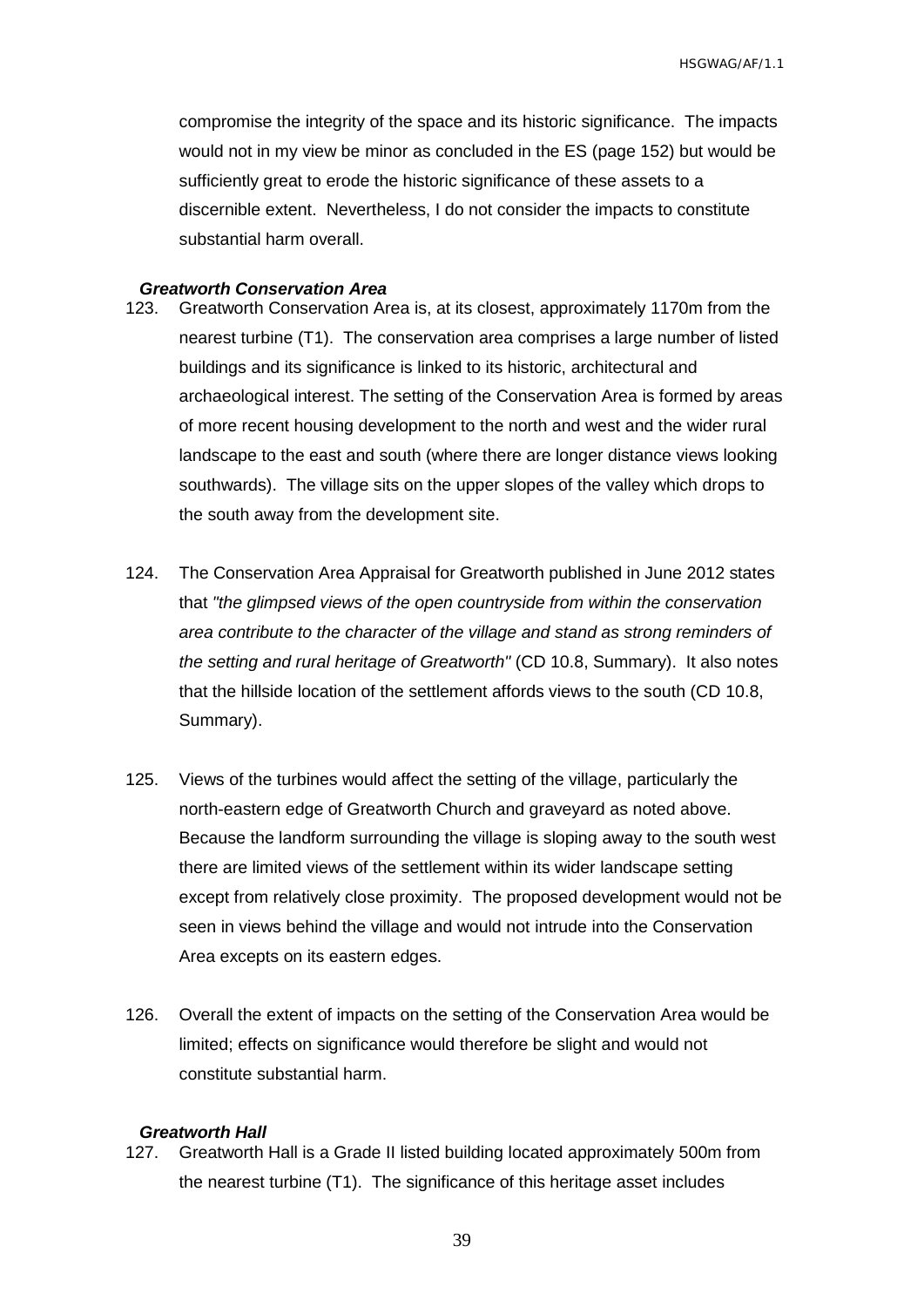compromise the integrity of the space and its historic significance. The impacts would not in my view be minor as concluded in the ES (page 152) but would be sufficiently great to erode the historic significance of these assets to a discernible extent. Nevertheless, I do not consider the impacts to constitute substantial harm overall.

#### <span id="page-40-1"></span>*Greatworth Conservation Area*

- 123. Greatworth Conservation Area is, at its closest, approximately 1170m from the nearest turbine (T1). The conservation area comprises a large number of listed buildings and its significance is linked to its historic, architectural and archaeological interest. The setting of the Conservation Area is formed by areas of more recent housing development to the north and west and the wider rural landscape to the east and south (where there are longer distance views looking southwards). The village sits on the upper slopes of the valley which drops to the south away from the development site.
- 124. The Conservation Area Appraisal for Greatworth published in June 2012 states that *"the glimpsed views of the open countryside from within the conservation area contribute to the character of the village and stand as strong reminders of the setting and rural heritage of Greatworth"* (CD 10.8, Summary). It also notes that the hillside location of the settlement affords views to the south (CD 10.8, Summary).
- 125. Views of the turbines would affect the setting of the village, particularly the north-eastern edge of Greatworth Church and graveyard as noted above. Because the landform surrounding the village is sloping away to the south west there are limited views of the settlement within its wider landscape setting except from relatively close proximity. The proposed development would not be seen in views behind the village and would not intrude into the Conservation Area excepts on its eastern edges.
- 126. Overall the extent of impacts on the setting of the Conservation Area would be limited; effects on significance would therefore be slight and would not constitute substantial harm.

#### <span id="page-40-0"></span>*Greatworth Hall*

127. Greatworth Hall is a Grade II listed building located approximately 500m from the nearest turbine (T1). The significance of this heritage asset includes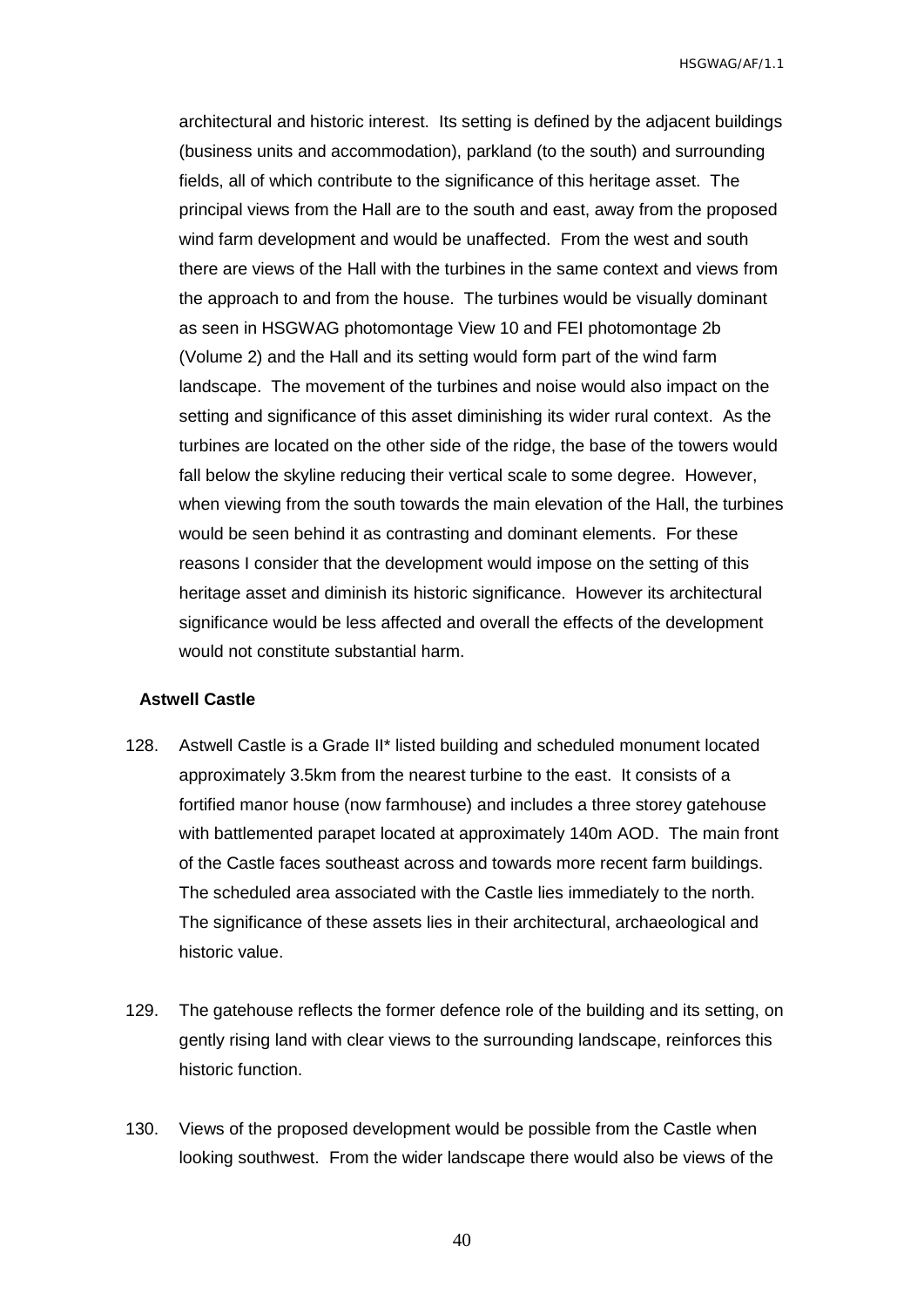architectural and historic interest. Its setting is defined by the adjacent buildings (business units and accommodation), parkland (to the south) and surrounding fields, all of which contribute to the significance of this heritage asset. The principal views from the Hall are to the south and east, away from the proposed wind farm development and would be unaffected. From the west and south there are views of the Hall with the turbines in the same context and views from the approach to and from the house. The turbines would be visually dominant as seen in HSGWAG photomontage View 10 and FEI photomontage 2b (Volume 2) and the Hall and its setting would form part of the wind farm landscape. The movement of the turbines and noise would also impact on the setting and significance of this asset diminishing its wider rural context. As the turbines are located on the other side of the ridge, the base of the towers would fall below the skyline reducing their vertical scale to some degree. However, when viewing from the south towards the main elevation of the Hall, the turbines would be seen behind it as contrasting and dominant elements. For these reasons I consider that the development would impose on the setting of this heritage asset and diminish its historic significance. However its architectural significance would be less affected and overall the effects of the development would not constitute substantial harm.

#### <span id="page-41-0"></span>**Astwell Castle**

- 128. Astwell Castle is a Grade II\* listed building and scheduled monument located approximately 3.5km from the nearest turbine to the east. It consists of a fortified manor house (now farmhouse) and includes a three storey gatehouse with battlemented parapet located at approximately 140m AOD. The main front of the Castle faces southeast across and towards more recent farm buildings. The scheduled area associated with the Castle lies immediately to the north. The significance of these assets lies in their architectural, archaeological and historic value.
- 129. The gatehouse reflects the former defence role of the building and its setting, on gently rising land with clear views to the surrounding landscape, reinforces this historic function.
- 130. Views of the proposed development would be possible from the Castle when looking southwest. From the wider landscape there would also be views of the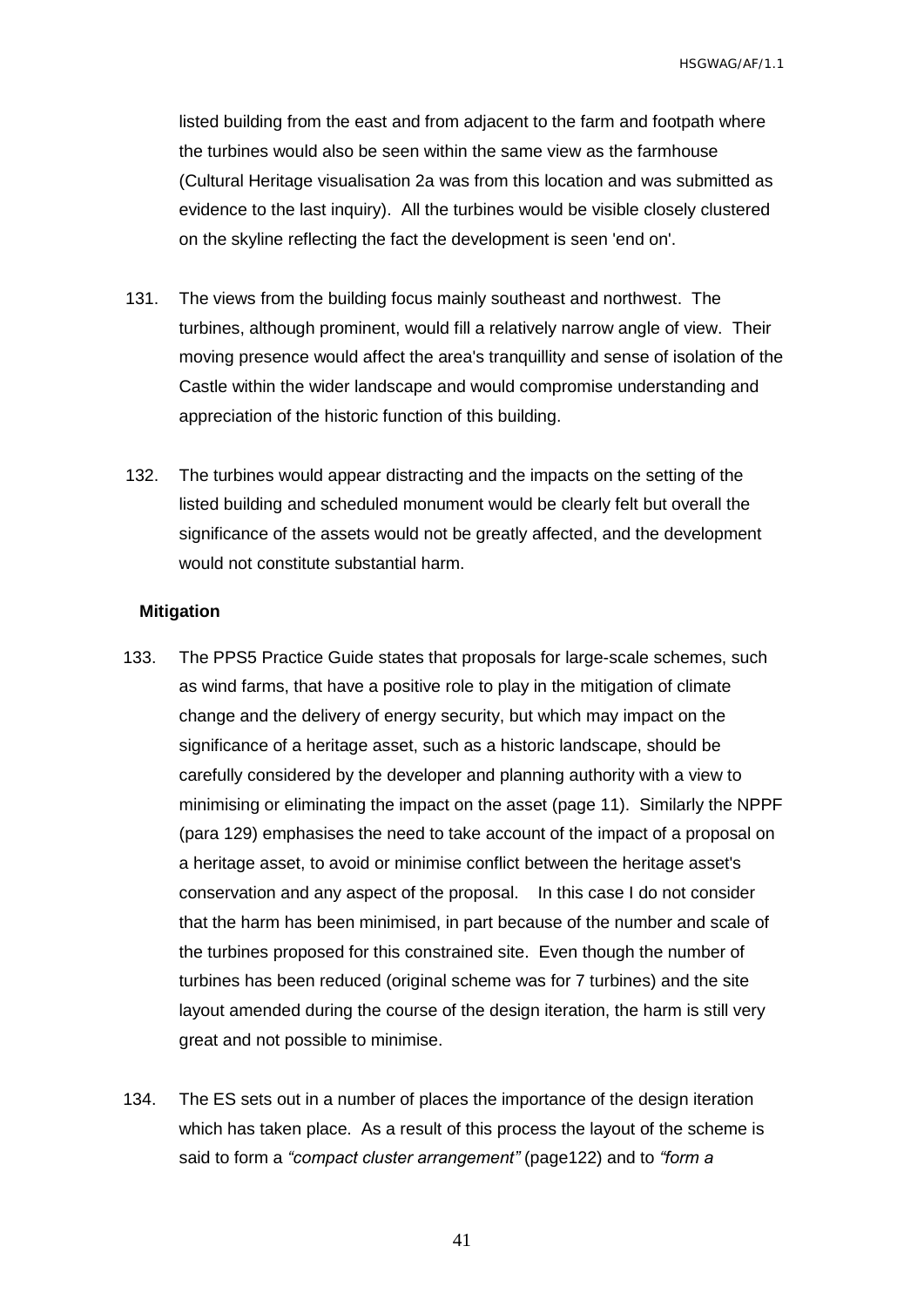listed building from the east and from adjacent to the farm and footpath where the turbines would also be seen within the same view as the farmhouse (Cultural Heritage visualisation 2a was from this location and was submitted as evidence to the last inquiry). All the turbines would be visible closely clustered on the skyline reflecting the fact the development is seen 'end on'.

- 131. The views from the building focus mainly southeast and northwest. The turbines, although prominent, would fill a relatively narrow angle of view. Their moving presence would affect the area's tranquillity and sense of isolation of the Castle within the wider landscape and would compromise understanding and appreciation of the historic function of this building.
- 132. The turbines would appear distracting and the impacts on the setting of the listed building and scheduled monument would be clearly felt but overall the significance of the assets would not be greatly affected, and the development would not constitute substantial harm.

#### <span id="page-42-0"></span>**Mitigation**

- 133. The PPS5 Practice Guide states that proposals for large-scale schemes, such as wind farms, that have a positive role to play in the mitigation of climate change and the delivery of energy security, but which may impact on the significance of a heritage asset, such as a historic landscape, should be carefully considered by the developer and planning authority with a view to minimising or eliminating the impact on the asset (page 11). Similarly the NPPF (para 129) emphasises the need to take account of the impact of a proposal on a heritage asset, to avoid or minimise conflict between the heritage asset's conservation and any aspect of the proposal. In this case I do not consider that the harm has been minimised, in part because of the number and scale of the turbines proposed for this constrained site. Even though the number of turbines has been reduced (original scheme was for 7 turbines) and the site layout amended during the course of the design iteration, the harm is still very great and not possible to minimise.
- 134. The ES sets out in a number of places the importance of the design iteration which has taken place. As a result of this process the layout of the scheme is said to form a *"compact cluster arrangement"* (page122) and to *"form a*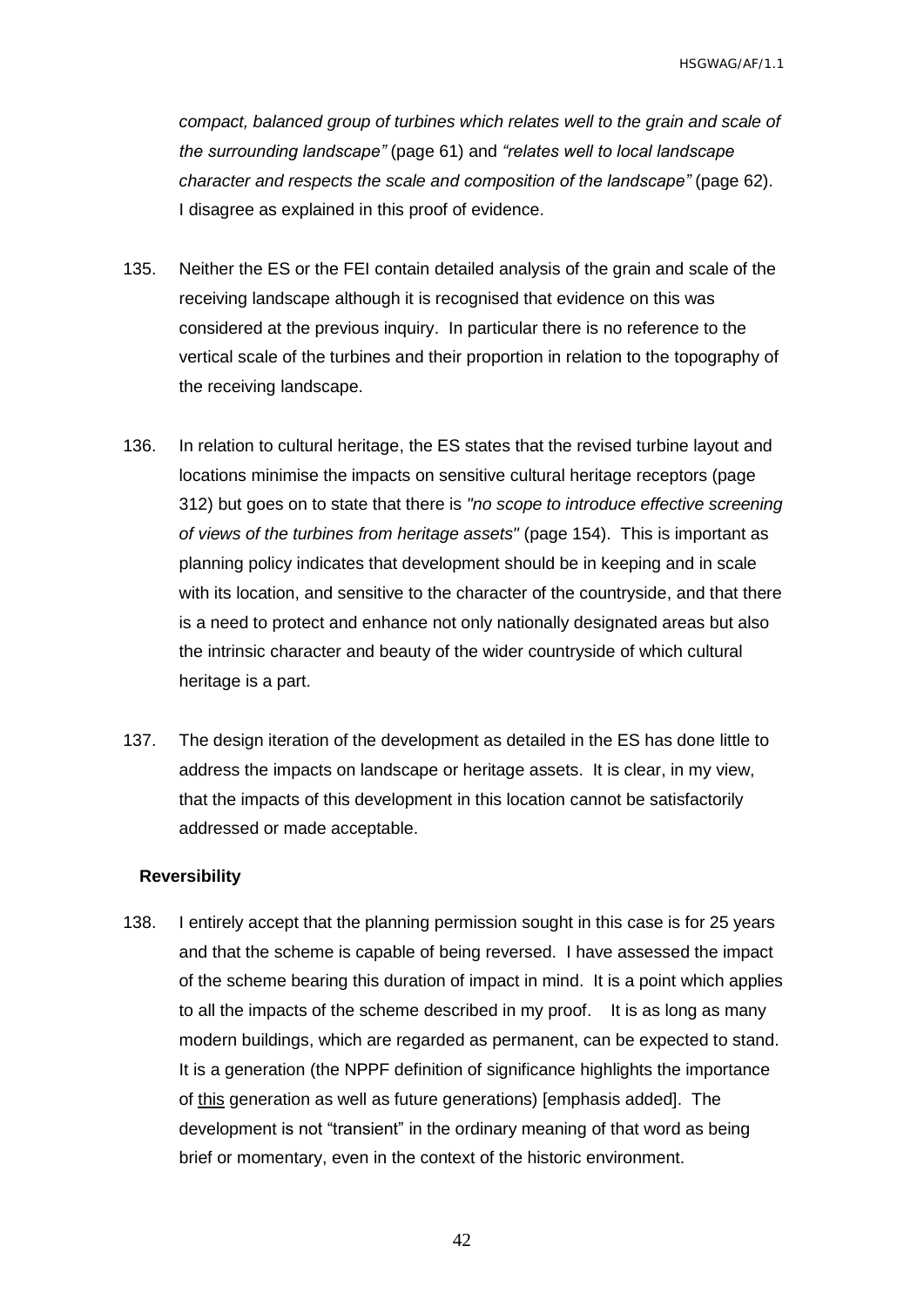*compact, balanced group of turbines which relates well to the grain and scale of the surrounding landscape"* (page 61) and *"relates well to local landscape character and respects the scale and composition of the landscape"* (page 62). I disagree as explained in this proof of evidence.

- 135. Neither the ES or the FEI contain detailed analysis of the grain and scale of the receiving landscape although it is recognised that evidence on this was considered at the previous inquiry. In particular there is no reference to the vertical scale of the turbines and their proportion in relation to the topography of the receiving landscape.
- 136. In relation to cultural heritage, the ES states that the revised turbine layout and locations minimise the impacts on sensitive cultural heritage receptors (page 312) but goes on to state that there is *"no scope to introduce effective screening of views of the turbines from heritage assets"* (page 154). This is important as planning policy indicates that development should be in keeping and in scale with its location, and sensitive to the character of the countryside, and that there is a need to protect and enhance not only nationally designated areas but also the intrinsic character and beauty of the wider countryside of which cultural heritage is a part.
- 137. The design iteration of the development as detailed in the ES has done little to address the impacts on landscape or heritage assets. It is clear, in my view, that the impacts of this development in this location cannot be satisfactorily addressed or made acceptable.

#### <span id="page-43-0"></span>**Reversibility**

138. I entirely accept that the planning permission sought in this case is for 25 years and that the scheme is capable of being reversed. I have assessed the impact of the scheme bearing this duration of impact in mind. It is a point which applies to all the impacts of the scheme described in my proof. It is as long as many modern buildings, which are regarded as permanent, can be expected to stand. It is a generation (the NPPF definition of significance highlights the importance of this generation as well as future generations) [emphasis added]. The development is not "transient" in the ordinary meaning of that word as being brief or momentary, even in the context of the historic environment.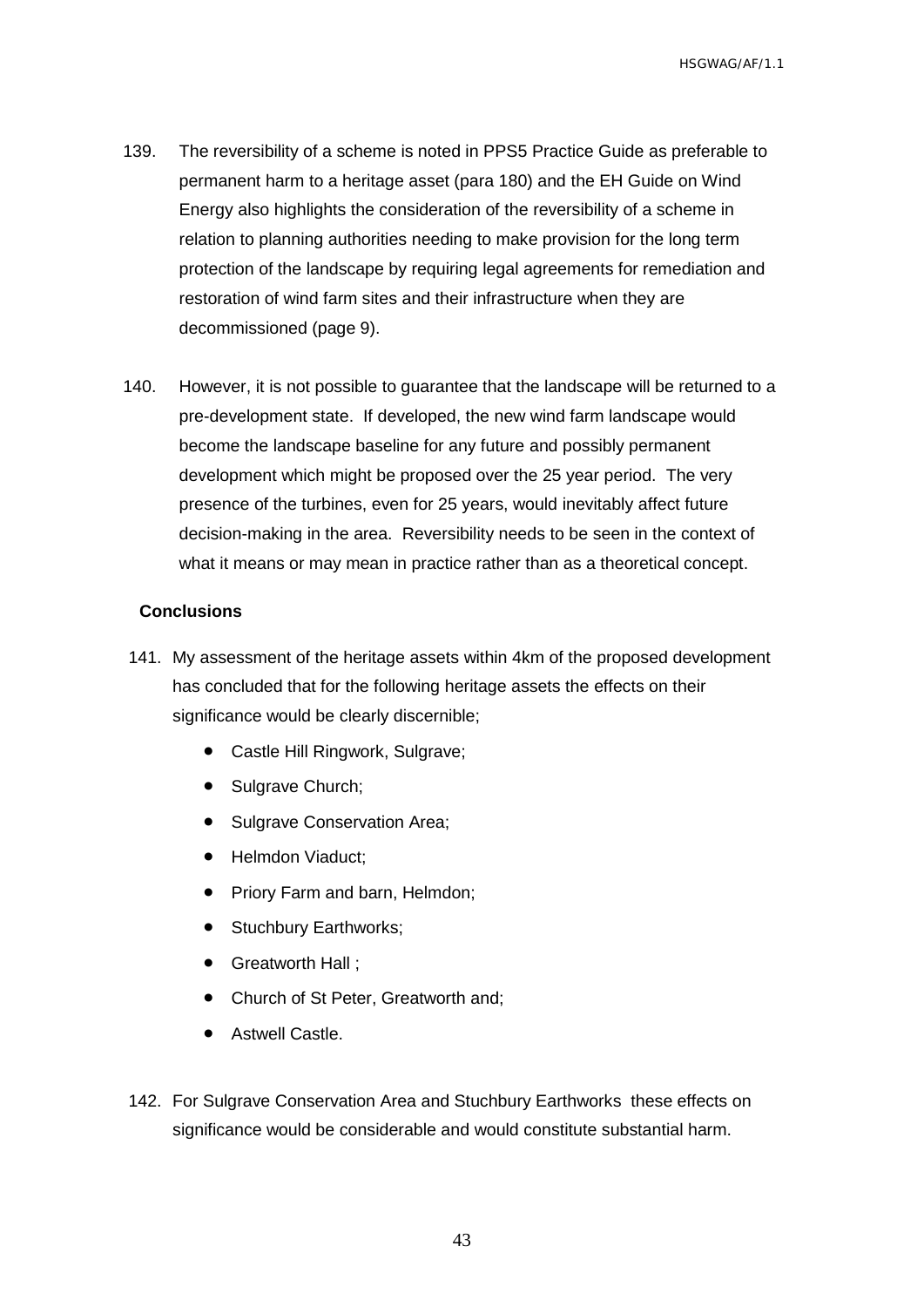- 139. The reversibility of a scheme is noted in PPS5 Practice Guide as preferable to permanent harm to a heritage asset (para 180) and the EH Guide on Wind Energy also highlights the consideration of the reversibility of a scheme in relation to planning authorities needing to make provision for the long term protection of the landscape by requiring legal agreements for remediation and restoration of wind farm sites and their infrastructure when they are decommissioned (page 9).
- 140. However, it is not possible to guarantee that the landscape will be returned to a pre-development state. If developed, the new wind farm landscape would become the landscape baseline for any future and possibly permanent development which might be proposed over the 25 year period. The very presence of the turbines, even for 25 years, would inevitably affect future decision-making in the area. Reversibility needs to be seen in the context of what it means or may mean in practice rather than as a theoretical concept.

#### <span id="page-44-0"></span>**Conclusions**

- 141. My assessment of the heritage assets within 4km of the proposed development has concluded that for the following heritage assets the effects on their significance would be clearly discernible;
	- Castle Hill Ringwork, Sulgrave;
	- Sulgrave Church;
	- Sulgrave Conservation Area;
	- Helmdon Viaduct;
	- Priory Farm and barn, Helmdon;
	- Stuchbury Earthworks;
	- Greatworth Hall ;
	- Church of St Peter, Greatworth and;
	- Astwell Castle.
- 142. For Sulgrave Conservation Area and Stuchbury Earthworks these effects on significance would be considerable and would constitute substantial harm.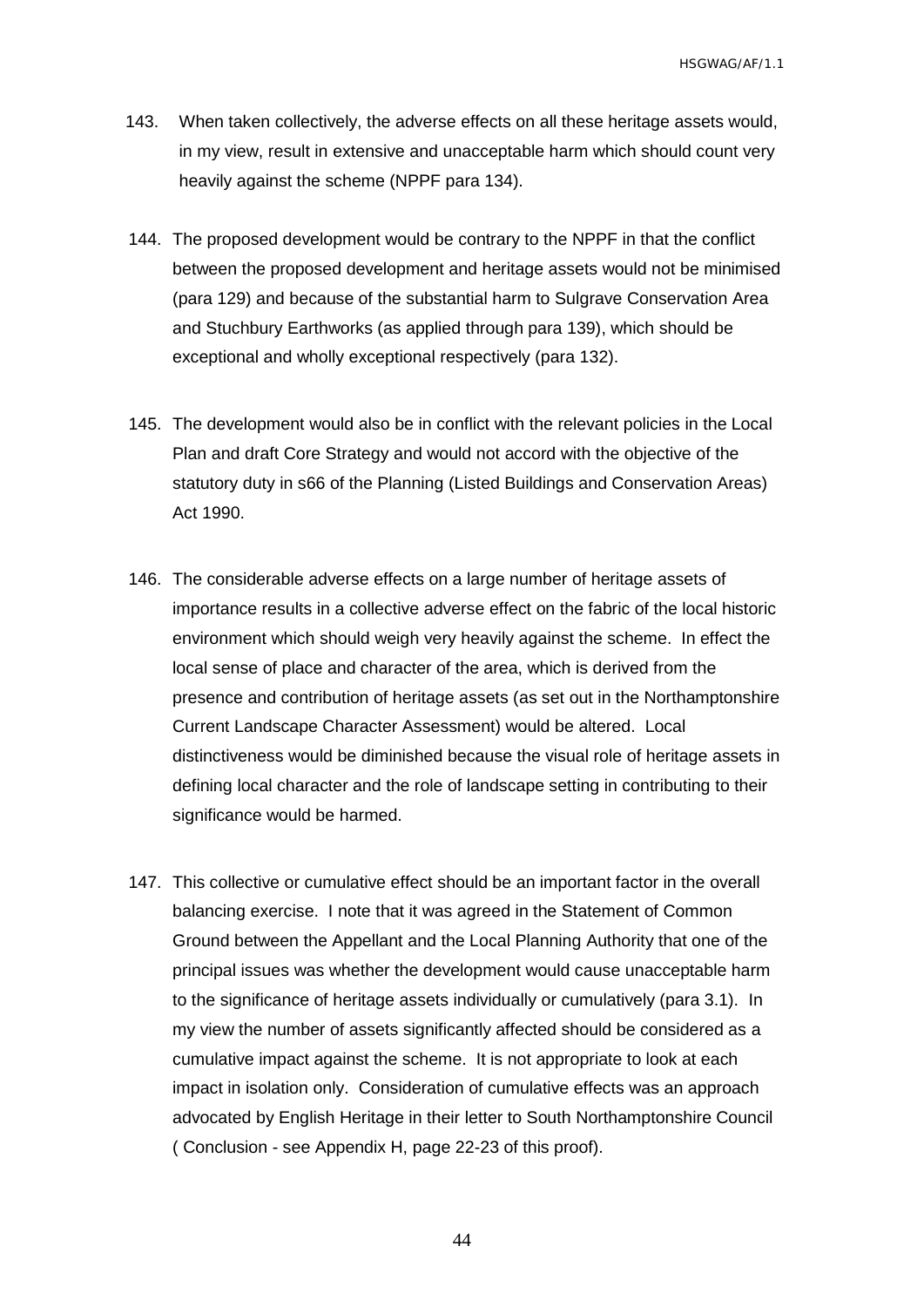- 143. When taken collectively, the adverse effects on all these heritage assets would, in my view, result in extensive and unacceptable harm which should count very heavily against the scheme (NPPF para 134).
- 144. The proposed development would be contrary to the NPPF in that the conflict between the proposed development and heritage assets would not be minimised (para 129) and because of the substantial harm to Sulgrave Conservation Area and Stuchbury Earthworks (as applied through para 139), which should be exceptional and wholly exceptional respectively (para 132).
- 145. The development would also be in conflict with the relevant policies in the Local Plan and draft Core Strategy and would not accord with the objective of the statutory duty in s66 of the Planning (Listed Buildings and Conservation Areas) Act 1990.
- 146. The considerable adverse effects on a large number of heritage assets of importance results in a collective adverse effect on the fabric of the local historic environment which should weigh very heavily against the scheme. In effect the local sense of place and character of the area, which is derived from the presence and contribution of heritage assets (as set out in the Northamptonshire Current Landscape Character Assessment) would be altered. Local distinctiveness would be diminished because the visual role of heritage assets in defining local character and the role of landscape setting in contributing to their significance would be harmed.
- 147. This collective or cumulative effect should be an important factor in the overall balancing exercise. I note that it was agreed in the Statement of Common Ground between the Appellant and the Local Planning Authority that one of the principal issues was whether the development would cause unacceptable harm to the significance of heritage assets individually or cumulatively (para 3.1). In my view the number of assets significantly affected should be considered as a cumulative impact against the scheme. It is not appropriate to look at each impact in isolation only. Consideration of cumulative effects was an approach advocated by English Heritage in their letter to South Northamptonshire Council ( Conclusion - see Appendix H, page 22-23 of this proof).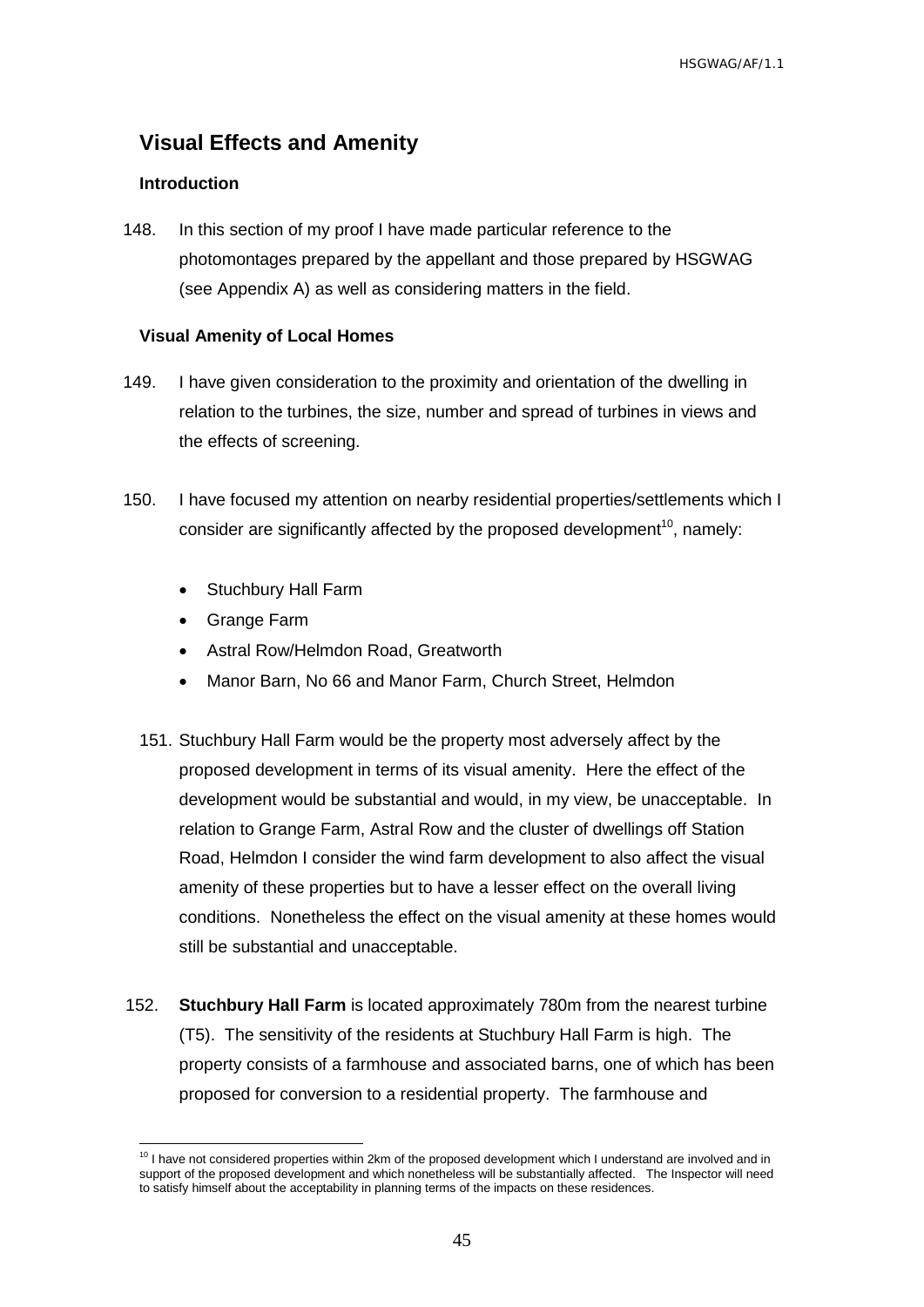## <span id="page-46-0"></span>**Visual Effects and Amenity**

#### <span id="page-46-1"></span>**Introduction**

148. In this section of my proof I have made particular reference to the photomontages prepared by the appellant and those prepared by HSGWAG (see Appendix A) as well as considering matters in the field.

#### <span id="page-46-2"></span>**Visual Amenity of Local Homes**

- 149. I have given consideration to the proximity and orientation of the dwelling in relation to the turbines, the size, number and spread of turbines in views and the effects of screening.
- 150. I have focused my attention on nearby residential properties/settlements which I consider are significantly affected by the proposed development<sup>10</sup>, namely:
	- Stuchbury Hall Farm
	- Grange Farm
	- Astral Row/Helmdon Road, Greatworth
	- Manor Barn, No 66 and Manor Farm, Church Street, Helmdon
	- 151. Stuchbury Hall Farm would be the property most adversely affect by the proposed development in terms of its visual amenity. Here the effect of the development would be substantial and would, in my view, be unacceptable. In relation to Grange Farm, Astral Row and the cluster of dwellings off Station Road, Helmdon I consider the wind farm development to also affect the visual amenity of these properties but to have a lesser effect on the overall living conditions. Nonetheless the effect on the visual amenity at these homes would still be substantial and unacceptable.
- 152. **Stuchbury Hall Farm** is located approximately 780m from the nearest turbine (T5). The sensitivity of the residents at Stuchbury Hall Farm is high. The property consists of a farmhouse and associated barns, one of which has been proposed for conversion to a residential property. The farmhouse and

 $\overline{a}$  $10$  I have not considered properties within 2km of the proposed development which I understand are involved and in support of the proposed development and which nonetheless will be substantially affected. The Inspector will need to satisfy himself about the acceptability in planning terms of the impacts on these residences.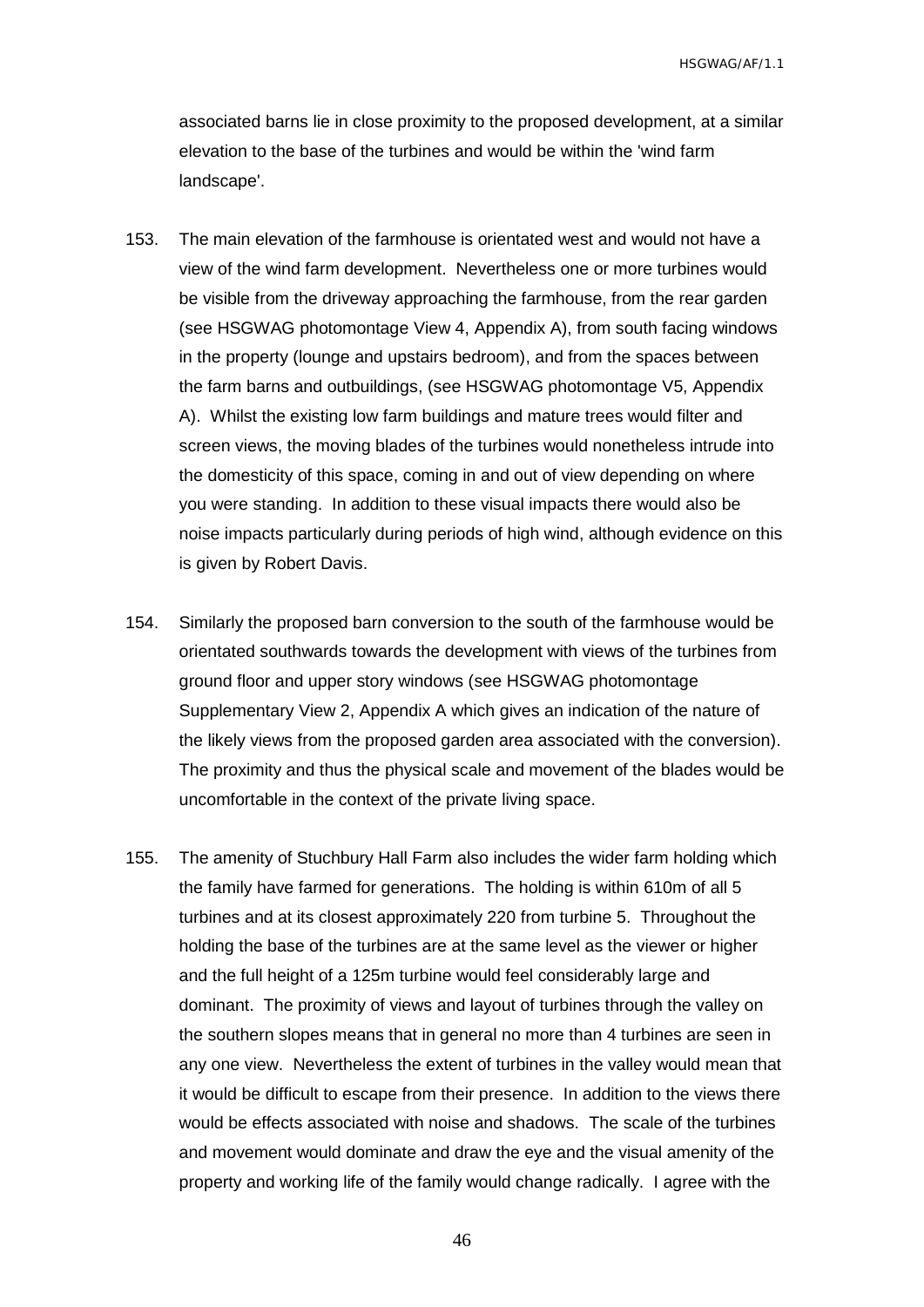associated barns lie in close proximity to the proposed development, at a similar elevation to the base of the turbines and would be within the 'wind farm landscape'.

- 153. The main elevation of the farmhouse is orientated west and would not have a view of the wind farm development. Nevertheless one or more turbines would be visible from the driveway approaching the farmhouse, from the rear garden (see HSGWAG photomontage View 4, Appendix A), from south facing windows in the property (lounge and upstairs bedroom), and from the spaces between the farm barns and outbuildings, (see HSGWAG photomontage V5, Appendix A). Whilst the existing low farm buildings and mature trees would filter and screen views, the moving blades of the turbines would nonetheless intrude into the domesticity of this space, coming in and out of view depending on where you were standing. In addition to these visual impacts there would also be noise impacts particularly during periods of high wind, although evidence on this is given by Robert Davis.
- 154. Similarly the proposed barn conversion to the south of the farmhouse would be orientated southwards towards the development with views of the turbines from ground floor and upper story windows (see HSGWAG photomontage Supplementary View 2, Appendix A which gives an indication of the nature of the likely views from the proposed garden area associated with the conversion). The proximity and thus the physical scale and movement of the blades would be uncomfortable in the context of the private living space.
- 155. The amenity of Stuchbury Hall Farm also includes the wider farm holding which the family have farmed for generations. The holding is within 610m of all 5 turbines and at its closest approximately 220 from turbine 5. Throughout the holding the base of the turbines are at the same level as the viewer or higher and the full height of a 125m turbine would feel considerably large and dominant. The proximity of views and layout of turbines through the valley on the southern slopes means that in general no more than 4 turbines are seen in any one view. Nevertheless the extent of turbines in the valley would mean that it would be difficult to escape from their presence. In addition to the views there would be effects associated with noise and shadows. The scale of the turbines and movement would dominate and draw the eye and the visual amenity of the property and working life of the family would change radically. I agree with the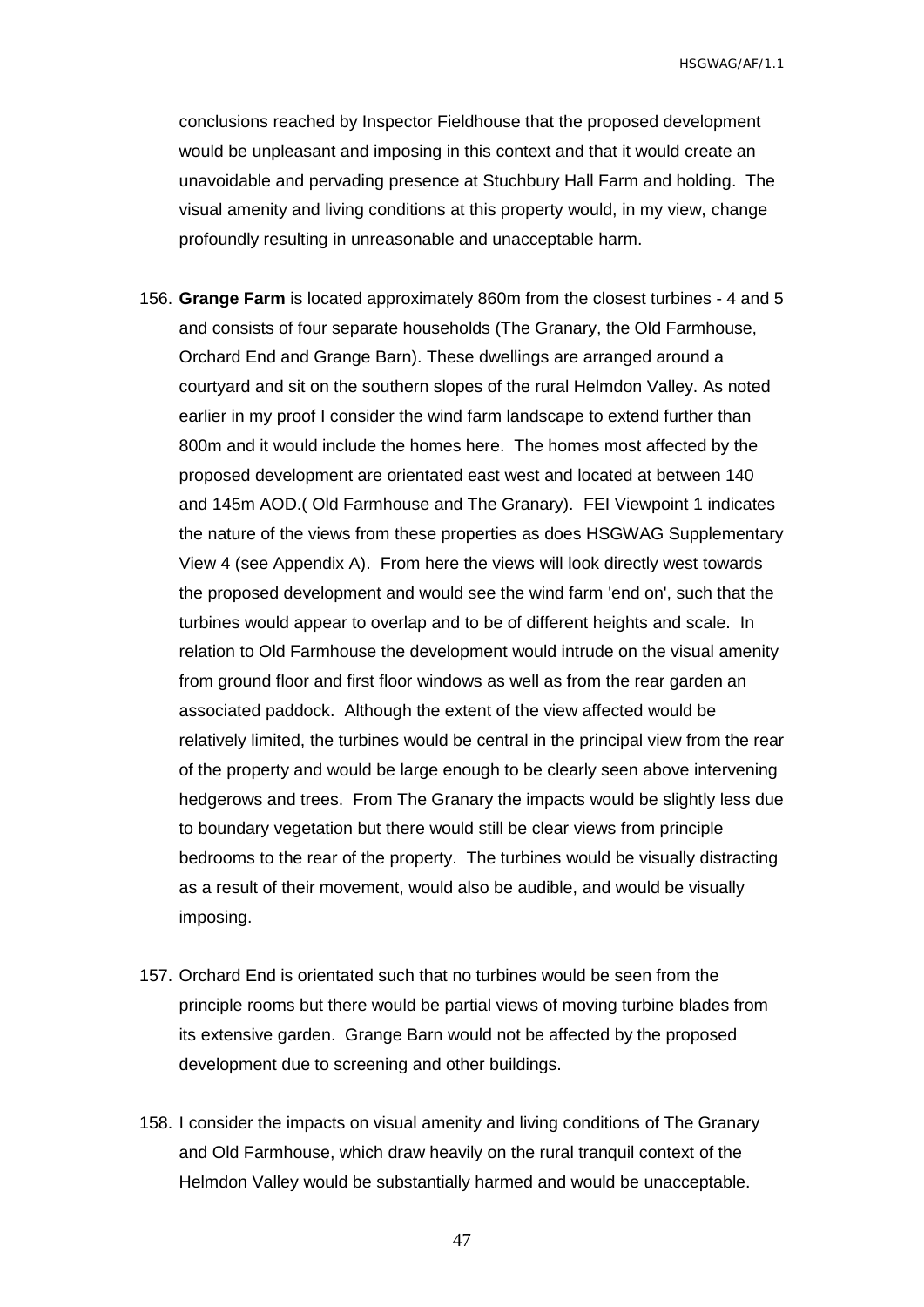conclusions reached by Inspector Fieldhouse that the proposed development would be unpleasant and imposing in this context and that it would create an unavoidable and pervading presence at Stuchbury Hall Farm and holding. The visual amenity and living conditions at this property would, in my view, change profoundly resulting in unreasonable and unacceptable harm.

- 156. **Grange Farm** is located approximately 860m from the closest turbines 4 and 5 and consists of four separate households (The Granary, the Old Farmhouse, Orchard End and Grange Barn). These dwellings are arranged around a courtyard and sit on the southern slopes of the rural Helmdon Valley. As noted earlier in my proof I consider the wind farm landscape to extend further than 800m and it would include the homes here. The homes most affected by the proposed development are orientated east west and located at between 140 and 145m AOD.( Old Farmhouse and The Granary). FEI Viewpoint 1 indicates the nature of the views from these properties as does HSGWAG Supplementary View 4 (see Appendix A). From here the views will look directly west towards the proposed development and would see the wind farm 'end on', such that the turbines would appear to overlap and to be of different heights and scale. In relation to Old Farmhouse the development would intrude on the visual amenity from ground floor and first floor windows as well as from the rear garden an associated paddock. Although the extent of the view affected would be relatively limited, the turbines would be central in the principal view from the rear of the property and would be large enough to be clearly seen above intervening hedgerows and trees. From The Granary the impacts would be slightly less due to boundary vegetation but there would still be clear views from principle bedrooms to the rear of the property. The turbines would be visually distracting as a result of their movement, would also be audible, and would be visually imposing.
- 157. Orchard End is orientated such that no turbines would be seen from the principle rooms but there would be partial views of moving turbine blades from its extensive garden. Grange Barn would not be affected by the proposed development due to screening and other buildings.
- 158. I consider the impacts on visual amenity and living conditions of The Granary and Old Farmhouse, which draw heavily on the rural tranquil context of the Helmdon Valley would be substantially harmed and would be unacceptable.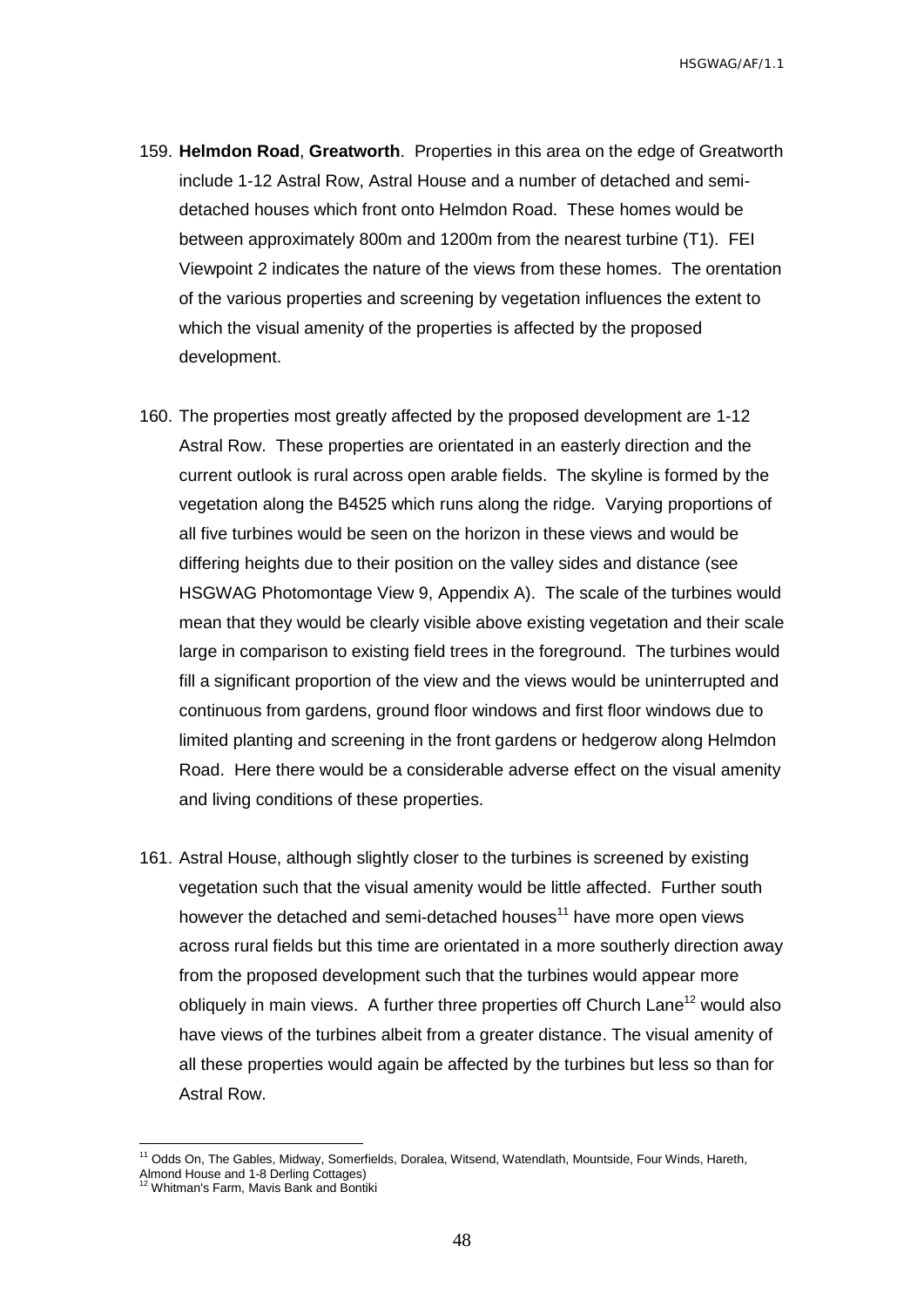- 159. **Helmdon Road**, **Greatworth**. Properties in this area on the edge of Greatworth include 1-12 Astral Row, Astral House and a number of detached and semidetached houses which front onto Helmdon Road. These homes would be between approximately 800m and 1200m from the nearest turbine (T1). FEI Viewpoint 2 indicates the nature of the views from these homes. The orentation of the various properties and screening by vegetation influences the extent to which the visual amenity of the properties is affected by the proposed development.
- 160. The properties most greatly affected by the proposed development are 1-12 Astral Row. These properties are orientated in an easterly direction and the current outlook is rural across open arable fields. The skyline is formed by the vegetation along the B4525 which runs along the ridge. Varying proportions of all five turbines would be seen on the horizon in these views and would be differing heights due to their position on the valley sides and distance (see HSGWAG Photomontage View 9, Appendix A). The scale of the turbines would mean that they would be clearly visible above existing vegetation and their scale large in comparison to existing field trees in the foreground. The turbines would fill a significant proportion of the view and the views would be uninterrupted and continuous from gardens, ground floor windows and first floor windows due to limited planting and screening in the front gardens or hedgerow along Helmdon Road. Here there would be a considerable adverse effect on the visual amenity and living conditions of these properties.
- 161. Astral House, although slightly closer to the turbines is screened by existing vegetation such that the visual amenity would be little affected. Further south however the detached and semi-detached houses $11$  have more open views across rural fields but this time are orientated in a more southerly direction away from the proposed development such that the turbines would appear more obliquely in main views. A further three properties off Church Lane<sup>12</sup> would also have views of the turbines albeit from a greater distance. The visual amenity of all these properties would again be affected by the turbines but less so than for Astral Row.

 $\overline{a}$ 

<sup>&</sup>lt;sup>11</sup> Odds On, The Gables, Midway, Somerfields, Doralea, Witsend, Watendlath, Mountside, Four Winds, Hareth,

Almond House and 1-8 Derling Cottages) <sup>12</sup> Whitman's Farm, Mavis Bank and Bontiki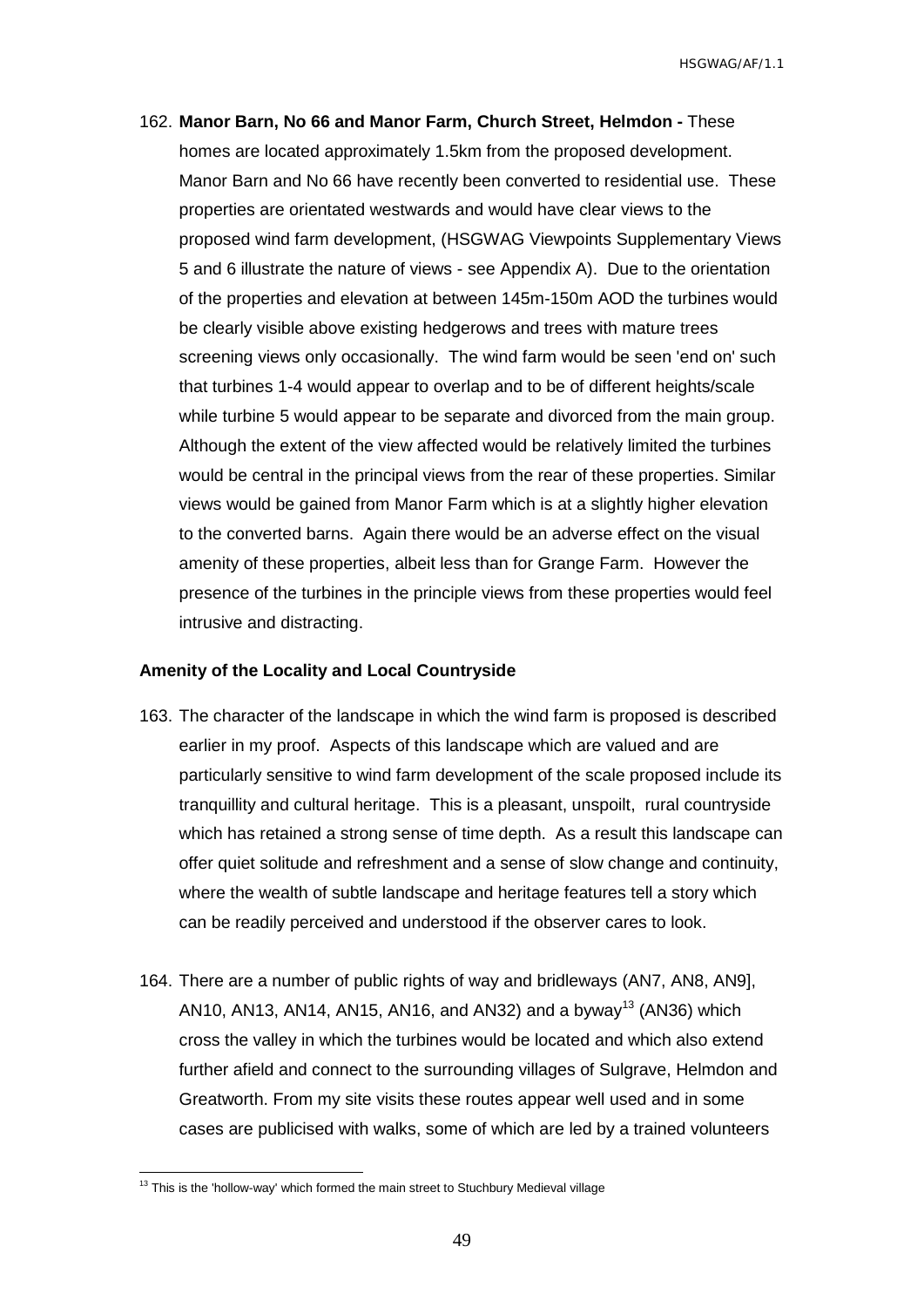162. **Manor Barn, No 66 and Manor Farm, Church Street, Helmdon -** These homes are located approximately 1.5km from the proposed development. Manor Barn and No 66 have recently been converted to residential use. These properties are orientated westwards and would have clear views to the proposed wind farm development, (HSGWAG Viewpoints Supplementary Views 5 and 6 illustrate the nature of views - see Appendix A). Due to the orientation of the properties and elevation at between 145m-150m AOD the turbines would be clearly visible above existing hedgerows and trees with mature trees screening views only occasionally. The wind farm would be seen 'end on' such that turbines 1-4 would appear to overlap and to be of different heights/scale while turbine 5 would appear to be separate and divorced from the main group. Although the extent of the view affected would be relatively limited the turbines would be central in the principal views from the rear of these properties. Similar views would be gained from Manor Farm which is at a slightly higher elevation to the converted barns. Again there would be an adverse effect on the visual amenity of these properties, albeit less than for Grange Farm. However the presence of the turbines in the principle views from these properties would feel intrusive and distracting.

#### <span id="page-50-0"></span>**Amenity of the Locality and Local Countryside**

- 163. The character of the landscape in which the wind farm is proposed is described earlier in my proof. Aspects of this landscape which are valued and are particularly sensitive to wind farm development of the scale proposed include its tranquillity and cultural heritage. This is a pleasant, unspoilt, rural countryside which has retained a strong sense of time depth. As a result this landscape can offer quiet solitude and refreshment and a sense of slow change and continuity, where the wealth of subtle landscape and heritage features tell a story which can be readily perceived and understood if the observer cares to look.
- 164. There are a number of public rights of way and bridleways (AN7, AN8, AN9], AN10, AN13, AN14, AN15, AN16, and AN32) and a byway<sup>13</sup> (AN36) which cross the valley in which the turbines would be located and which also extend further afield and connect to the surrounding villages of Sulgrave, Helmdon and Greatworth. From my site visits these routes appear well used and in some cases are publicised with walks, some of which are led by a trained volunteers

 $\overline{a}$ 

 $13$  This is the 'hollow-way' which formed the main street to Stuchbury Medieval village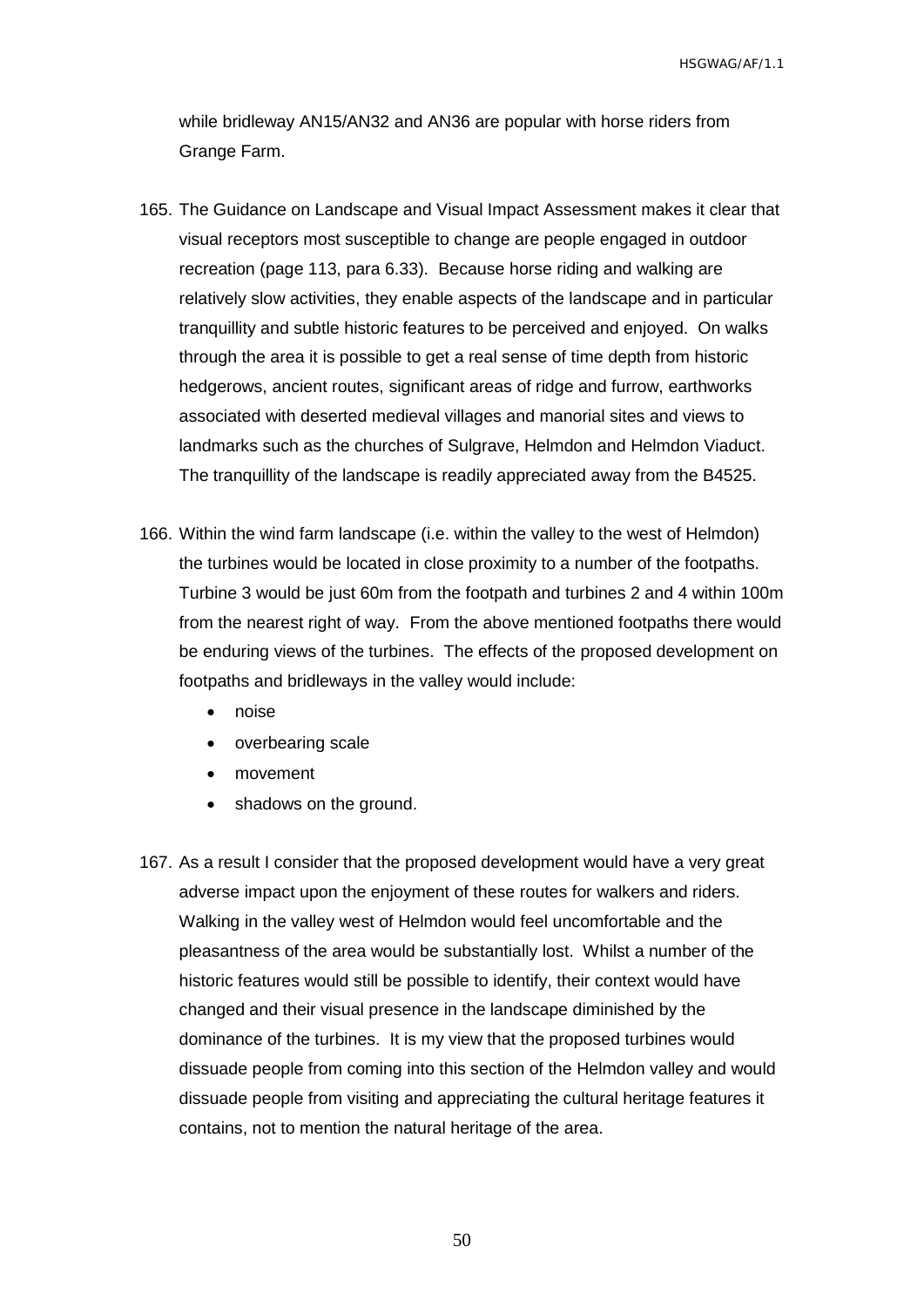while bridleway AN15/AN32 and AN36 are popular with horse riders from Grange Farm.

- 165. The Guidance on Landscape and Visual Impact Assessment makes it clear that visual receptors most susceptible to change are people engaged in outdoor recreation (page 113, para 6.33). Because horse riding and walking are relatively slow activities, they enable aspects of the landscape and in particular tranquillity and subtle historic features to be perceived and enjoyed. On walks through the area it is possible to get a real sense of time depth from historic hedgerows, ancient routes, significant areas of ridge and furrow, earthworks associated with deserted medieval villages and manorial sites and views to landmarks such as the churches of Sulgrave, Helmdon and Helmdon Viaduct. The tranquillity of the landscape is readily appreciated away from the B4525.
- 166. Within the wind farm landscape (i.e. within the valley to the west of Helmdon) the turbines would be located in close proximity to a number of the footpaths. Turbine 3 would be just 60m from the footpath and turbines 2 and 4 within 100m from the nearest right of way. From the above mentioned footpaths there would be enduring views of the turbines. The effects of the proposed development on footpaths and bridleways in the valley would include:
	- noise
	- overbearing scale
	- movement
	- shadows on the ground.
- 167. As a result I consider that the proposed development would have a very great adverse impact upon the enjoyment of these routes for walkers and riders. Walking in the valley west of Helmdon would feel uncomfortable and the pleasantness of the area would be substantially lost. Whilst a number of the historic features would still be possible to identify, their context would have changed and their visual presence in the landscape diminished by the dominance of the turbines. It is my view that the proposed turbines would dissuade people from coming into this section of the Helmdon valley and would dissuade people from visiting and appreciating the cultural heritage features it contains, not to mention the natural heritage of the area.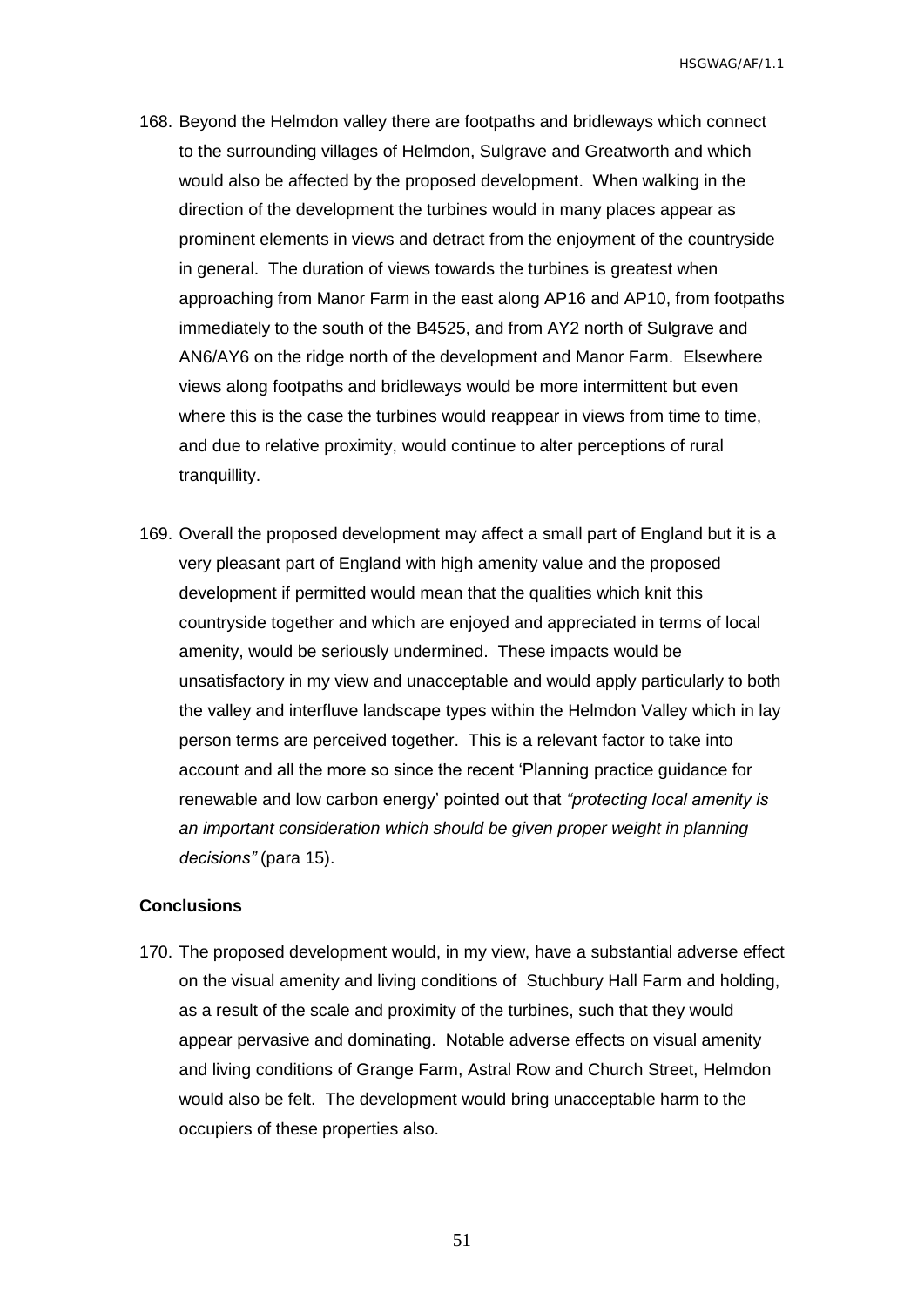- 168. Beyond the Helmdon valley there are footpaths and bridleways which connect to the surrounding villages of Helmdon, Sulgrave and Greatworth and which would also be affected by the proposed development. When walking in the direction of the development the turbines would in many places appear as prominent elements in views and detract from the enjoyment of the countryside in general. The duration of views towards the turbines is greatest when approaching from Manor Farm in the east along AP16 and AP10, from footpaths immediately to the south of the B4525, and from AY2 north of Sulgrave and AN6/AY6 on the ridge north of the development and Manor Farm. Elsewhere views along footpaths and bridleways would be more intermittent but even where this is the case the turbines would reappear in views from time to time, and due to relative proximity, would continue to alter perceptions of rural tranquillity.
- 169. Overall the proposed development may affect a small part of England but it is a very pleasant part of England with high amenity value and the proposed development if permitted would mean that the qualities which knit this countryside together and which are enjoyed and appreciated in terms of local amenity, would be seriously undermined. These impacts would be unsatisfactory in my view and unacceptable and would apply particularly to both the valley and interfluve landscape types within the Helmdon Valley which in lay person terms are perceived together. This is a relevant factor to take into account and all the more so since the recent 'Planning practice guidance for renewable and low carbon energy' pointed out that *"protecting local amenity is an important consideration which should be given proper weight in planning decisions"* (para 15).

#### <span id="page-52-0"></span>**Conclusions**

170. The proposed development would, in my view, have a substantial adverse effect on the visual amenity and living conditions of Stuchbury Hall Farm and holding, as a result of the scale and proximity of the turbines, such that they would appear pervasive and dominating. Notable adverse effects on visual amenity and living conditions of Grange Farm, Astral Row and Church Street, Helmdon would also be felt. The development would bring unacceptable harm to the occupiers of these properties also.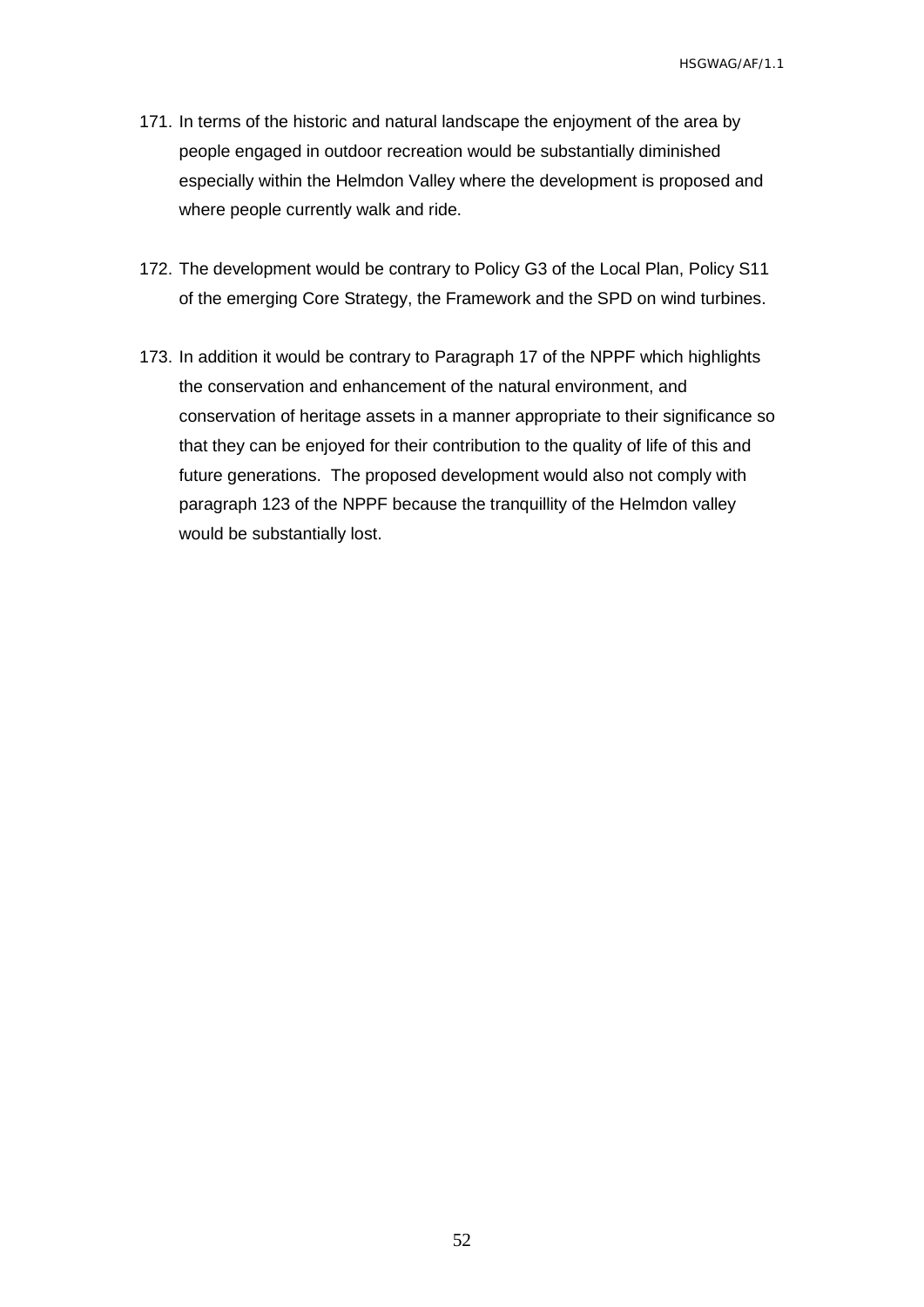- 171. In terms of the historic and natural landscape the enjoyment of the area by people engaged in outdoor recreation would be substantially diminished especially within the Helmdon Valley where the development is proposed and where people currently walk and ride.
- 172. The development would be contrary to Policy G3 of the Local Plan, Policy S11 of the emerging Core Strategy, the Framework and the SPD on wind turbines.
- 173. In addition it would be contrary to Paragraph 17 of the NPPF which highlights the conservation and enhancement of the natural environment, and conservation of heritage assets in a manner appropriate to their significance so that they can be enjoyed for their contribution to the quality of life of this and future generations. The proposed development would also not comply with paragraph 123 of the NPPF because the tranquillity of the Helmdon valley would be substantially lost.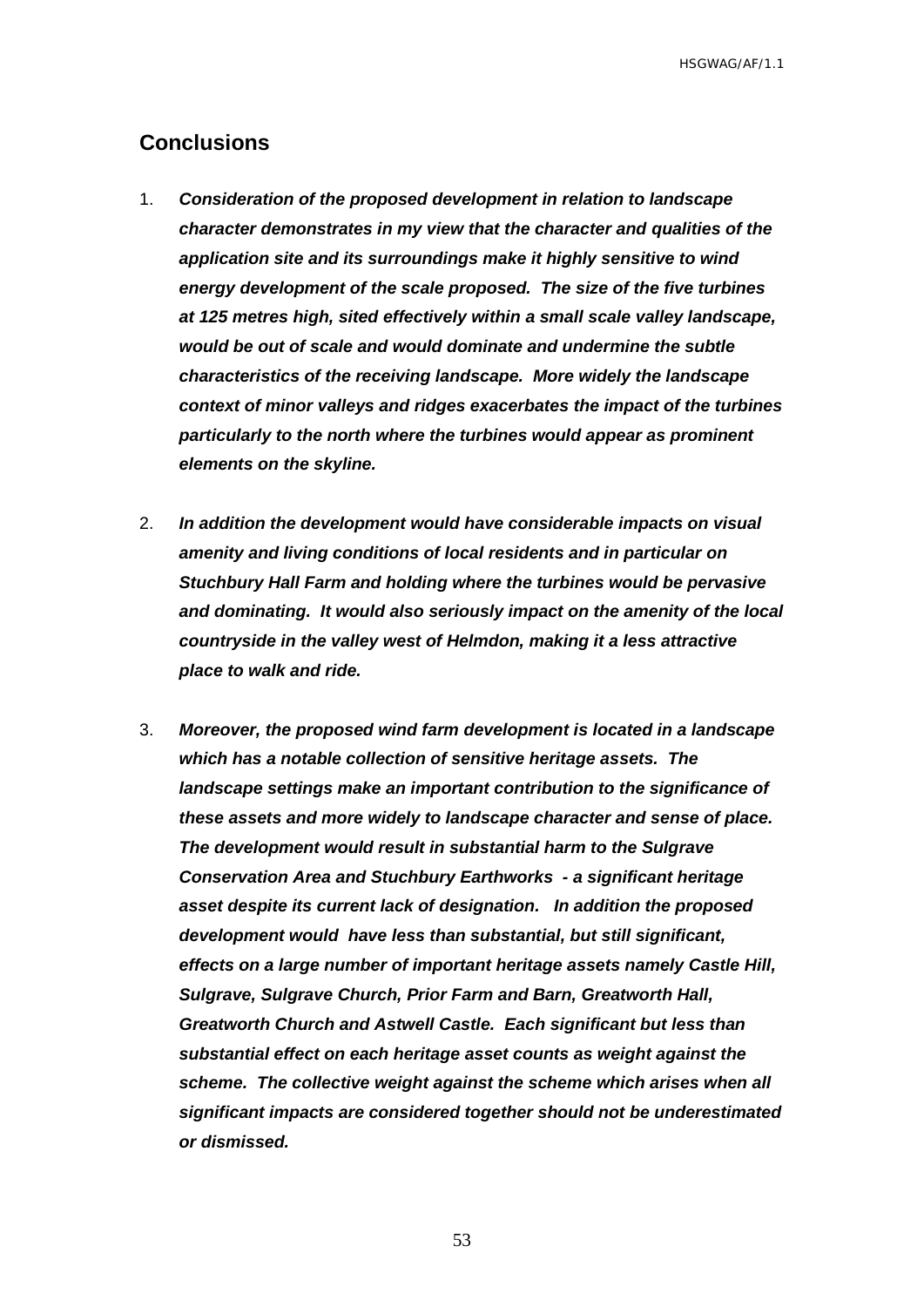## <span id="page-54-0"></span>**Conclusions**

- 1. *Consideration of the proposed development in relation to landscape character demonstrates in my view that the character and qualities of the application site and its surroundings make it highly sensitive to wind energy development of the scale proposed. The size of the five turbines at 125 metres high, sited effectively within a small scale valley landscape, would be out of scale and would dominate and undermine the subtle characteristics of the receiving landscape. More widely the landscape context of minor valleys and ridges exacerbates the impact of the turbines particularly to the north where the turbines would appear as prominent elements on the skyline.*
- 2. *In addition the development would have considerable impacts on visual amenity and living conditions of local residents and in particular on Stuchbury Hall Farm and holding where the turbines would be pervasive and dominating. It would also seriously impact on the amenity of the local countryside in the valley west of Helmdon, making it a less attractive place to walk and ride.*
- 3. *Moreover, the proposed wind farm development is located in a landscape which has a notable collection of sensitive heritage assets. The landscape settings make an important contribution to the significance of these assets and more widely to landscape character and sense of place. The development would result in substantial harm to the Sulgrave Conservation Area and Stuchbury Earthworks - a significant heritage asset despite its current lack of designation. In addition the proposed development would have less than substantial, but still significant, effects on a large number of important heritage assets namely Castle Hill, Sulgrave, Sulgrave Church, Prior Farm and Barn, Greatworth Hall, Greatworth Church and Astwell Castle. Each significant but less than substantial effect on each heritage asset counts as weight against the scheme. The collective weight against the scheme which arises when all significant impacts are considered together should not be underestimated or dismissed.*